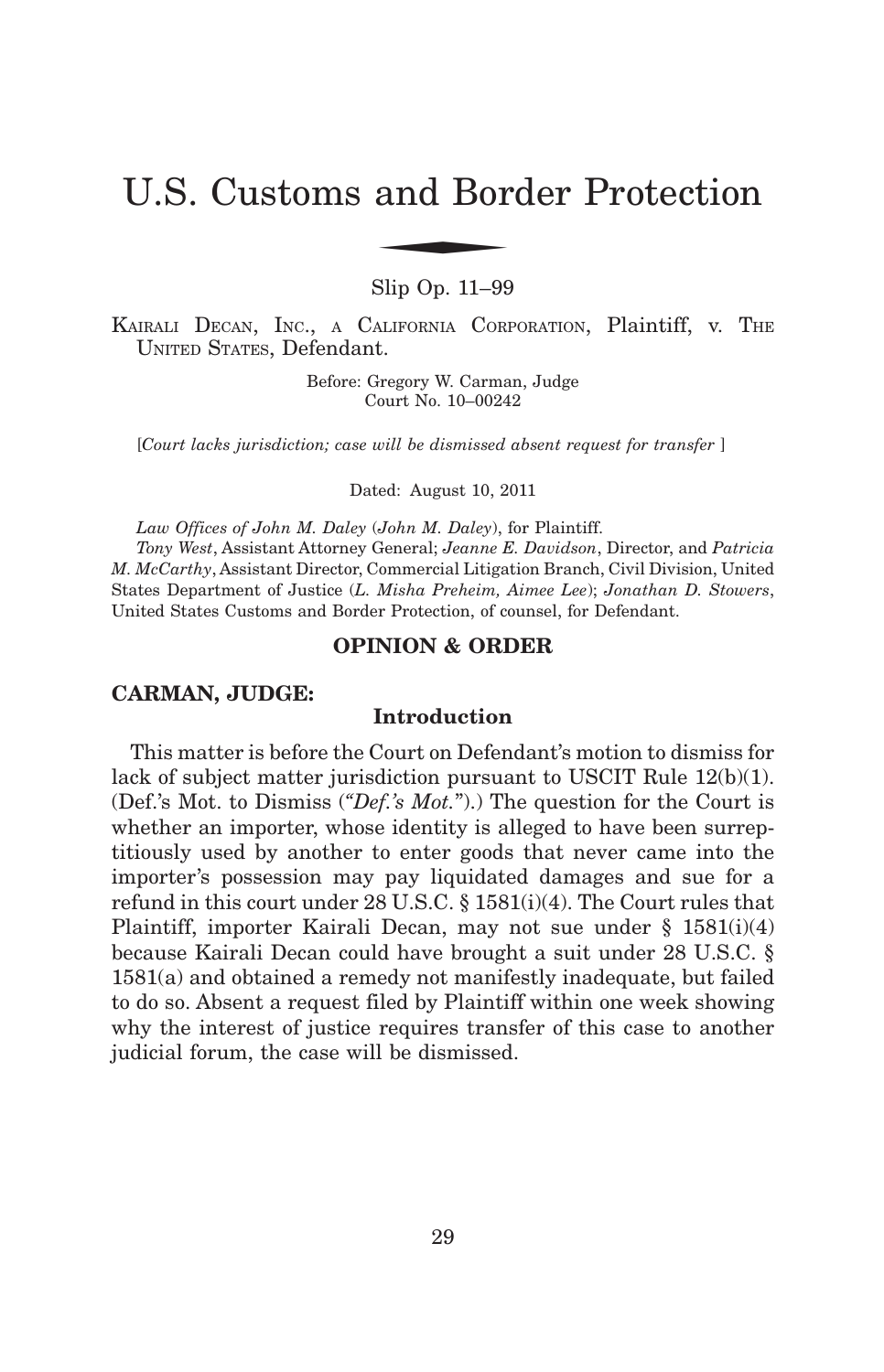# U.S. Customs and Border Protection and Bor

Slip Op. 11–99

KAIRALI DECAN, INC., <sup>A</sup> CALIFORNIA CORPORATION, Plaintiff, v. THE UNITED STATES, Defendant.

> Before: Gregory W. Carman, Judge Court No. 10–00242

[*Court lacks jurisdiction; case will be dismissed absent request for transfer* ]

Dated: August 10, 2011

*Law Offices of John M. Daley* (*John M. Daley*), for Plaintiff.

*Tony West*, Assistant Attorney General; *Jeanne E. Davidson*, Director, and *Patricia M. McCarthy*, Assistant Director, Commercial Litigation Branch, Civil Division, United States Department of Justice (*L. Misha Preheim, Aimee Lee*); *Jonathan D. Stowers*, United States Customs and Border Protection, of counsel, for Defendant.

#### **OPINION & ORDER**

## **CARMAN, JUDGE:**

# **Introduction**

This matter is before the Court on Defendant's motion to dismiss for lack of subject matter jurisdiction pursuant to USCIT Rule 12(b)(1). (Def.'s Mot. to Dismiss (*"Def.'s Mot.*").) The question for the Court is whether an importer, whose identity is alleged to have been surreptitiously used by another to enter goods that never came into the importer's possession may pay liquidated damages and sue for a refund in this court under 28 U.S.C. § 1581(i)(4). The Court rules that Plaintiff, importer Kairali Decan, may not sue under § 1581(i)(4) because Kairali Decan could have brought a suit under 28 U.S.C. § 1581(a) and obtained a remedy not manifestly inadequate, but failed to do so. Absent a request filed by Plaintiff within one week showing why the interest of justice requires transfer of this case to another judicial forum, the case will be dismissed.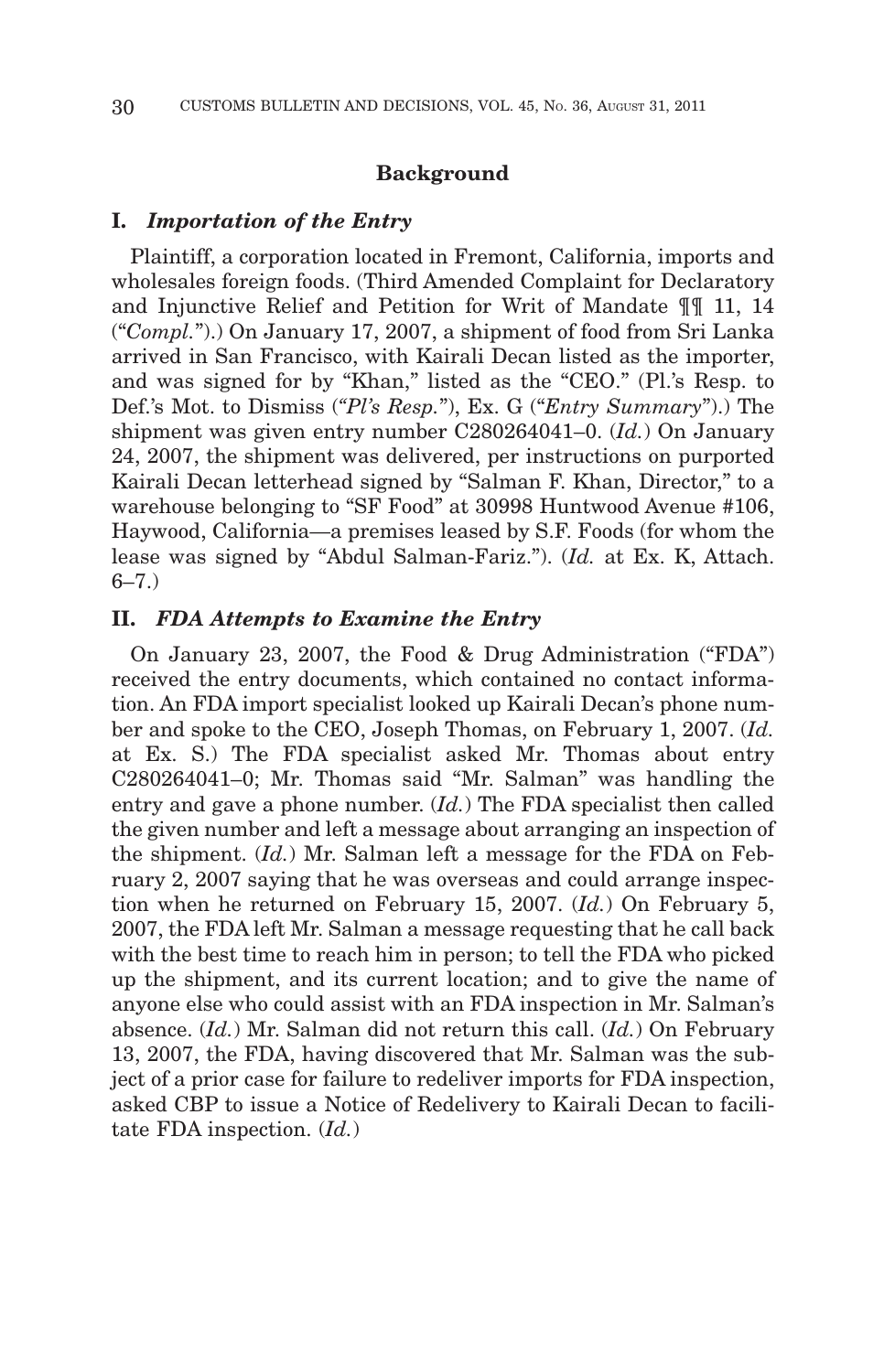## **Background**

#### **I.** *Importation of the Entry*

Plaintiff, a corporation located in Fremont, California, imports and wholesales foreign foods. (Third Amended Complaint for Declaratory and Injunctive Relief and Petition for Writ of Mandate ¶¶ 11, 14 ("*Compl.*").) On January 17, 2007, a shipment of food from Sri Lanka arrived in San Francisco, with Kairali Decan listed as the importer, and was signed for by "Khan," listed as the "CEO." (Pl.'s Resp. to Def.'s Mot. to Dismiss (*"Pl's Resp.*"), Ex. G ("*Entry Summary*").) The shipment was given entry number C280264041–0. (*Id.*) On January 24, 2007, the shipment was delivered, per instructions on purported Kairali Decan letterhead signed by "Salman F. Khan, Director," to a warehouse belonging to "SF Food" at 30998 Huntwood Avenue #106, Haywood, California—a premises leased by S.F. Foods (for whom the lease was signed by "Abdul Salman-Fariz."). (*Id.* at Ex. K, Attach.  $6 - 7.$ )

## **II.** *FDA Attempts to Examine the Entry*

On January 23, 2007, the Food & Drug Administration ("FDA") received the entry documents, which contained no contact information. An FDA import specialist looked up Kairali Decan's phone number and spoke to the CEO, Joseph Thomas, on February 1, 2007. (*Id.* at Ex. S.) The FDA specialist asked Mr. Thomas about entry C280264041–0; Mr. Thomas said "Mr. Salman" was handling the entry and gave a phone number. (*Id.*) The FDA specialist then called the given number and left a message about arranging an inspection of the shipment. (*Id.*) Mr. Salman left a message for the FDA on February 2, 2007 saying that he was overseas and could arrange inspection when he returned on February 15, 2007. (*Id.*) On February 5, 2007, the FDA left Mr. Salman a message requesting that he call back with the best time to reach him in person; to tell the FDA who picked up the shipment, and its current location; and to give the name of anyone else who could assist with an FDA inspection in Mr. Salman's absence. (*Id.*) Mr. Salman did not return this call. (*Id.*) On February 13, 2007, the FDA, having discovered that Mr. Salman was the subject of a prior case for failure to redeliver imports for FDA inspection, asked CBP to issue a Notice of Redelivery to Kairali Decan to facilitate FDA inspection. (*Id.*)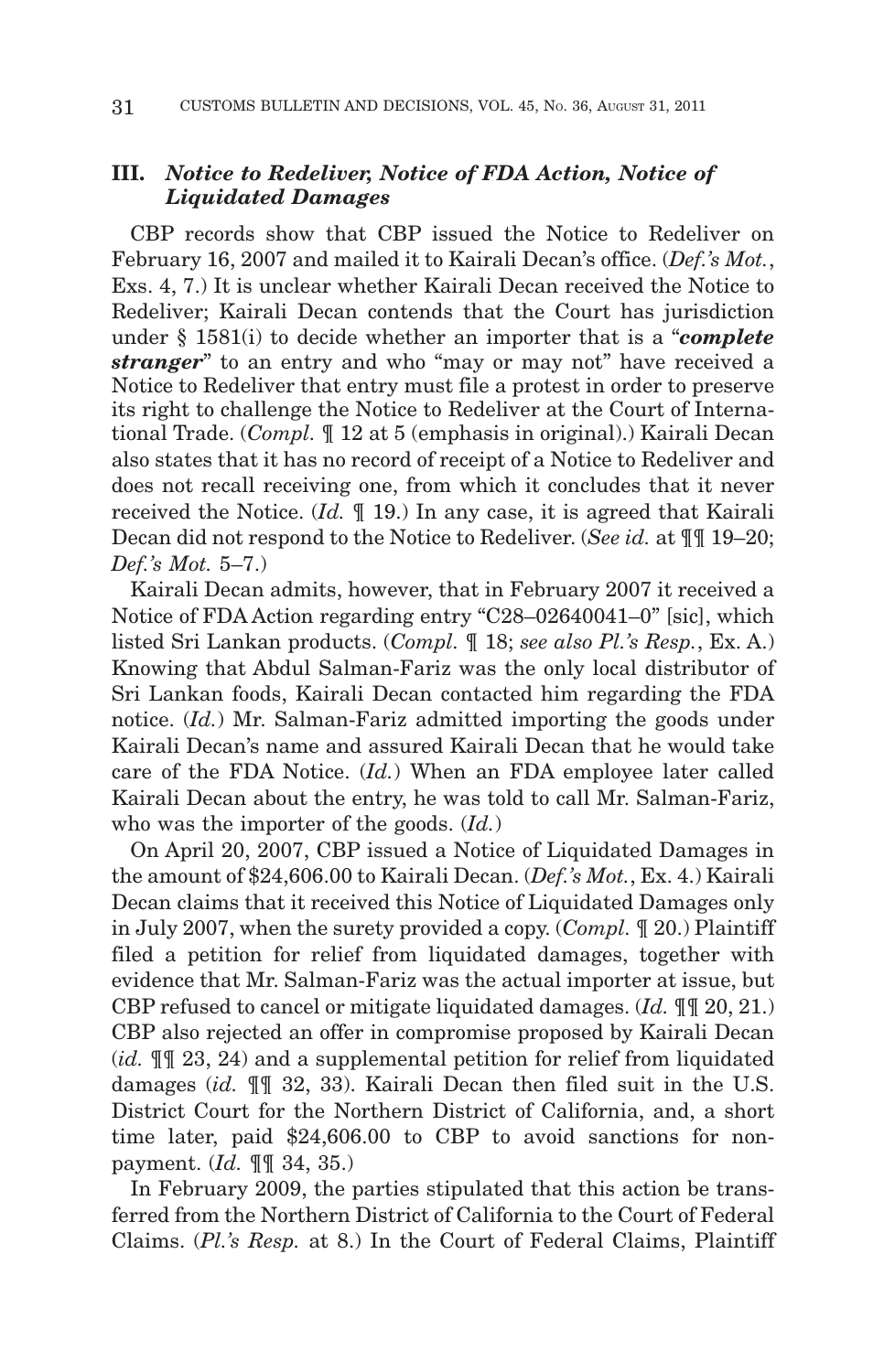# **III.** *Notice to Redeliver, Notice of FDA Action, Notice of Liquidated Damages*

CBP records show that CBP issued the Notice to Redeliver on February 16, 2007 and mailed it to Kairali Decan's office. (*Def.'s Mot.*, Exs. 4, 7.) It is unclear whether Kairali Decan received the Notice to Redeliver; Kairali Decan contends that the Court has jurisdiction under § 1581(i) to decide whether an importer that is a "*complete stranger*" to an entry and who "may or may not" have received a Notice to Redeliver that entry must file a protest in order to preserve its right to challenge the Notice to Redeliver at the Court of International Trade. (*Compl.* ¶ 12 at 5 (emphasis in original).) Kairali Decan also states that it has no record of receipt of a Notice to Redeliver and does not recall receiving one, from which it concludes that it never received the Notice. (*Id.* ¶ 19.) In any case, it is agreed that Kairali Decan did not respond to the Notice to Redeliver. (*See id.* at ¶¶ 19–20; *Def.'s Mot.* 5–7.)

Kairali Decan admits, however, that in February 2007 it received a Notice of FDA Action regarding entry "C28–02640041–0" [sic], which listed Sri Lankan products. (*Compl.* ¶ 18; *see also Pl.'s Resp.*, Ex. A.) Knowing that Abdul Salman-Fariz was the only local distributor of Sri Lankan foods, Kairali Decan contacted him regarding the FDA notice. (*Id.*) Mr. Salman-Fariz admitted importing the goods under Kairali Decan's name and assured Kairali Decan that he would take care of the FDA Notice. (*Id.*) When an FDA employee later called Kairali Decan about the entry, he was told to call Mr. Salman-Fariz, who was the importer of the goods. (*Id.*)

On April 20, 2007, CBP issued a Notice of Liquidated Damages in the amount of \$24,606.00 to Kairali Decan. (*Def.'s Mot.*, Ex. 4.) Kairali Decan claims that it received this Notice of Liquidated Damages only in July 2007, when the surety provided a copy. (*Compl.* ¶ 20.) Plaintiff filed a petition for relief from liquidated damages, together with evidence that Mr. Salman-Fariz was the actual importer at issue, but CBP refused to cancel or mitigate liquidated damages. (*Id.* ¶¶ 20, 21.) CBP also rejected an offer in compromise proposed by Kairali Decan (*id.* ¶¶ 23, 24) and a supplemental petition for relief from liquidated damages (*id.* ¶¶ 32, 33). Kairali Decan then filed suit in the U.S. District Court for the Northern District of California, and, a short time later, paid \$24,606.00 to CBP to avoid sanctions for nonpayment. (*Id.* ¶¶ 34, 35.)

In February 2009, the parties stipulated that this action be transferred from the Northern District of California to the Court of Federal Claims. (*Pl.'s Resp.* at 8.) In the Court of Federal Claims, Plaintiff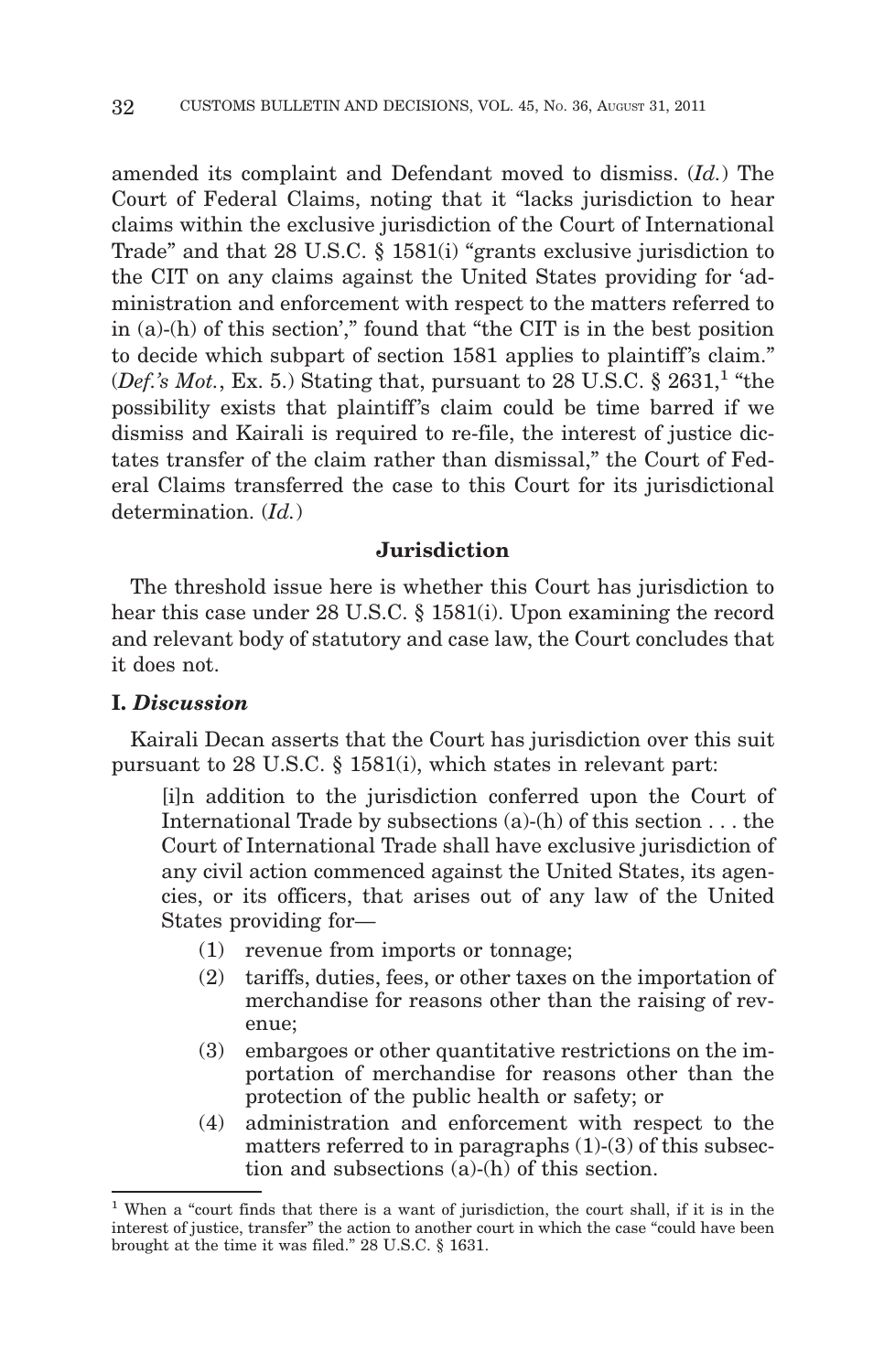amended its complaint and Defendant moved to dismiss. (*Id.*) The Court of Federal Claims, noting that it "lacks jurisdiction to hear claims within the exclusive jurisdiction of the Court of International Trade" and that 28 U.S.C. § 1581(i) "grants exclusive jurisdiction to the CIT on any claims against the United States providing for 'administration and enforcement with respect to the matters referred to in (a)-(h) of this section'," found that "the CIT is in the best position to decide which subpart of section 1581 applies to plaintiff's claim." (*Def.'s Mot.*, Ex. 5.) Stating that, pursuant to 28 U.S.C.  $\S$  2631,<sup>1</sup> "the possibility exists that plaintiff's claim could be time barred if we dismiss and Kairali is required to re-file, the interest of justice dictates transfer of the claim rather than dismissal," the Court of Federal Claims transferred the case to this Court for its jurisdictional determination. (*Id.*)

#### **Jurisdiction**

The threshold issue here is whether this Court has jurisdiction to hear this case under 28 U.S.C. § 1581(i). Upon examining the record and relevant body of statutory and case law, the Court concludes that it does not.

# **I.** *Discussion*

Kairali Decan asserts that the Court has jurisdiction over this suit pursuant to 28 U.S.C. § 1581(i), which states in relevant part:

[i]n addition to the jurisdiction conferred upon the Court of International Trade by subsections (a)-(h) of this section . . . the Court of International Trade shall have exclusive jurisdiction of any civil action commenced against the United States, its agencies, or its officers, that arises out of any law of the United States providing for—

- (1) revenue from imports or tonnage;
- (2) tariffs, duties, fees, or other taxes on the importation of merchandise for reasons other than the raising of revenue;
- (3) embargoes or other quantitative restrictions on the importation of merchandise for reasons other than the protection of the public health or safety; or
- (4) administration and enforcement with respect to the matters referred to in paragraphs (1)-(3) of this subsection and subsections (a)-(h) of this section.

<sup>1</sup> When a "court finds that there is a want of jurisdiction, the court shall, if it is in the interest of justice, transfer" the action to another court in which the case "could have been brought at the time it was filed." 28 U.S.C. § 1631.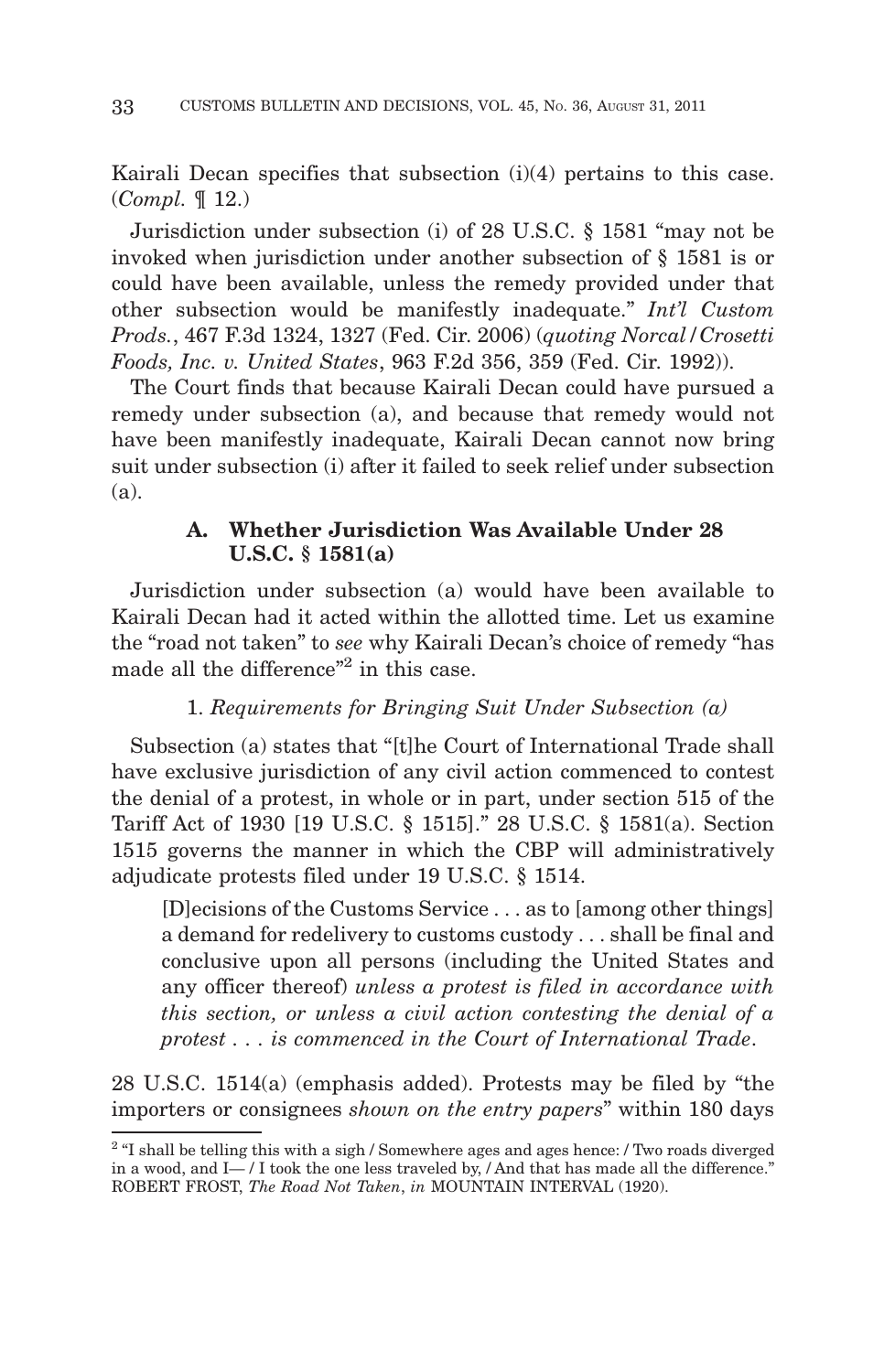Kairali Decan specifies that subsection (i)(4) pertains to this case. (*Compl.* ¶ 12.)

Jurisdiction under subsection (i) of 28 U.S.C. § 1581 "may not be invoked when jurisdiction under another subsection of § 1581 is or could have been available, unless the remedy provided under that other subsection would be manifestly inadequate." *Int'l Custom Prods.*, 467 F.3d 1324, 1327 (Fed. Cir. 2006) (*quoting Norcal/Crosetti Foods, Inc. v. United States*, 963 F.2d 356, 359 (Fed. Cir. 1992)).

The Court finds that because Kairali Decan could have pursued a remedy under subsection (a), and because that remedy would not have been manifestly inadequate, Kairali Decan cannot now bring suit under subsection (i) after it failed to seek relief under subsection (a).

# **A. Whether Jurisdiction Was Available Under 28 U.S.C. § 1581(a)**

Jurisdiction under subsection (a) would have been available to Kairali Decan had it acted within the allotted time. Let us examine the "road not taken" to *see* why Kairali Decan's choice of remedy "has made all the difference"<sup>2</sup> in this case.

# 1. *Requirements for Bringing Suit Under Subsection (a)*

Subsection (a) states that "[t]he Court of International Trade shall have exclusive jurisdiction of any civil action commenced to contest the denial of a protest, in whole or in part, under section 515 of the Tariff Act of 1930 [19 U.S.C. § 1515]." 28 U.S.C. § 1581(a). Section 1515 governs the manner in which the CBP will administratively adjudicate protests filed under 19 U.S.C. § 1514.

[D]ecisions of the Customs Service . . . as to [among other things] a demand for redelivery to customs custody... shall be final and conclusive upon all persons (including the United States and any officer thereof) *unless a protest is filed in accordance with this section, or unless a civil action contesting the denial of a protest . . . is commenced in the Court of International Trade*.

28 U.S.C. 1514(a) (emphasis added). Protests may be filed by "the importers or consignees *shown on the entry papers*" within 180 days

<sup>&</sup>lt;sup>2</sup> "I shall be telling this with a sigh / Somewhere ages and ages hence: / Two roads diverged in a wood, and  $I - / I$  took the one less traveled by,  $/$  And that has made all the difference." ROBERT FROST, *The Road Not Taken*, *in* MOUNTAIN INTERVAL (1920).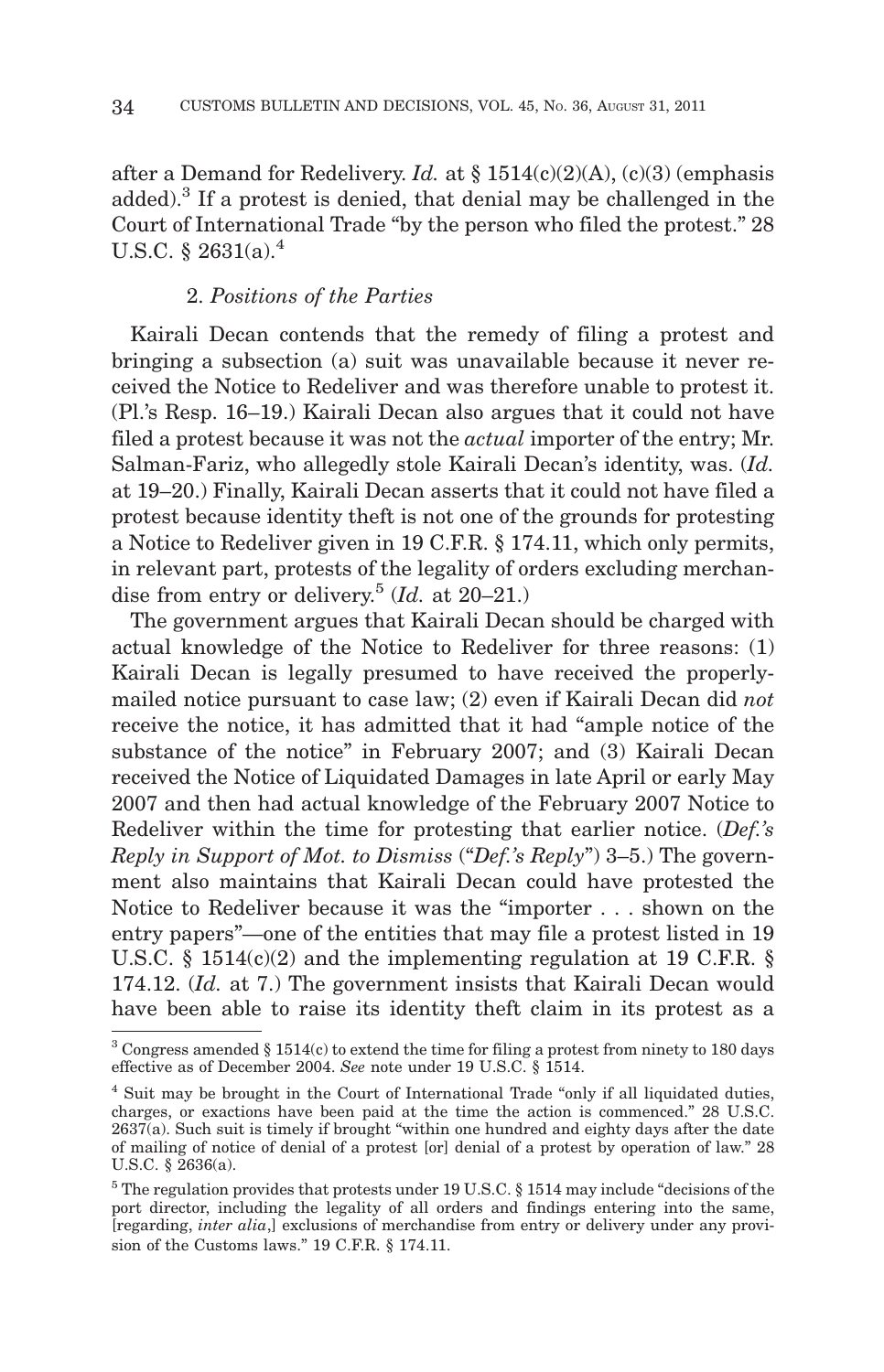after a Demand for Redelivery. *Id.* at § 1514(c)(2)(A), (c)(3) (emphasis added).3 If a protest is denied, that denial may be challenged in the Court of International Trade "by the person who filed the protest." 28 U.S.C.  $§$  2631(a).<sup>4</sup>

# 2. *Positions of the Parties*

Kairali Decan contends that the remedy of filing a protest and bringing a subsection (a) suit was unavailable because it never received the Notice to Redeliver and was therefore unable to protest it. (Pl.'s Resp. 16–19.) Kairali Decan also argues that it could not have filed a protest because it was not the *actual* importer of the entry; Mr. Salman-Fariz, who allegedly stole Kairali Decan's identity, was. (*Id.* at 19–20.) Finally, Kairali Decan asserts that it could not have filed a protest because identity theft is not one of the grounds for protesting a Notice to Redeliver given in 19 C.F.R. § 174.11, which only permits, in relevant part, protests of the legality of orders excluding merchandise from entry or delivery.5 (*Id.* at 20–21.)

The government argues that Kairali Decan should be charged with actual knowledge of the Notice to Redeliver for three reasons: (1) Kairali Decan is legally presumed to have received the properlymailed notice pursuant to case law; (2) even if Kairali Decan did *not* receive the notice, it has admitted that it had "ample notice of the substance of the notice" in February 2007; and (3) Kairali Decan received the Notice of Liquidated Damages in late April or early May 2007 and then had actual knowledge of the February 2007 Notice to Redeliver within the time for protesting that earlier notice. (*Def.'s Reply in Support of Mot. to Dismiss* ("*Def.'s Reply*") 3–5.) The government also maintains that Kairali Decan could have protested the Notice to Redeliver because it was the "importer... shown on the entry papers"—one of the entities that may file a protest listed in 19 U.S.C. § 1514(c)(2) and the implementing regulation at 19 C.F.R. § 174.12. (*Id.* at 7.) The government insists that Kairali Decan would have been able to raise its identity theft claim in its protest as a

 $3$  Congress amended  $\S 1514(c)$  to extend the time for filing a protest from ninety to 180 days effective as of December 2004. *See* note under 19 U.S.C. § 1514.

<sup>4</sup> Suit may be brought in the Court of International Trade "only if all liquidated duties, charges, or exactions have been paid at the time the action is commenced." 28 U.S.C. 2637(a). Such suit is timely if brought "within one hundred and eighty days after the date of mailing of notice of denial of a protest [or] denial of a protest by operation of law." 28 U.S.C. § 2636(a).

<sup>5</sup> The regulation provides that protests under 19 U.S.C. § 1514 may include "decisions of the port director, including the legality of all orders and findings entering into the same, [regarding, *inter alia*,] exclusions of merchandise from entry or delivery under any provision of the Customs laws." 19 C.F.R. § 174.11.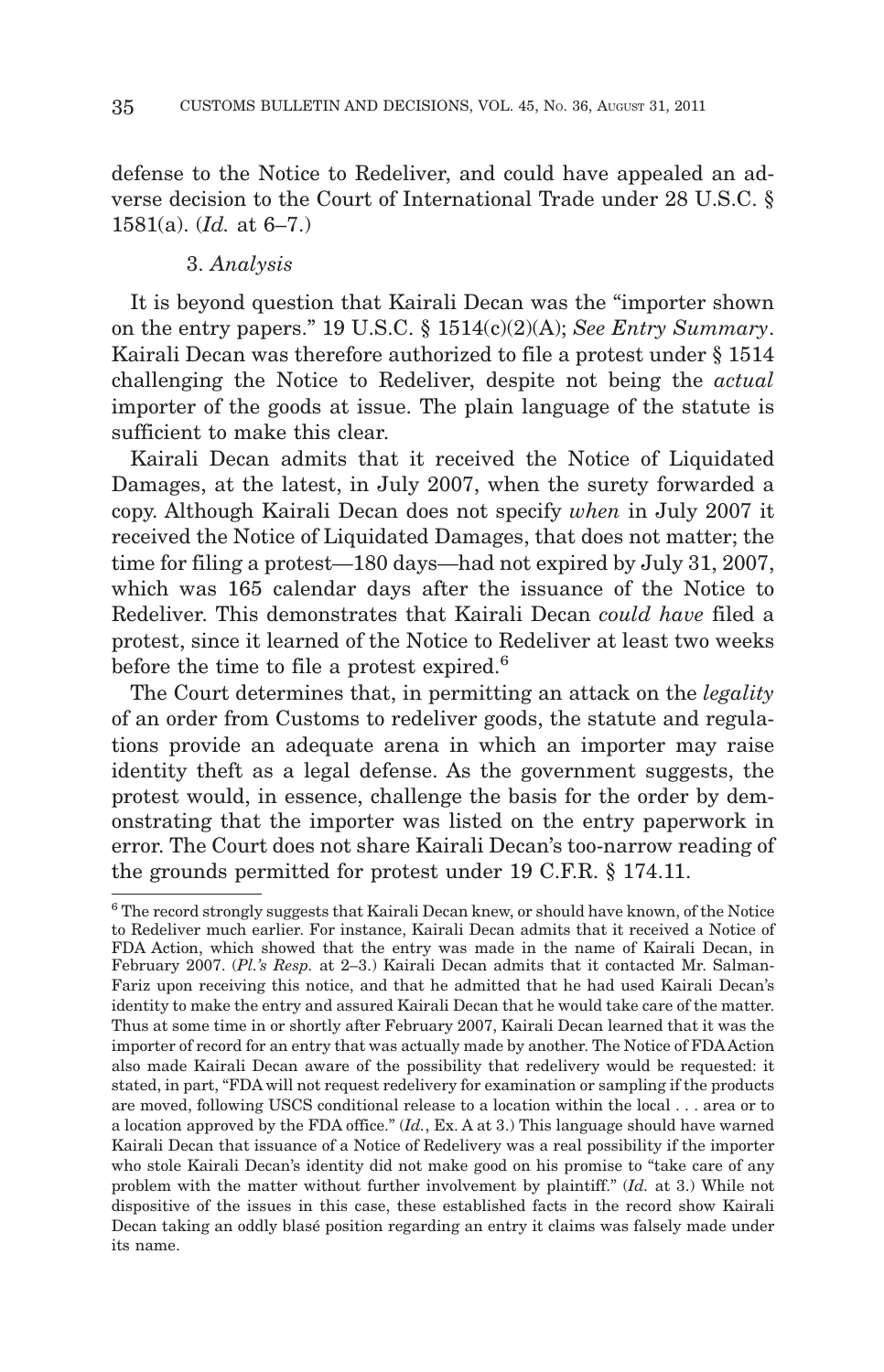defense to the Notice to Redeliver, and could have appealed an adverse decision to the Court of International Trade under 28 U.S.C. § 1581(a). (*Id.* at 6–7.)

## 3. *Analysis*

It is beyond question that Kairali Decan was the "importer shown on the entry papers." 19 U.S.C. § 1514(c)(2)(A); *See Entry Summary*. Kairali Decan was therefore authorized to file a protest under § 1514 challenging the Notice to Redeliver, despite not being the *actual* importer of the goods at issue. The plain language of the statute is sufficient to make this clear.

Kairali Decan admits that it received the Notice of Liquidated Damages, at the latest, in July 2007, when the surety forwarded a copy. Although Kairali Decan does not specify *when* in July 2007 it received the Notice of Liquidated Damages, that does not matter; the time for filing a protest—180 days—had not expired by July 31, 2007, which was 165 calendar days after the issuance of the Notice to Redeliver. This demonstrates that Kairali Decan *could have* filed a protest, since it learned of the Notice to Redeliver at least two weeks before the time to file a protest expired.<sup>6</sup>

The Court determines that, in permitting an attack on the *legality* of an order from Customs to redeliver goods, the statute and regulations provide an adequate arena in which an importer may raise identity theft as a legal defense. As the government suggests, the protest would, in essence, challenge the basis for the order by demonstrating that the importer was listed on the entry paperwork in error. The Court does not share Kairali Decan's too-narrow reading of the grounds permitted for protest under 19 C.F.R. § 174.11.

<sup>6</sup> The record strongly suggests that Kairali Decan knew, or should have known, of the Notice to Redeliver much earlier. For instance, Kairali Decan admits that it received a Notice of FDA Action, which showed that the entry was made in the name of Kairali Decan, in February 2007. (*Pl.'s Resp.* at 2–3.) Kairali Decan admits that it contacted Mr. Salman-Fariz upon receiving this notice, and that he admitted that he had used Kairali Decan's identity to make the entry and assured Kairali Decan that he would take care of the matter. Thus at some time in or shortly after February 2007, Kairali Decan learned that it was the importer of record for an entry that was actually made by another. The Notice of FDAAction also made Kairali Decan aware of the possibility that redelivery would be requested: it stated, in part, "FDA will not request redelivery for examination or sampling if the products are moved, following USCS conditional release to a location within the local... area or to a location approved by the FDA office." (*Id.*, Ex. A at 3.) This language should have warned Kairali Decan that issuance of a Notice of Redelivery was a real possibility if the importer who stole Kairali Decan's identity did not make good on his promise to "take care of any problem with the matter without further involvement by plaintiff." (*Id.* at 3.) While not dispositive of the issues in this case, these established facts in the record show Kairali Decan taking an oddly blasé position regarding an entry it claims was falsely made under its name.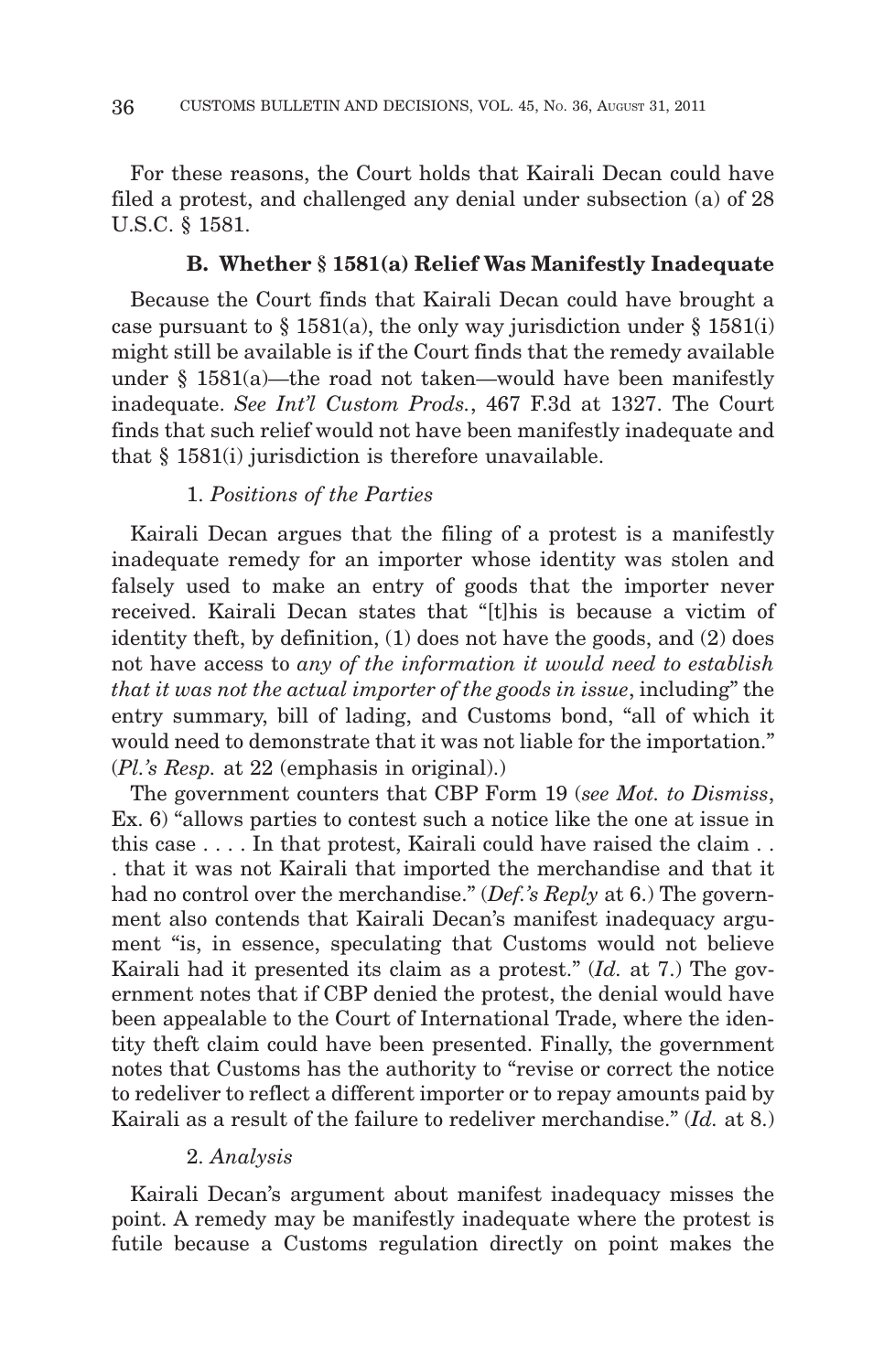For these reasons, the Court holds that Kairali Decan could have filed a protest, and challenged any denial under subsection (a) of 28 U.S.C. § 1581.

## **B. Whether § 1581(a) Relief Was Manifestly Inadequate**

Because the Court finds that Kairali Decan could have brought a case pursuant to  $\S 1581(a)$ , the only way jurisdiction under  $\S 1581(i)$ might still be available is if the Court finds that the remedy available under § 1581(a)—the road not taken—would have been manifestly inadequate. *See Int'l Custom Prods.*, 467 F.3d at 1327. The Court finds that such relief would not have been manifestly inadequate and that § 1581(i) jurisdiction is therefore unavailable.

# 1. *Positions of the Parties*

Kairali Decan argues that the filing of a protest is a manifestly inadequate remedy for an importer whose identity was stolen and falsely used to make an entry of goods that the importer never received. Kairali Decan states that "[t]his is because a victim of identity theft, by definition, (1) does not have the goods, and (2) does not have access to *any of the information it would need to establish that it was not the actual importer of the goods in issue*, including" the entry summary, bill of lading, and Customs bond, "all of which it would need to demonstrate that it was not liable for the importation." (*Pl.'s Resp.* at 22 (emphasis in original).)

The government counters that CBP Form 19 (*see Mot. to Dismiss*, Ex. 6) "allows parties to contest such a notice like the one at issue in this case . . . . In that protest, Kairali could have raised the claim . . . that it was not Kairali that imported the merchandise and that it had no control over the merchandise." (*Def.'s Reply* at 6.) The government also contends that Kairali Decan's manifest inadequacy argument "is, in essence, speculating that Customs would not believe Kairali had it presented its claim as a protest." (*Id.* at 7.) The government notes that if CBP denied the protest, the denial would have been appealable to the Court of International Trade, where the identity theft claim could have been presented. Finally, the government notes that Customs has the authority to "revise or correct the notice to redeliver to reflect a different importer or to repay amounts paid by Kairali as a result of the failure to redeliver merchandise." (*Id.* at 8.)

## 2. *Analysis*

Kairali Decan's argument about manifest inadequacy misses the point. A remedy may be manifestly inadequate where the protest is futile because a Customs regulation directly on point makes the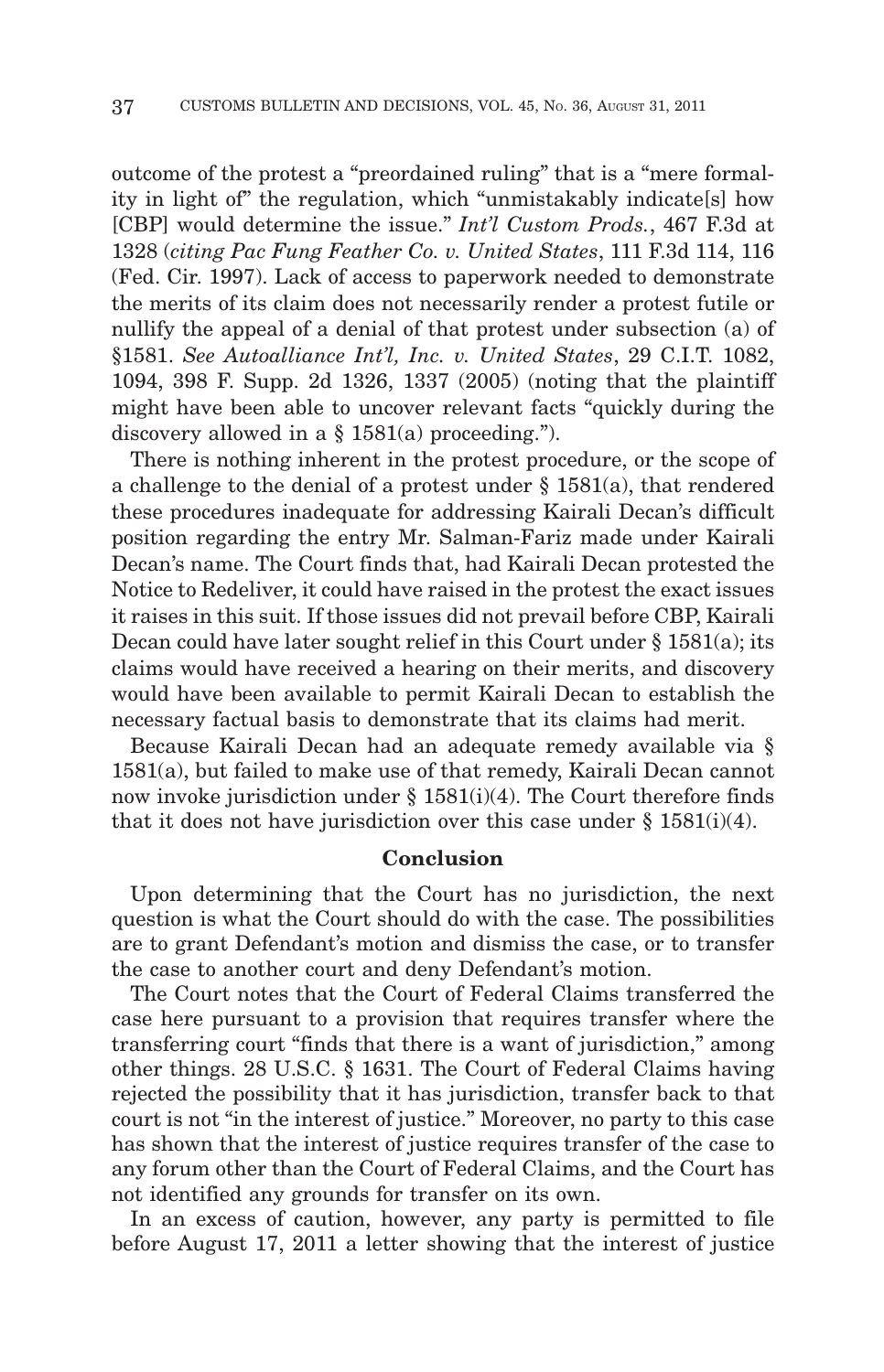outcome of the protest a "preordained ruling" that is a "mere formality in light of" the regulation, which "unmistakably indicate[s] how [CBP] would determine the issue." *Int'l Custom Prods.*, 467 F.3d at 1328 (*citing Pac Fung Feather Co. v. United States*, 111 F.3d 114, 116 (Fed. Cir. 1997). Lack of access to paperwork needed to demonstrate the merits of its claim does not necessarily render a protest futile or nullify the appeal of a denial of that protest under subsection (a) of §1581. *See Autoalliance Int'l, Inc. v. United States*, 29 C.I.T. 1082, 1094, 398 F. Supp. 2d 1326, 1337 (2005) (noting that the plaintiff might have been able to uncover relevant facts "quickly during the discovery allowed in a  $\S$  1581(a) proceeding.").

There is nothing inherent in the protest procedure, or the scope of a challenge to the denial of a protest under  $\S$  1581(a), that rendered these procedures inadequate for addressing Kairali Decan's difficult position regarding the entry Mr. Salman-Fariz made under Kairali Decan's name. The Court finds that, had Kairali Decan protested the Notice to Redeliver, it could have raised in the protest the exact issues it raises in this suit. If those issues did not prevail before CBP, Kairali Decan could have later sought relief in this Court under  $\S 1581(a)$ ; its claims would have received a hearing on their merits, and discovery would have been available to permit Kairali Decan to establish the necessary factual basis to demonstrate that its claims had merit.

Because Kairali Decan had an adequate remedy available via § 1581(a), but failed to make use of that remedy, Kairali Decan cannot now invoke jurisdiction under  $\S$  1581(i)(4). The Court therefore finds that it does not have jurisdiction over this case under  $\S 1581(i)(4)$ .

## **Conclusion**

Upon determining that the Court has no jurisdiction, the next question is what the Court should do with the case. The possibilities are to grant Defendant's motion and dismiss the case, or to transfer the case to another court and deny Defendant's motion.

The Court notes that the Court of Federal Claims transferred the case here pursuant to a provision that requires transfer where the transferring court "finds that there is a want of jurisdiction," among other things. 28 U.S.C. § 1631. The Court of Federal Claims having rejected the possibility that it has jurisdiction, transfer back to that court is not "in the interest of justice." Moreover, no party to this case has shown that the interest of justice requires transfer of the case to any forum other than the Court of Federal Claims, and the Court has not identified any grounds for transfer on its own.

In an excess of caution, however, any party is permitted to file before August 17, 2011 a letter showing that the interest of justice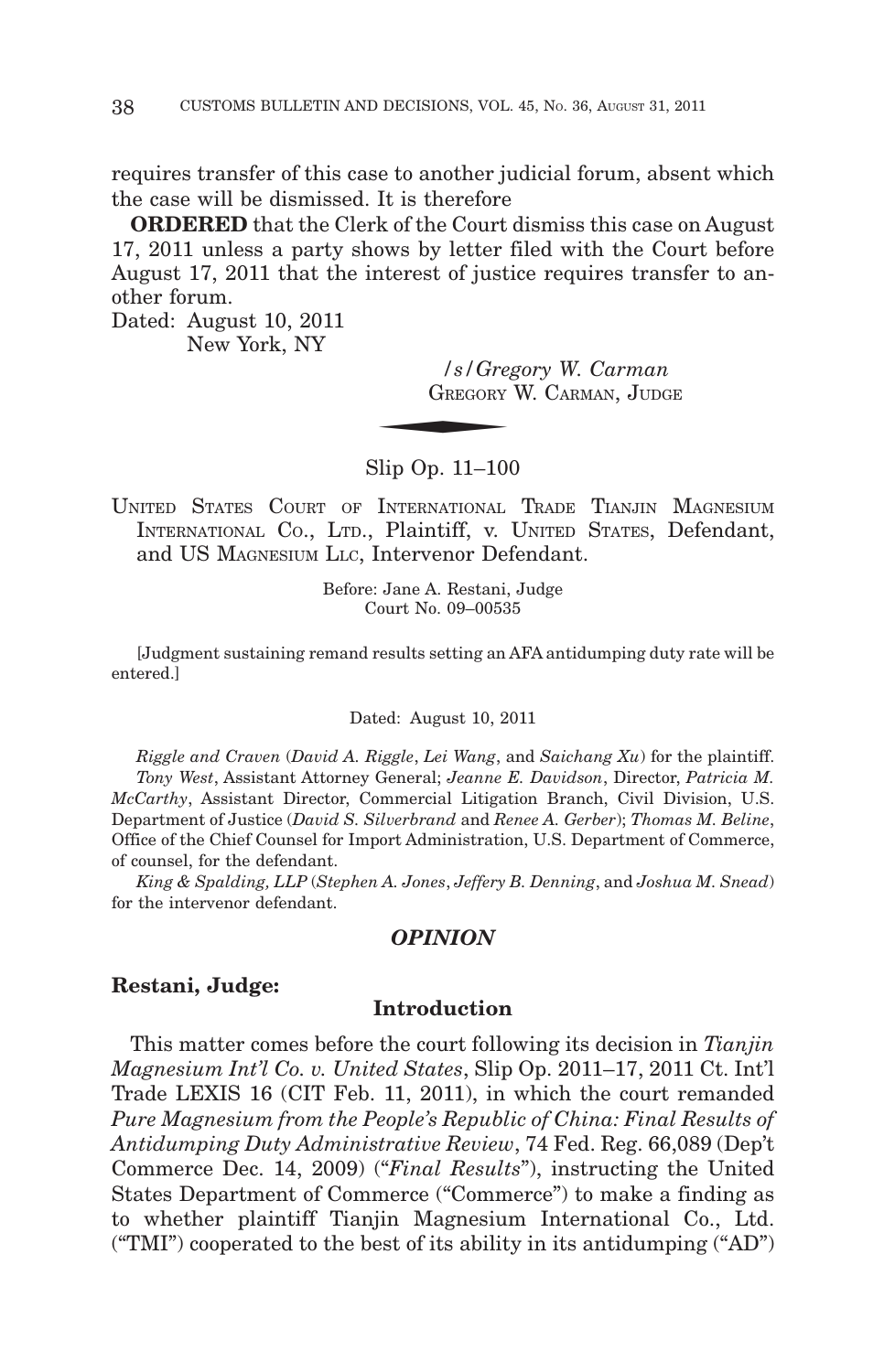requires transfer of this case to another judicial forum, absent which the case will be dismissed. It is therefore

**ORDERED** that the Clerk of the Court dismiss this case on August 17, 2011 unless a party shows by letter filed with the Court before August 17, 2011 that the interest of justice requires transfer to another forum.  $\frac{{\cal S}/{\cal G}re_3}{{\cal G}REGORITHMrm G}$ 

Dated: August 10, 2011 New York, NY

> */s/Gregory W. Carman* GREGORY W. CARMAN, JUDGE

Slip Op. 11–100

UNITED STATES COURT OF INTERNATIONAL TRADE TIANJIN MAGNESIUM INTERNATIONAL CO., LTD., Plaintiff, v. UNITED STATES, Defendant, and US MAGNESIUM LLC, Intervenor Defendant.

> Before: Jane A. Restani, Judge Court No. 09–00535

[Judgment sustaining remand results setting an AFA antidumping duty rate will be entered.]

Dated: August 10, 2011

*Riggle and Craven* (*David A. Riggle*, *Lei Wang*, and *Saichang Xu*) for the plaintiff. *Tony West*, Assistant Attorney General; *Jeanne E. Davidson*, Director, *Patricia M. McCarthy*, Assistant Director, Commercial Litigation Branch, Civil Division, U.S. Department of Justice (*David S. Silverbrand* and *Renee A. Gerber*); *Thomas M. Beline*, Office of the Chief Counsel for Import Administration, U.S. Department of Commerce, of counsel, for the defendant.

*King & Spalding, LLP* (*Stephen A. Jones*, *Jeffery B. Denning*, and *Joshua M. Snead*) for the intervenor defendant.

# *OPINION*

#### **Restani, Judge:**

# **Introduction**

This matter comes before the court following its decision in *Tianjin Magnesium Int'l Co. v. United States*, Slip Op. 2011–17, 2011 Ct. Int'l Trade LEXIS 16 (CIT Feb. 11, 2011), in which the court remanded *Pure Magnesium from the People's Republic of China: Final Results of Antidumping Duty Administrative Review*, 74 Fed. Reg. 66,089 (Dep't Commerce Dec. 14, 2009) ("*Final Results*"), instructing the United States Department of Commerce ("Commerce") to make a finding as to whether plaintiff Tianjin Magnesium International Co., Ltd. ("TMI") cooperated to the best of its ability in its antidumping ("AD")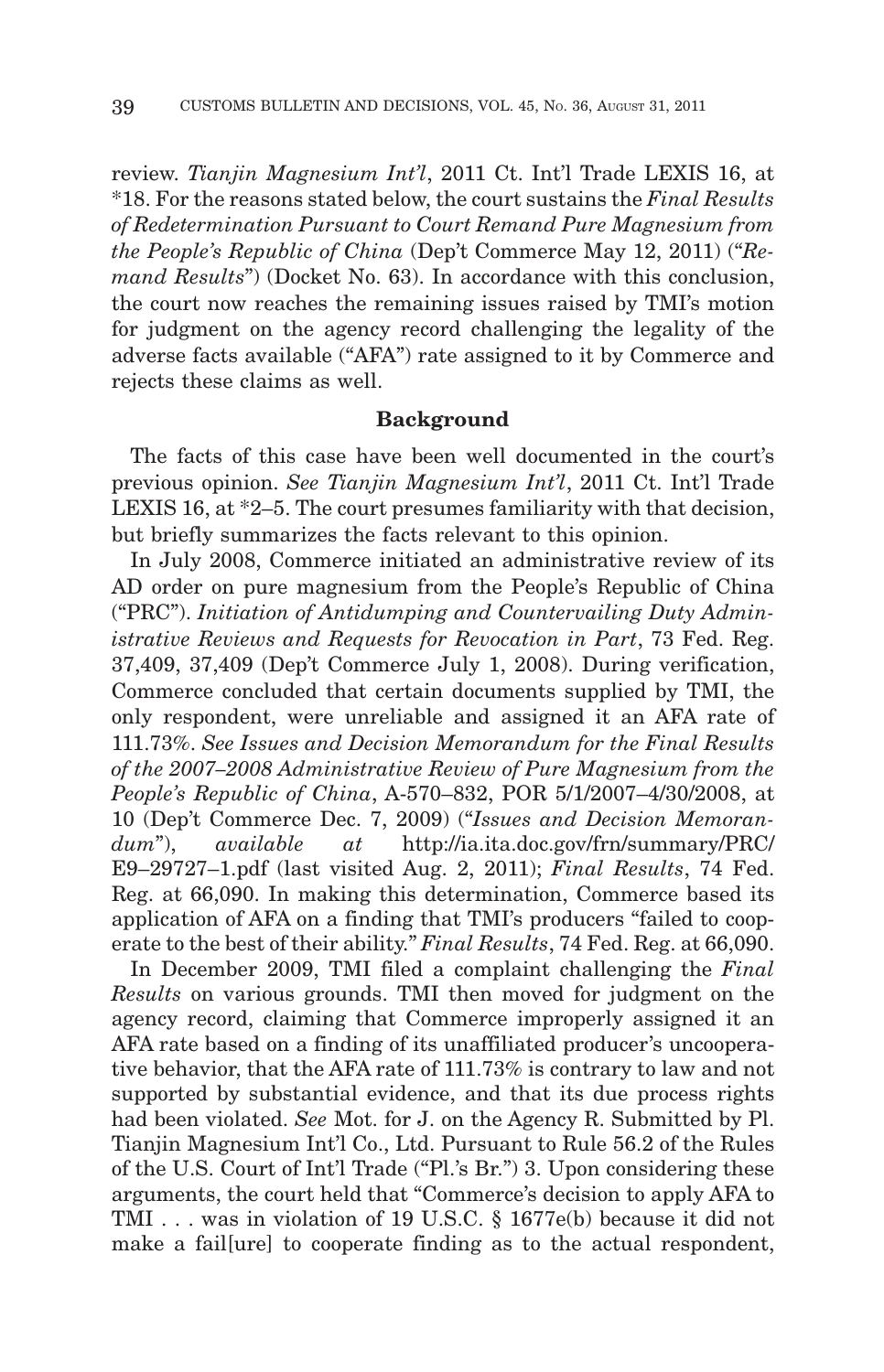review. *Tianjin Magnesium Int'l*, 2011 Ct. Int'l Trade LEXIS 16, at \*18. For the reasons stated below, the court sustains the *Final Results of Redetermination Pursuant to Court Remand Pure Magnesium from the People's Republic of China* (Dep't Commerce May 12, 2011) ("*Remand Results*") (Docket No. 63). In accordance with this conclusion, the court now reaches the remaining issues raised by TMI's motion for judgment on the agency record challenging the legality of the adverse facts available ("AFA") rate assigned to it by Commerce and rejects these claims as well.

#### **Background**

The facts of this case have been well documented in the court's previous opinion. *See Tianjin Magnesium Int'l*, 2011 Ct. Int'l Trade LEXIS 16, at \*2–5. The court presumes familiarity with that decision, but briefly summarizes the facts relevant to this opinion.

In July 2008, Commerce initiated an administrative review of its AD order on pure magnesium from the People's Republic of China ("PRC"). *Initiation of Antidumping and Countervailing Duty Administrative Reviews and Requests for Revocation in Part*, 73 Fed. Reg. 37,409, 37,409 (Dep't Commerce July 1, 2008). During verification, Commerce concluded that certain documents supplied by TMI, the only respondent, were unreliable and assigned it an AFA rate of 111.73%. *See Issues and Decision Memorandum for the Final Results of the 2007–2008 Administrative Review of Pure Magnesium from the People's Republic of China*, A-570–832, POR 5/1/2007–4/30/2008, at 10 (Dep't Commerce Dec. 7, 2009) ("*Issues and Decision Memorandum*"), *available at* http://ia.ita.doc.gov/frn/summary/PRC/ E9–29727–1.pdf (last visited Aug. 2, 2011); *Final Results*, 74 Fed. Reg. at 66,090. In making this determination, Commerce based its application of AFA on a finding that TMI's producers "failed to cooperate to the best of their ability." *Final Results*, 74 Fed. Reg. at 66,090.

In December 2009, TMI filed a complaint challenging the *Final Results* on various grounds. TMI then moved for judgment on the agency record, claiming that Commerce improperly assigned it an AFA rate based on a finding of its unaffiliated producer's uncooperative behavior, that the AFA rate of 111.73% is contrary to law and not supported by substantial evidence, and that its due process rights had been violated. *See* Mot. for J. on the Agency R. Submitted by Pl. Tianjin Magnesium Int'l Co., Ltd. Pursuant to Rule 56.2 of the Rules of the U.S. Court of Int'l Trade ("Pl.'s Br.") 3. Upon considering these arguments, the court held that "Commerce's decision to apply AFA to TMI . . . was in violation of 19 U.S.C. § 1677e(b) because it did not make a fail[ure] to cooperate finding as to the actual respondent,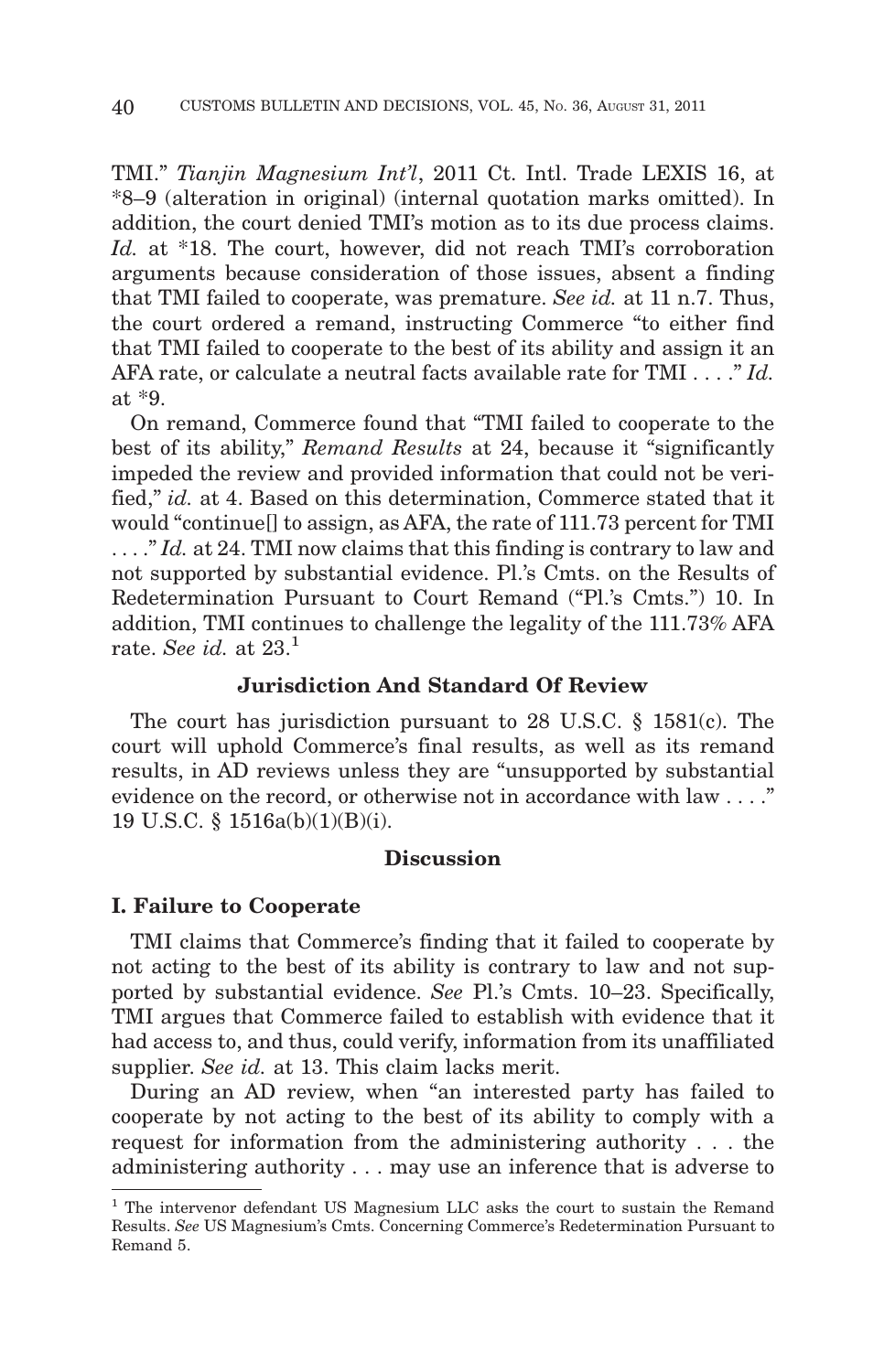TMI." *Tianjin Magnesium Int'l*, 2011 Ct. Intl. Trade LEXIS 16, at \*8–9 (alteration in original) (internal quotation marks omitted). In addition, the court denied TMI's motion as to its due process claims. *Id.* at \*18. The court, however, did not reach TMI's corroboration arguments because consideration of those issues, absent a finding that TMI failed to cooperate, was premature. *See id.* at 11 n.7. Thus, the court ordered a remand, instructing Commerce "to either find that TMI failed to cooperate to the best of its ability and assign it an AFA rate, or calculate a neutral facts available rate for TMI . . . ." *Id.* at \*9.

On remand, Commerce found that "TMI failed to cooperate to the best of its ability," *Remand Results* at 24, because it "significantly impeded the review and provided information that could not be verified," *id.* at 4. Based on this determination, Commerce stated that it would "continue[] to assign, as AFA, the rate of 111.73 percent for TMI ...." *Id.* at 24. TMI now claims that this finding is contrary to law and not supported by substantial evidence. Pl.'s Cmts. on the Results of Redetermination Pursuant to Court Remand ("Pl.'s Cmts.") 10. In addition, TMI continues to challenge the legality of the 111.73% AFA rate. *See id.* at 23.1

## **Jurisdiction And Standard Of Review**

The court has jurisdiction pursuant to 28 U.S.C. § 1581(c). The court will uphold Commerce's final results, as well as its remand results, in AD reviews unless they are "unsupported by substantial evidence on the record, or otherwise not in accordance with law . . . ." 19 U.S.C. § 1516a(b)(1)(B)(i).

## **Discussion**

#### **I. Failure to Cooperate**

TMI claims that Commerce's finding that it failed to cooperate by not acting to the best of its ability is contrary to law and not supported by substantial evidence. *See* Pl.'s Cmts. 10–23. Specifically, TMI argues that Commerce failed to establish with evidence that it had access to, and thus, could verify, information from its unaffiliated supplier. *See id.* at 13. This claim lacks merit.

During an AD review, when "an interested party has failed to cooperate by not acting to the best of its ability to comply with a request for information from the administering authority . . . the administering authority . . . may use an inference that is adverse to

<sup>1</sup> The intervenor defendant US Magnesium LLC asks the court to sustain the Remand Results. *See* US Magnesium's Cmts. Concerning Commerce's Redetermination Pursuant to Remand 5.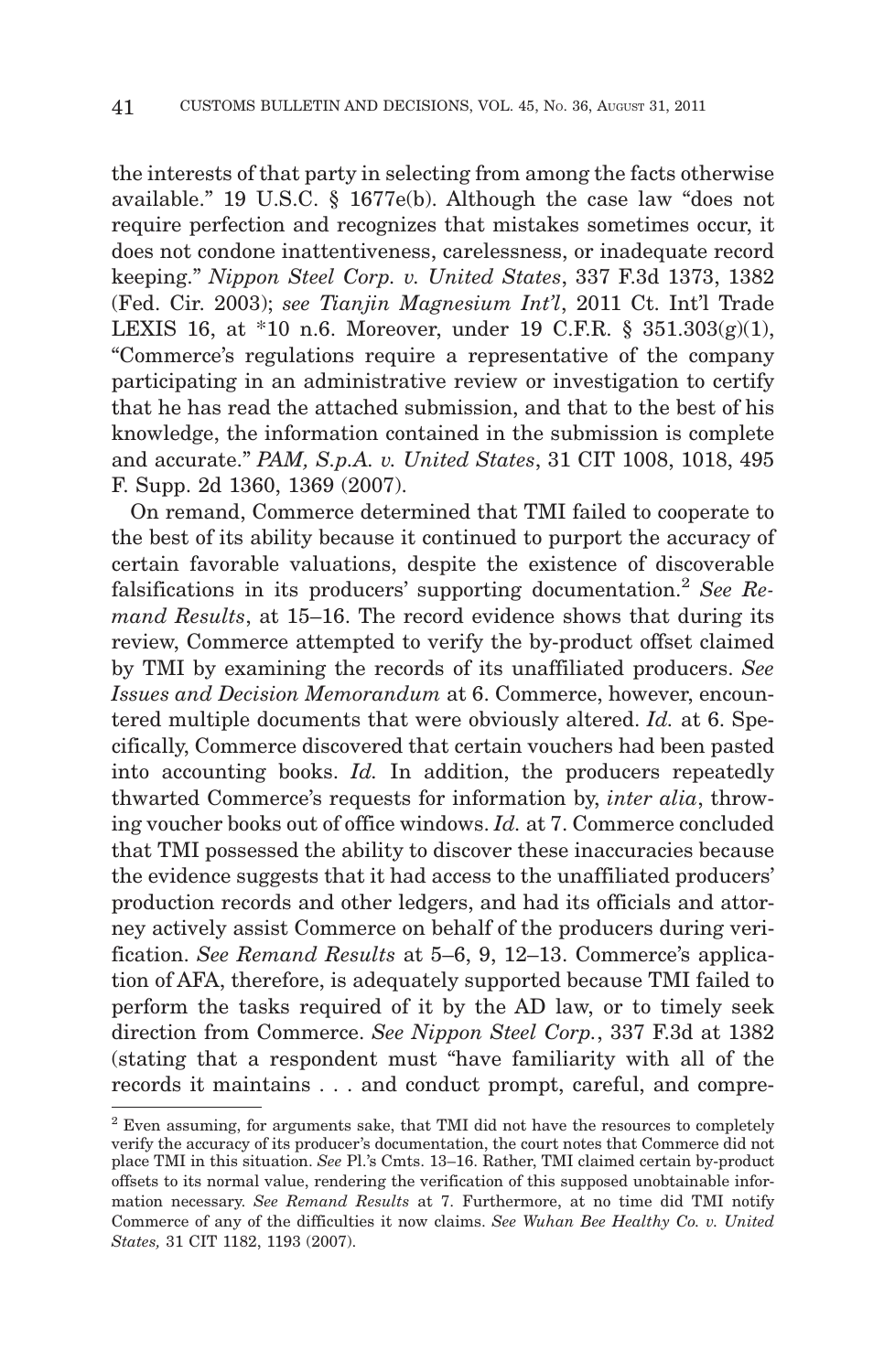the interests of that party in selecting from among the facts otherwise available." 19 U.S.C. § 1677e(b). Although the case law "does not require perfection and recognizes that mistakes sometimes occur, it does not condone inattentiveness, carelessness, or inadequate record keeping." *Nippon Steel Corp. v. United States*, 337 F.3d 1373, 1382 (Fed. Cir. 2003); *see Tianjin Magnesium Int'l*, 2011 Ct. Int'l Trade LEXIS 16, at \*10 n.6. Moreover, under 19 C.F.R. §  $351.303(g)(1)$ , "Commerce's regulations require a representative of the company participating in an administrative review or investigation to certify that he has read the attached submission, and that to the best of his knowledge, the information contained in the submission is complete and accurate." *PAM, S.p.A. v. United States*, 31 CIT 1008, 1018, 495 F. Supp. 2d 1360, 1369 (2007).

On remand, Commerce determined that TMI failed to cooperate to the best of its ability because it continued to purport the accuracy of certain favorable valuations, despite the existence of discoverable falsifications in its producers' supporting documentation.2 *See Remand Results*, at 15–16. The record evidence shows that during its review, Commerce attempted to verify the by-product offset claimed by TMI by examining the records of its unaffiliated producers. *See Issues and Decision Memorandum* at 6. Commerce, however, encountered multiple documents that were obviously altered. *Id.* at 6. Specifically, Commerce discovered that certain vouchers had been pasted into accounting books. *Id.* In addition, the producers repeatedly thwarted Commerce's requests for information by, *inter alia*, throwing voucher books out of office windows. *Id.* at 7. Commerce concluded that TMI possessed the ability to discover these inaccuracies because the evidence suggests that it had access to the unaffiliated producers' production records and other ledgers, and had its officials and attorney actively assist Commerce on behalf of the producers during verification. *See Remand Results* at 5–6, 9, 12–13. Commerce's application of AFA, therefore, is adequately supported because TMI failed to perform the tasks required of it by the AD law, or to timely seek direction from Commerce. *See Nippon Steel Corp.*, 337 F.3d at 1382 (stating that a respondent must "have familiarity with all of the records it maintains . . . and conduct prompt, careful, and compre-

<sup>2</sup> Even assuming, for arguments sake, that TMI did not have the resources to completely verify the accuracy of its producer's documentation, the court notes that Commerce did not place TMI in this situation. *See* Pl.'s Cmts. 13–16. Rather, TMI claimed certain by-product offsets to its normal value, rendering the verification of this supposed unobtainable information necessary. *See Remand Results* at 7. Furthermore, at no time did TMI notify Commerce of any of the difficulties it now claims. *See Wuhan Bee Healthy Co. v. United States,* 31 CIT 1182, 1193 (2007).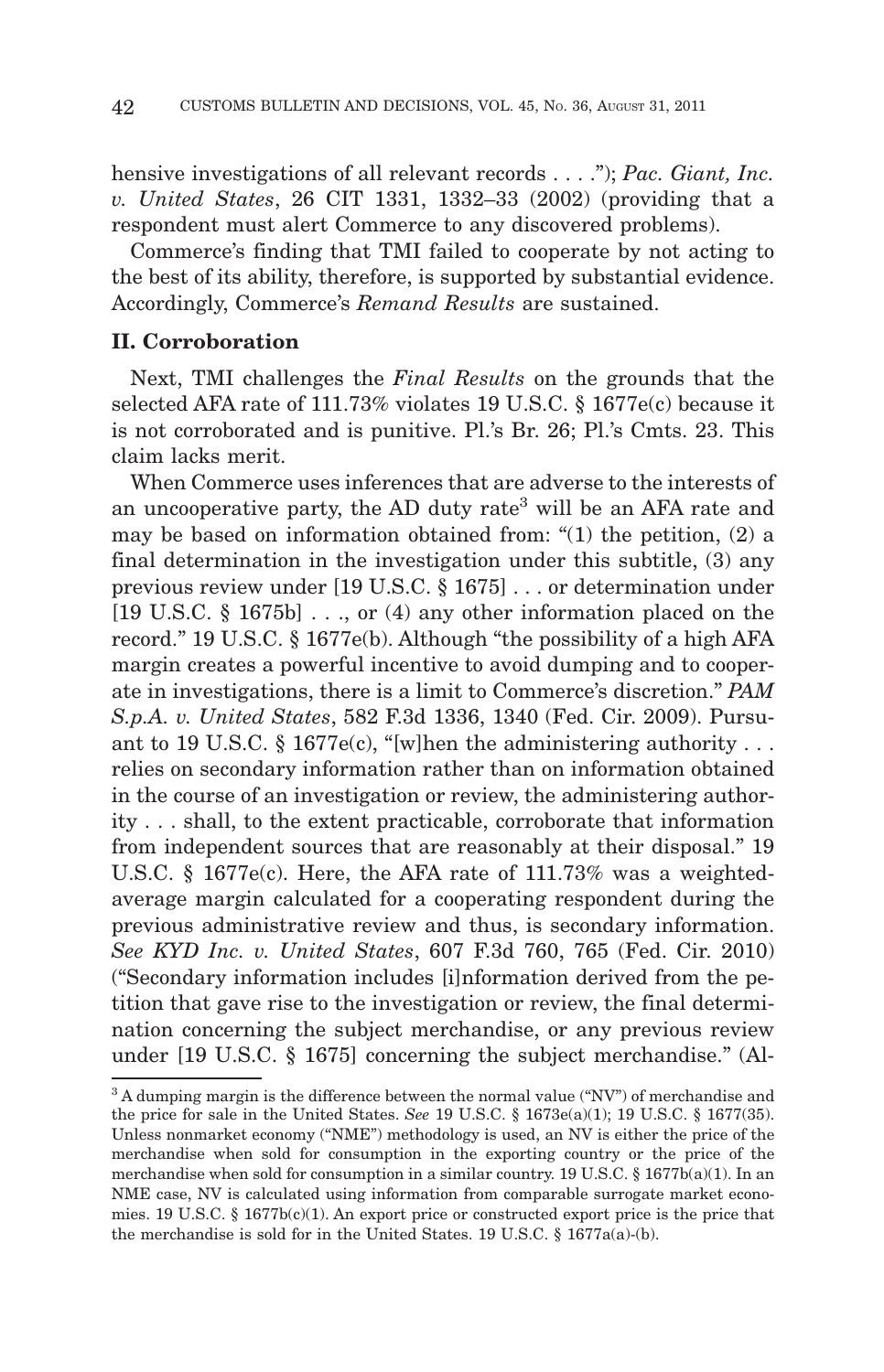hensive investigations of all relevant records... ."); *Pac. Giant, Inc. v. United States*, 26 CIT 1331, 1332–33 (2002) (providing that a respondent must alert Commerce to any discovered problems).

Commerce's finding that TMI failed to cooperate by not acting to the best of its ability, therefore, is supported by substantial evidence. Accordingly, Commerce's *Remand Results* are sustained.

# **II. Corroboration**

Next, TMI challenges the *Final Results* on the grounds that the selected AFA rate of 111.73% violates 19 U.S.C. § 1677e(c) because it is not corroborated and is punitive. Pl.'s Br. 26; Pl.'s Cmts. 23. This claim lacks merit.

When Commerce uses inferences that are adverse to the interests of an uncooperative party, the AD duty rate<sup>3</sup> will be an AFA rate and may be based on information obtained from: "(1) the petition, (2) a final determination in the investigation under this subtitle, (3) any previous review under [19 U.S.C. § 1675] . . . or determination under [19 U.S.C. § 1675b] . . ., or (4) any other information placed on the record." 19 U.S.C. § 1677e(b). Although "the possibility of a high AFA margin creates a powerful incentive to avoid dumping and to cooperate in investigations, there is a limit to Commerce's discretion." *PAM S.p.A. v. United States*, 582 F.3d 1336, 1340 (Fed. Cir. 2009). Pursuant to 19 U.S.C. § 1677e(c), "[w]hen the administering authority... relies on secondary information rather than on information obtained in the course of an investigation or review, the administering authority . . . shall, to the extent practicable, corroborate that information from independent sources that are reasonably at their disposal." 19 U.S.C. § 1677e(c). Here, the AFA rate of 111.73% was a weightedaverage margin calculated for a cooperating respondent during the previous administrative review and thus, is secondary information. *See KYD Inc. v. United States*, 607 F.3d 760, 765 (Fed. Cir. 2010) ("Secondary information includes [i]nformation derived from the petition that gave rise to the investigation or review, the final determination concerning the subject merchandise, or any previous review under [19 U.S.C. § 1675] concerning the subject merchandise." (Al-

 $3A$  dumping margin is the difference between the normal value ("NV") of merchandise and the price for sale in the United States. *See* 19 U.S.C. § 1673e(a)(1); 19 U.S.C. § 1677(35). Unless nonmarket economy ("NME") methodology is used, an NV is either the price of the merchandise when sold for consumption in the exporting country or the price of the merchandise when sold for consumption in a similar country. 19 U.S.C.  $\S$  1677b(a)(1). In an NME case, NV is calculated using information from comparable surrogate market economies. 19 U.S.C. § 1677b(c)(1). An export price or constructed export price is the price that the merchandise is sold for in the United States. 19 U.S.C.  $\S$  1677a(a)-(b).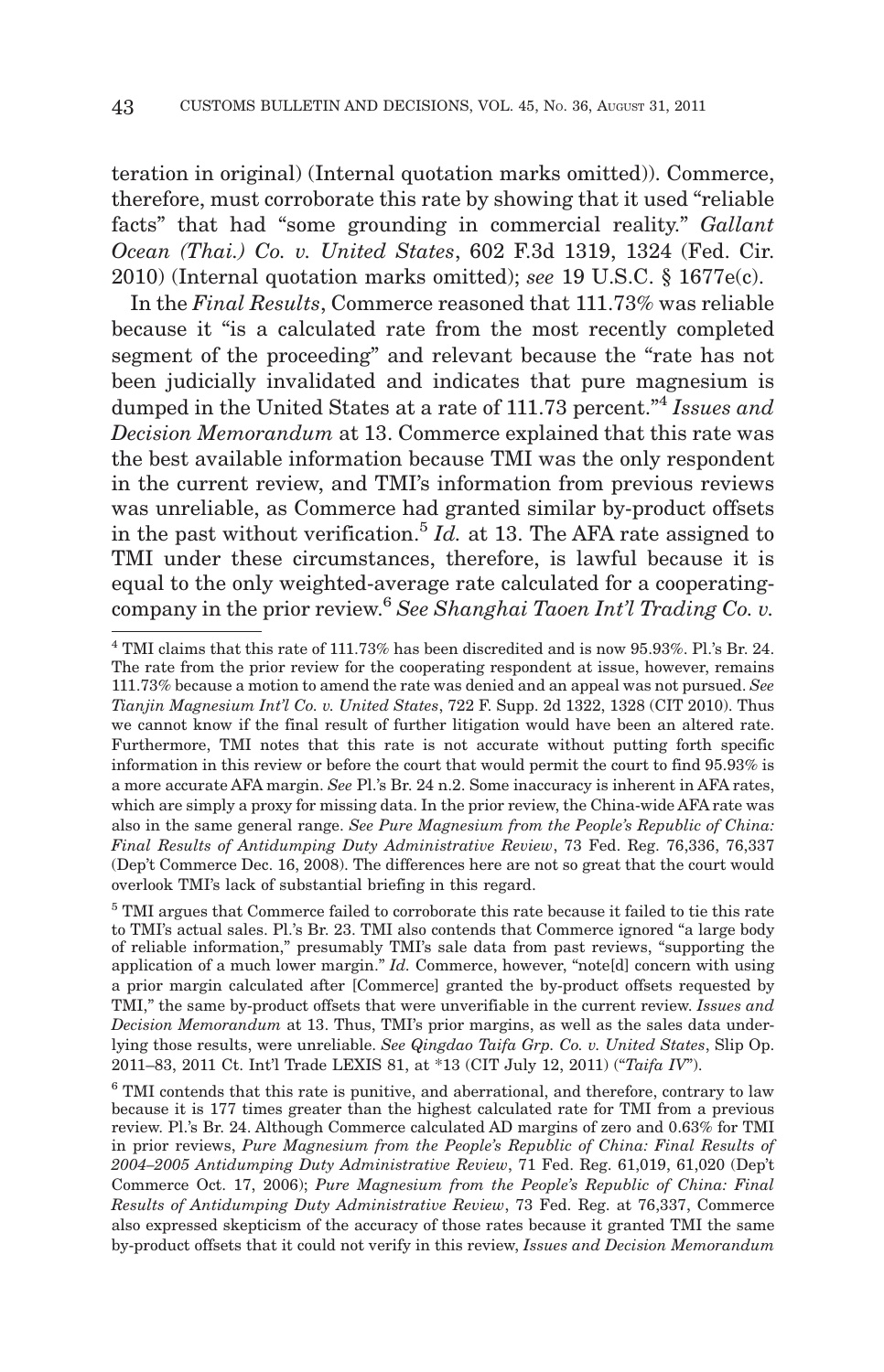teration in original) (Internal quotation marks omitted)). Commerce, therefore, must corroborate this rate by showing that it used "reliable facts" that had "some grounding in commercial reality." *Gallant Ocean (Thai.) Co. v. United States*, 602 F.3d 1319, 1324 (Fed. Cir. 2010) (Internal quotation marks omitted); *see* 19 U.S.C. § 1677e(c).

In the *Final Results*, Commerce reasoned that 111.73% was reliable because it "is a calculated rate from the most recently completed segment of the proceeding" and relevant because the "rate has not been judicially invalidated and indicates that pure magnesium is dumped in the United States at a rate of 111.73 percent."4 *Issues and Decision Memorandum* at 13. Commerce explained that this rate was the best available information because TMI was the only respondent in the current review, and TMI's information from previous reviews was unreliable, as Commerce had granted similar by-product offsets in the past without verification.5 *Id.* at 13. The AFA rate assigned to TMI under these circumstances, therefore, is lawful because it is equal to the only weighted-average rate calculated for a cooperatingcompany in the prior review.6 *See Shanghai Taoen Int'l Trading Co. v.*

<sup>4</sup> TMI claims that this rate of 111.73% has been discredited and is now 95.93%. Pl.'s Br. 24. The rate from the prior review for the cooperating respondent at issue, however, remains 111.73% because a motion to amend the rate was denied and an appeal was not pursued. *See Tianjin Magnesium Int'l Co. v. United States*, 722 F. Supp. 2d 1322, 1328 (CIT 2010). Thus we cannot know if the final result of further litigation would have been an altered rate. Furthermore, TMI notes that this rate is not accurate without putting forth specific information in this review or before the court that would permit the court to find 95.93% is a more accurate AFA margin. *See* Pl.'s Br. 24 n.2. Some inaccuracy is inherent in AFA rates, which are simply a proxy for missing data. In the prior review, the China-wide AFA rate was also in the same general range. *See Pure Magnesium from the People's Republic of China: Final Results of Antidumping Duty Administrative Review*, 73 Fed. Reg. 76,336, 76,337 (Dep't Commerce Dec. 16, 2008). The differences here are not so great that the court would overlook TMI's lack of substantial briefing in this regard.

 $5$  TMI argues that Commerce failed to corroborate this rate because it failed to tie this rate to TMI's actual sales. Pl.'s Br. 23. TMI also contends that Commerce ignored "a large body of reliable information," presumably TMI's sale data from past reviews, "supporting the application of a much lower margin." *Id.* Commerce, however, "note[d] concern with using a prior margin calculated after [Commerce] granted the by-product offsets requested by TMI," the same by-product offsets that were unverifiable in the current review. *Issues and Decision Memorandum* at 13. Thus, TMI's prior margins, as well as the sales data underlying those results, were unreliable. *See Qingdao Taifa Grp. Co. v. United States*, Slip Op. 2011–83, 2011 Ct. Int'l Trade LEXIS 81, at \*13 (CIT July 12, 2011) ("*Taifa IV*").

 $6$  TMI contends that this rate is punitive, and aberrational, and therefore, contrary to law because it is 177 times greater than the highest calculated rate for TMI from a previous review. Pl.'s Br. 24. Although Commerce calculated AD margins of zero and 0.63% for TMI in prior reviews, *Pure Magnesium from the People's Republic of China: Final Results of 2004–2005 Antidumping Duty Administrative Review*, 71 Fed. Reg. 61,019, 61,020 (Dep't Commerce Oct. 17, 2006); *Pure Magnesium from the People's Republic of China: Final Results of Antidumping Duty Administrative Review*, 73 Fed. Reg. at 76,337, Commerce also expressed skepticism of the accuracy of those rates because it granted TMI the same by-product offsets that it could not verify in this review, *Issues and Decision Memorandum*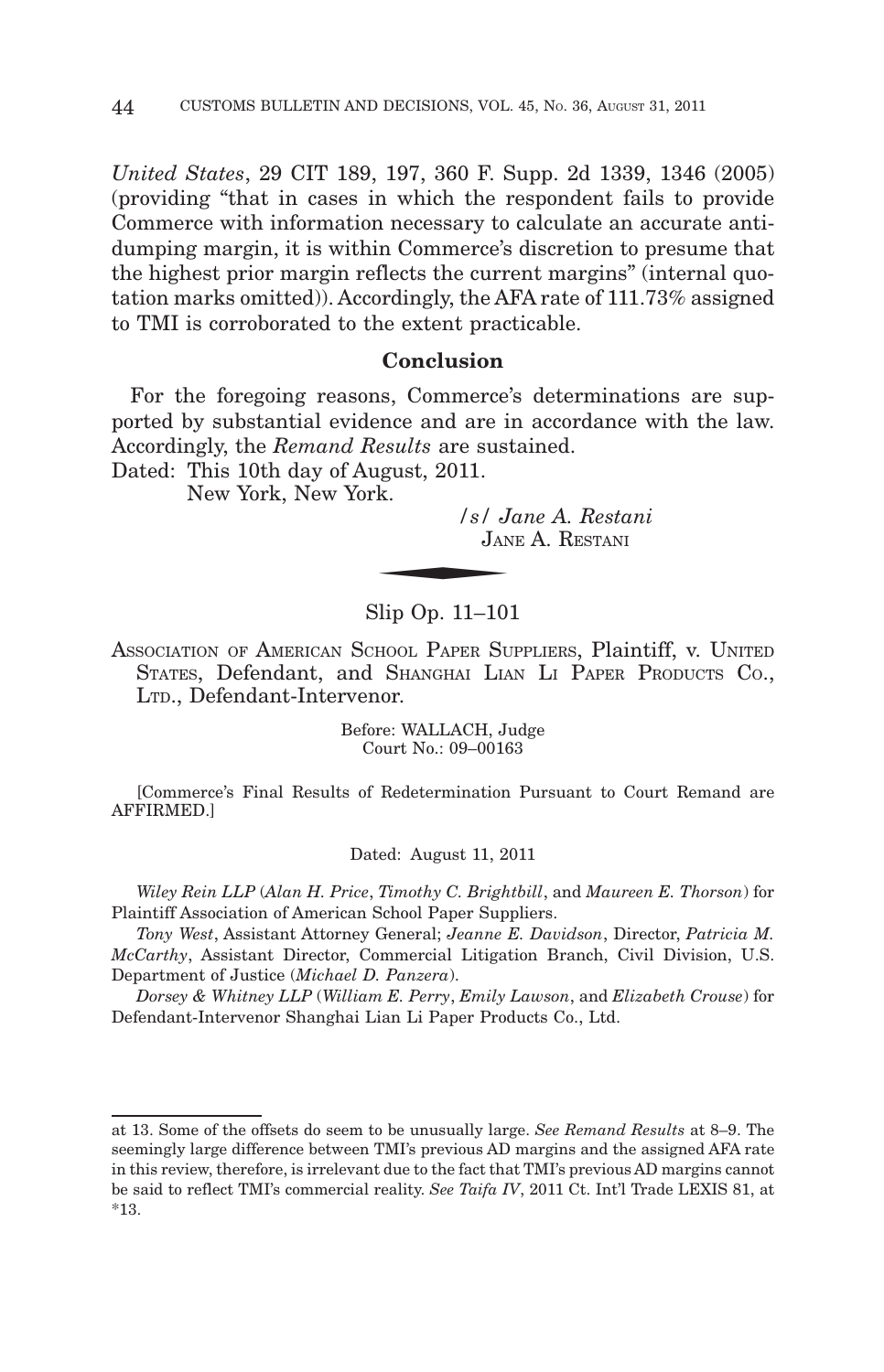*United States*, 29 CIT 189, 197, 360 F. Supp. 2d 1339, 1346 (2005) (providing "that in cases in which the respondent fails to provide Commerce with information necessary to calculate an accurate antidumping margin, it is within Commerce's discretion to presume that the highest prior margin reflects the current margins" (internal quotation marks omitted)). Accordingly, the AFA rate of 111.73% assigned to TMI is corroborated to the extent practicable.

### **Conclusion**

For the foregoing reasons, Commerce's determinations are supported by substantial evidence and are in accordance with the law. Accordingly, the *Remand Results* are sustained.<br>
Dated: This 10th day of August, 2011.<br>
New York, New York.<br>
Subseted.<br>
Sance A.<br>
JANE A. R.

Dated: This 10th day of August, 2011.

New York, New York.

*/s/ Jane A. Restani* JANE A. RESTANI

## Slip Op. 11–101

ASSOCIATION OF AMERICAN SCHOOL PAPER SUPPLIERS, Plaintiff, v. UNITED STATES, Defendant, and SHANGHAI LIAN LI PAPER PRODUCTS CO., LTD., Defendant-Intervenor.

> Before: WALLACH, Judge Court No.: 09–00163

[Commerce's Final Results of Redetermination Pursuant to Court Remand are AFFIRMED.]

Dated: August 11, 2011

*Wiley Rein LLP* (*Alan H. Price*, *Timothy C. Brightbill*, and *Maureen E. Thorson*) for Plaintiff Association of American School Paper Suppliers.

*Tony West*, Assistant Attorney General; *Jeanne E. Davidson*, Director, *Patricia M. McCarthy*, Assistant Director, Commercial Litigation Branch, Civil Division, U.S. Department of Justice (*Michael D. Panzera*).

*Dorsey & Whitney LLP* (*William E. Perry*, *Emily Lawson*, and *Elizabeth Crouse*) for Defendant-Intervenor Shanghai Lian Li Paper Products Co., Ltd.

at 13. Some of the offsets do seem to be unusually large. *See Remand Results* at 8–9. The seemingly large difference between TMI's previous AD margins and the assigned AFA rate in this review, therefore, is irrelevant due to the fact that TMI's previous AD margins cannot be said to reflect TMI's commercial reality. *See Taifa IV*, 2011 Ct. Int'l Trade LEXIS 81, at \*13.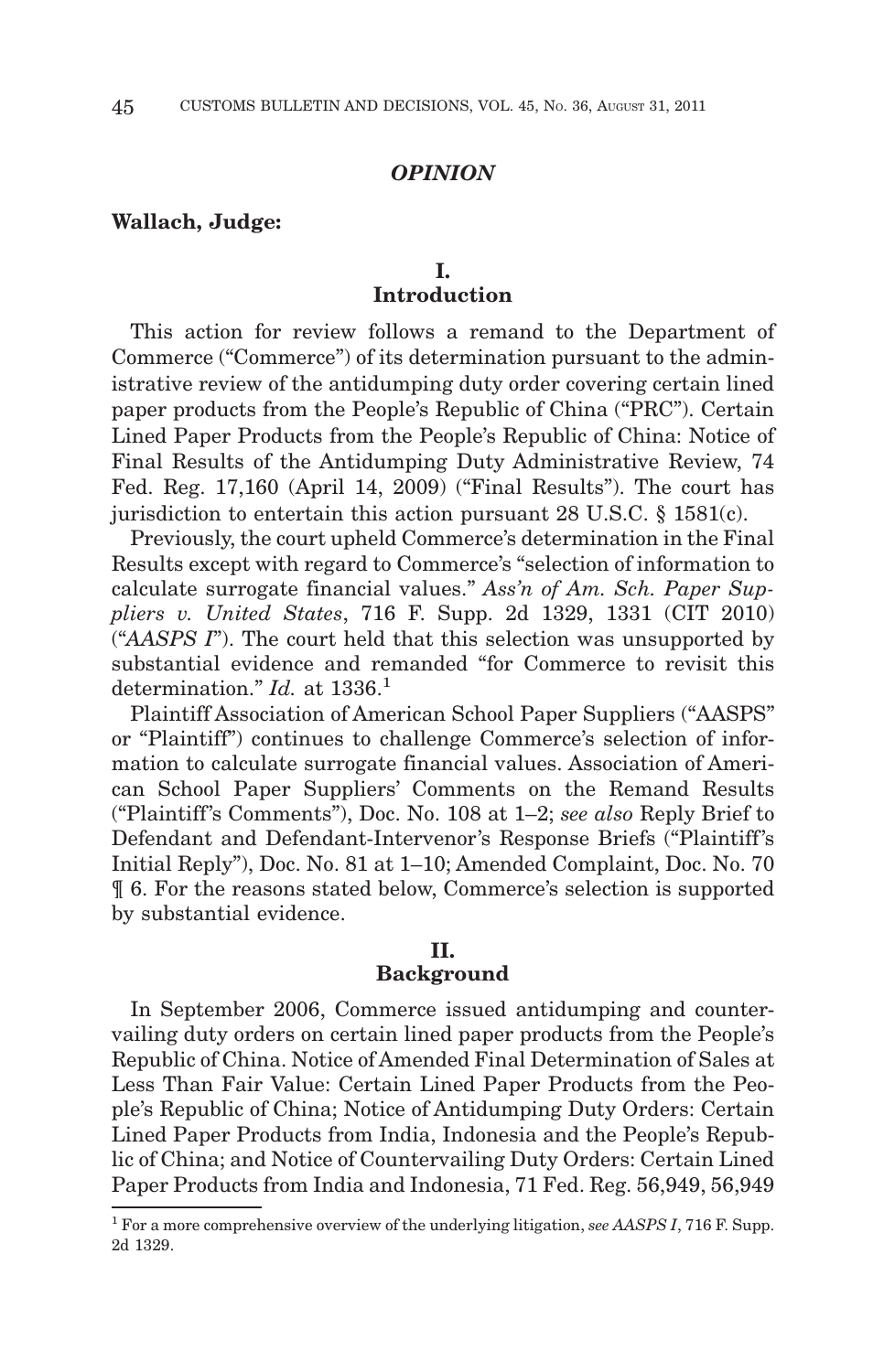#### *OPINION*

#### **Wallach, Judge:**

# **I. Introduction**

This action for review follows a remand to the Department of Commerce ("Commerce") of its determination pursuant to the administrative review of the antidumping duty order covering certain lined paper products from the People's Republic of China ("PRC"). Certain Lined Paper Products from the People's Republic of China: Notice of Final Results of the Antidumping Duty Administrative Review, 74 Fed. Reg. 17,160 (April 14, 2009) ("Final Results"). The court has jurisdiction to entertain this action pursuant 28 U.S.C. § 1581(c).

Previously, the court upheld Commerce's determination in the Final Results except with regard to Commerce's "selection of information to calculate surrogate financial values." *Ass'n of Am. Sch. Paper Suppliers v. United States*, 716 F. Supp. 2d 1329, 1331 (CIT 2010) ("*AASPS I*"). The court held that this selection was unsupported by substantial evidence and remanded "for Commerce to revisit this determination." *Id.* at 1336.<sup>1</sup>

Plaintiff Association of American School Paper Suppliers ("AASPS" or "Plaintiff") continues to challenge Commerce's selection of information to calculate surrogate financial values. Association of American School Paper Suppliers' Comments on the Remand Results ("Plaintiff 's Comments"), Doc. No. 108 at 1–2; *see also* Reply Brief to Defendant and Defendant-Intervenor's Response Briefs ("Plaintiff's Initial Reply"), Doc. No. 81 at 1–10; Amended Complaint, Doc. No. 70 ¶ 6. For the reasons stated below, Commerce's selection is supported by substantial evidence.

## **II.**

## **Background**

In September 2006, Commerce issued antidumping and countervailing duty orders on certain lined paper products from the People's Republic of China. Notice of Amended Final Determination of Sales at Less Than Fair Value: Certain Lined Paper Products from the People's Republic of China; Notice of Antidumping Duty Orders: Certain Lined Paper Products from India, Indonesia and the People's Republic of China; and Notice of Countervailing Duty Orders: Certain Lined Paper Products from India and Indonesia, 71 Fed. Reg. 56,949, 56,949

<sup>1</sup> For a more comprehensive overview of the underlying litigation, *see AASPS I*, 716 F. Supp. 2d 1329.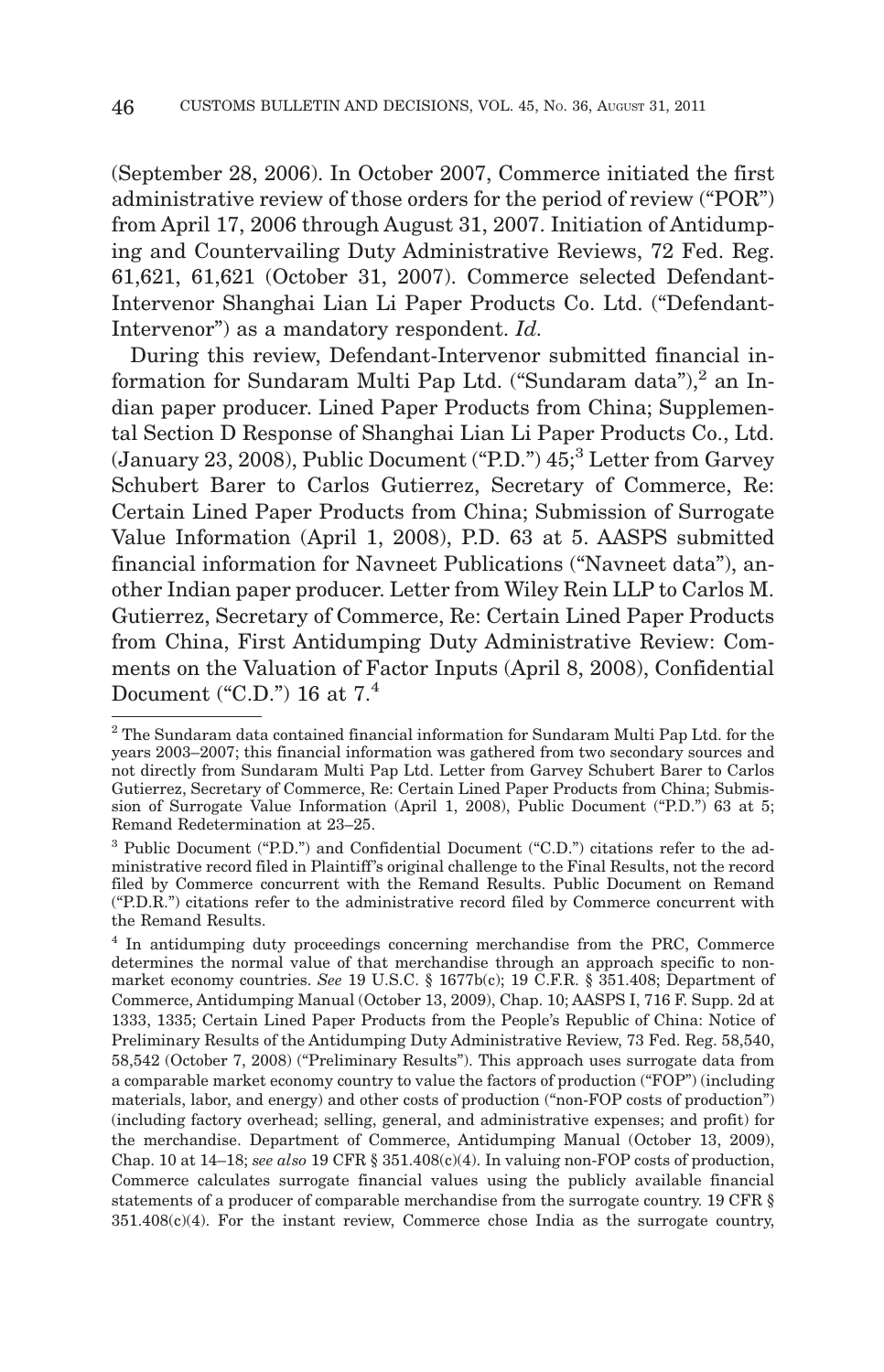(September 28, 2006). In October 2007, Commerce initiated the first administrative review of those orders for the period of review ("POR") from April 17, 2006 through August 31, 2007. Initiation of Antidumping and Countervailing Duty Administrative Reviews, 72 Fed. Reg. 61,621, 61,621 (October 31, 2007). Commerce selected Defendant-Intervenor Shanghai Lian Li Paper Products Co. Ltd. ("Defendant-Intervenor") as a mandatory respondent. *Id.*

During this review, Defendant-Intervenor submitted financial information for Sundaram Multi Pap Ltd. ("Sundaram data"),<sup>2</sup> an Indian paper producer. Lined Paper Products from China; Supplemental Section D Response of Shanghai Lian Li Paper Products Co., Ltd. (January 23, 2008), Public Document ("P.D.") 45;3 Letter from Garvey Schubert Barer to Carlos Gutierrez, Secretary of Commerce, Re: Certain Lined Paper Products from China; Submission of Surrogate Value Information (April 1, 2008), P.D. 63 at 5. AASPS submitted financial information for Navneet Publications ("Navneet data"), another Indian paper producer. Letter from Wiley Rein LLP to Carlos M. Gutierrez, Secretary of Commerce, Re: Certain Lined Paper Products from China, First Antidumping Duty Administrative Review: Comments on the Valuation of Factor Inputs (April 8, 2008), Confidential Document ("C.D.") 16 at  $7<sup>4</sup>$ 

 $2$  The Sundaram data contained financial information for Sundaram Multi Pap Ltd. for the years 2003–2007; this financial information was gathered from two secondary sources and not directly from Sundaram Multi Pap Ltd. Letter from Garvey Schubert Barer to Carlos Gutierrez, Secretary of Commerce, Re: Certain Lined Paper Products from China; Submission of Surrogate Value Information (April 1, 2008), Public Document ("P.D.") 63 at 5; Remand Redetermination at 23–25.

<sup>3</sup> Public Document ("P.D.") and Confidential Document ("C.D.") citations refer to the administrative record filed in Plaintiff's original challenge to the Final Results, not the record filed by Commerce concurrent with the Remand Results. Public Document on Remand ("P.D.R.") citations refer to the administrative record filed by Commerce concurrent with the Remand Results.

<sup>&</sup>lt;sup>4</sup> In antidumping duty proceedings concerning merchandise from the PRC, Commerce determines the normal value of that merchandise through an approach specific to nonmarket economy countries. *See* 19 U.S.C. § 1677b(c); 19 C.F.R. § 351.408; Department of Commerce, Antidumping Manual (October 13, 2009), Chap. 10; AASPS I, 716 F. Supp. 2d at 1333, 1335; Certain Lined Paper Products from the People's Republic of China: Notice of Preliminary Results of the Antidumping Duty Administrative Review, 73 Fed. Reg. 58,540, 58,542 (October 7, 2008) ("Preliminary Results"). This approach uses surrogate data from a comparable market economy country to value the factors of production ("FOP") (including materials, labor, and energy) and other costs of production ("non-FOP costs of production") (including factory overhead; selling, general, and administrative expenses; and profit) for the merchandise. Department of Commerce, Antidumping Manual (October 13, 2009), Chap. 10 at 14–18; *see also* 19 CFR § 351.408(c)(4). In valuing non-FOP costs of production, Commerce calculates surrogate financial values using the publicly available financial statements of a producer of comparable merchandise from the surrogate country. 19 CFR §  $351.408(c)(4)$ . For the instant review, Commerce chose India as the surrogate country,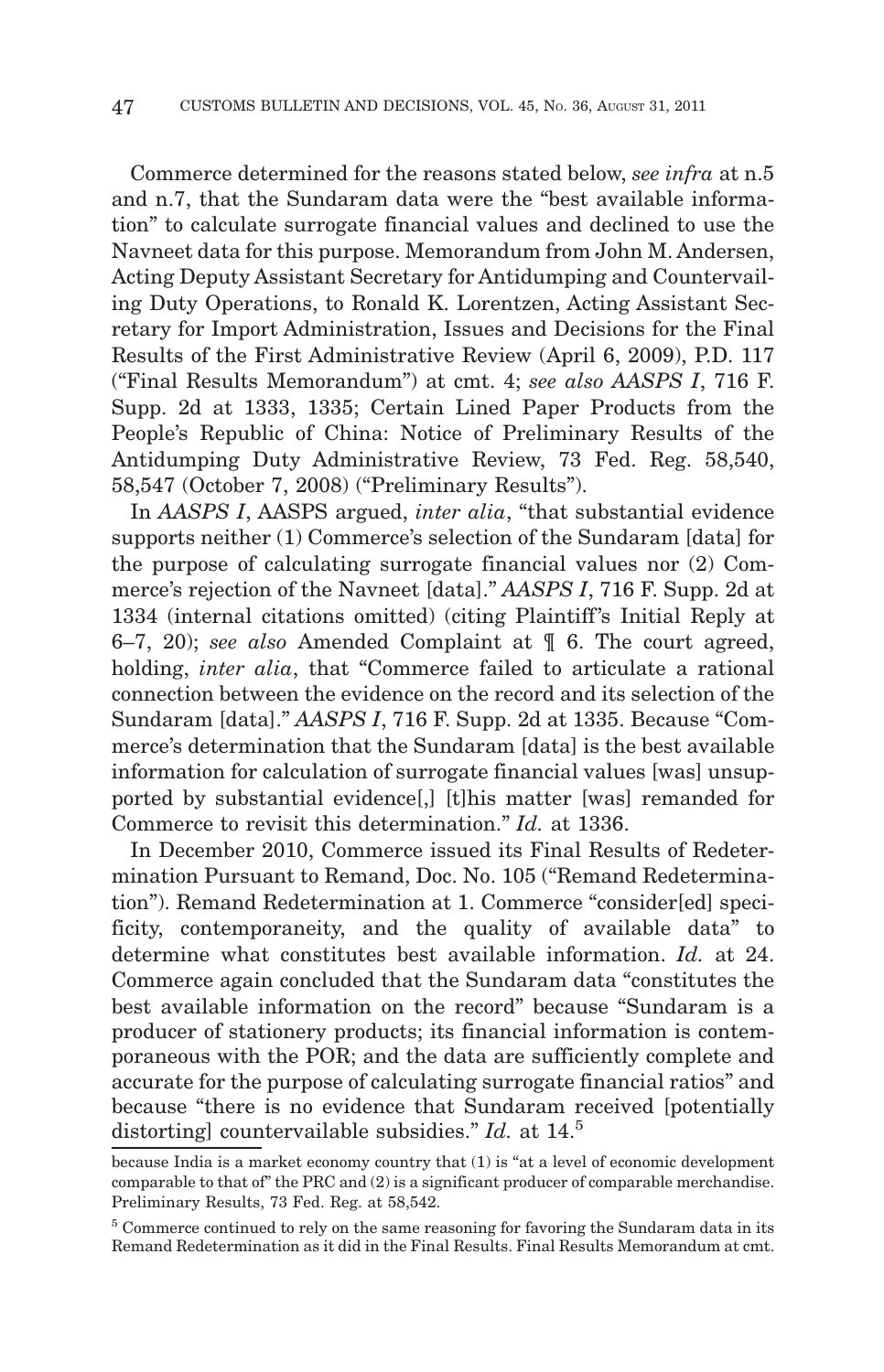Commerce determined for the reasons stated below, *see infra* at n.5 and n.7, that the Sundaram data were the "best available information" to calculate surrogate financial values and declined to use the Navneet data for this purpose. Memorandum from John M. Andersen, Acting Deputy Assistant Secretary for Antidumping and Countervailing Duty Operations, to Ronald K. Lorentzen, Acting Assistant Secretary for Import Administration, Issues and Decisions for the Final Results of the First Administrative Review (April 6, 2009), P.D. 117 ("Final Results Memorandum") at cmt. 4; *see also AASPS I*, 716 F. Supp. 2d at 1333, 1335; Certain Lined Paper Products from the People's Republic of China: Notice of Preliminary Results of the Antidumping Duty Administrative Review, 73 Fed. Reg. 58,540, 58,547 (October 7, 2008) ("Preliminary Results").

In *AASPS I*, AASPS argued, *inter alia*, "that substantial evidence supports neither (1) Commerce's selection of the Sundaram [data] for the purpose of calculating surrogate financial values nor (2) Commerce's rejection of the Navneet [data]." *AASPS I*, 716 F. Supp. 2d at 1334 (internal citations omitted) (citing Plaintiff's Initial Reply at 6–7, 20); *see also* Amended Complaint at ¶ 6. The court agreed, holding, *inter alia*, that "Commerce failed to articulate a rational connection between the evidence on the record and its selection of the Sundaram [data]." *AASPS I*, 716 F. Supp. 2d at 1335. Because "Commerce's determination that the Sundaram [data] is the best available information for calculation of surrogate financial values [was] unsupported by substantial evidence[,] [t]his matter [was] remanded for Commerce to revisit this determination." *Id.* at 1336.

In December 2010, Commerce issued its Final Results of Redetermination Pursuant to Remand, Doc. No. 105 ("Remand Redetermination"). Remand Redetermination at 1. Commerce "consider[ed] specificity, contemporaneity, and the quality of available data" to determine what constitutes best available information. *Id.* at 24. Commerce again concluded that the Sundaram data "constitutes the best available information on the record" because "Sundaram is a producer of stationery products; its financial information is contemporaneous with the POR; and the data are sufficiently complete and accurate for the purpose of calculating surrogate financial ratios" and because "there is no evidence that Sundaram received [potentially distorting] countervailable subsidies." *Id.* at 14.5

because India is a market economy country that (1) is "at a level of economic development comparable to that of" the PRC and (2) is a significant producer of comparable merchandise. Preliminary Results, 73 Fed. Reg. at 58,542.

<sup>5</sup> Commerce continued to rely on the same reasoning for favoring the Sundaram data in its Remand Redetermination as it did in the Final Results. Final Results Memorandum at cmt.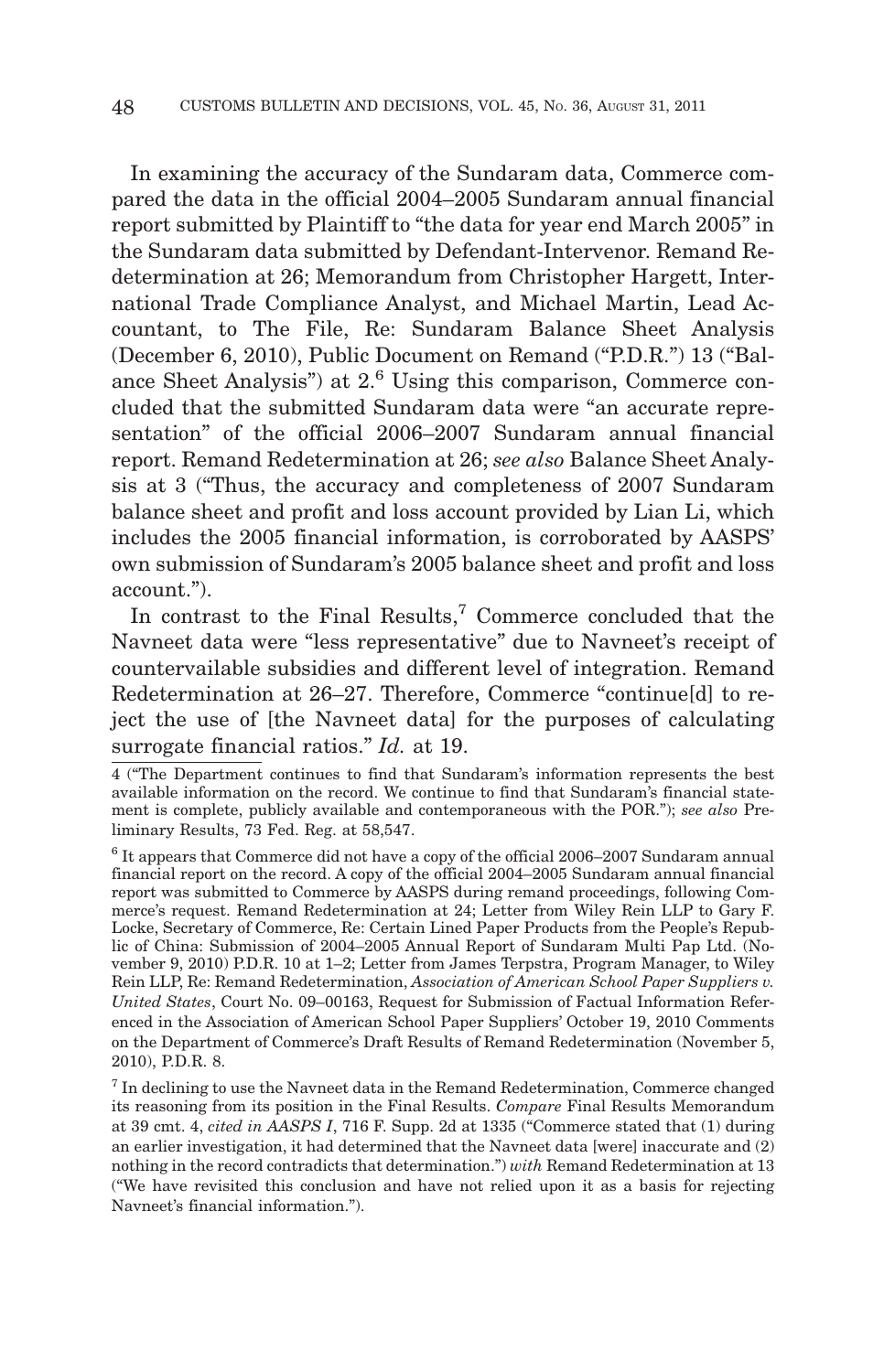In examining the accuracy of the Sundaram data, Commerce compared the data in the official 2004–2005 Sundaram annual financial report submitted by Plaintiff to "the data for year end March 2005" in the Sundaram data submitted by Defendant-Intervenor. Remand Redetermination at 26; Memorandum from Christopher Hargett, International Trade Compliance Analyst, and Michael Martin, Lead Accountant, to The File, Re: Sundaram Balance Sheet Analysis (December 6, 2010), Public Document on Remand ("P.D.R.") 13 ("Balance Sheet Analysis") at 2.<sup>6</sup> Using this comparison, Commerce concluded that the submitted Sundaram data were "an accurate representation" of the official 2006–2007 Sundaram annual financial report. Remand Redetermination at 26; *see also* Balance Sheet Analysis at 3 ("Thus, the accuracy and completeness of 2007 Sundaram balance sheet and profit and loss account provided by Lian Li, which includes the 2005 financial information, is corroborated by AASPS' own submission of Sundaram's 2005 balance sheet and profit and loss account.").

In contrast to the Final Results,<sup>7</sup> Commerce concluded that the Navneet data were "less representative" due to Navneet's receipt of countervailable subsidies and different level of integration. Remand Redetermination at 26–27. Therefore, Commerce "continue[d] to reject the use of [the Navneet data] for the purposes of calculating surrogate financial ratios." *Id.* at 19.

<sup>4 (&</sup>quot;The Department continues to find that Sundaram's information represents the best available information on the record. We continue to find that Sundaram's financial statement is complete, publicly available and contemporaneous with the POR."); *see also* Preliminary Results, 73 Fed. Reg. at 58,547.

 $6$  It appears that Commerce did not have a copy of the official 2006–2007 Sundaram annual financial report on the record. A copy of the official 2004–2005 Sundaram annual financial report was submitted to Commerce by AASPS during remand proceedings, following Commerce's request. Remand Redetermination at 24; Letter from Wiley Rein LLP to Gary F. Locke, Secretary of Commerce, Re: Certain Lined Paper Products from the People's Republic of China: Submission of 2004–2005 Annual Report of Sundaram Multi Pap Ltd. (November 9, 2010) P.D.R. 10 at 1–2; Letter from James Terpstra, Program Manager, to Wiley Rein LLP, Re: Remand Redetermination, *Association of American School Paper Suppliers v. United States*, Court No. 09–00163, Request for Submission of Factual Information Referenced in the Association of American School Paper Suppliers' October 19, 2010 Comments on the Department of Commerce's Draft Results of Remand Redetermination (November 5, 2010), P.D.R. 8.

 $7$  In declining to use the Navneet data in the Remand Redetermination, Commerce changed its reasoning from its position in the Final Results. *Compare* Final Results Memorandum at 39 cmt. 4, *cited in AASPS I*, 716 F. Supp. 2d at 1335 ("Commerce stated that (1) during an earlier investigation, it had determined that the Navneet data [were] inaccurate and (2) nothing in the record contradicts that determination.") *with* Remand Redetermination at 13 ("We have revisited this conclusion and have not relied upon it as a basis for rejecting Navneet's financial information.").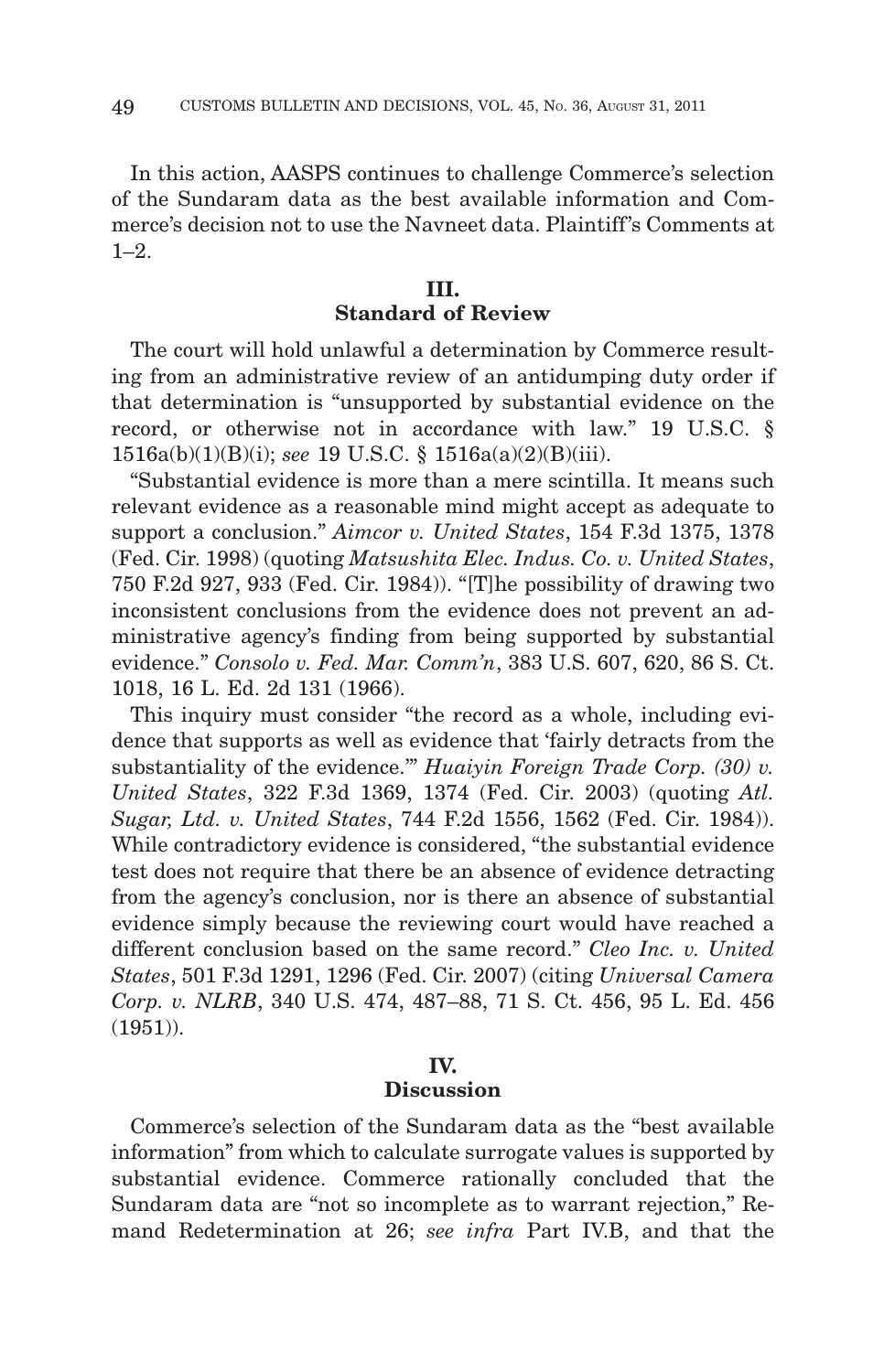In this action, AASPS continues to challenge Commerce's selection of the Sundaram data as the best available information and Commerce's decision not to use the Navneet data. Plaintiff's Comments at  $1-2$ .

# **III. Standard of Review**

The court will hold unlawful a determination by Commerce resulting from an administrative review of an antidumping duty order if that determination is "unsupported by substantial evidence on the record, or otherwise not in accordance with law." 19 U.S.C. § 1516a(b)(1)(B)(i); *see* 19 U.S.C. § 1516a(a)(2)(B)(iii).

"Substantial evidence is more than a mere scintilla. It means such relevant evidence as a reasonable mind might accept as adequate to support a conclusion." *Aimcor v. United States*, 154 F.3d 1375, 1378 (Fed. Cir. 1998) (quoting *Matsushita Elec. Indus. Co. v. United States*, 750 F.2d 927, 933 (Fed. Cir. 1984)). "[T]he possibility of drawing two inconsistent conclusions from the evidence does not prevent an administrative agency's finding from being supported by substantial evidence." *Consolo v. Fed. Mar. Comm'n*, 383 U.S. 607, 620, 86 S. Ct. 1018, 16 L. Ed. 2d 131 (1966).

This inquiry must consider "the record as a whole, including evidence that supports as well as evidence that 'fairly detracts from the substantiality of the evidence.'" *Huaiyin Foreign Trade Corp. (30) v. United States*, 322 F.3d 1369, 1374 (Fed. Cir. 2003) (quoting *Atl. Sugar, Ltd. v. United States*, 744 F.2d 1556, 1562 (Fed. Cir. 1984)). While contradictory evidence is considered, "the substantial evidence test does not require that there be an absence of evidence detracting from the agency's conclusion, nor is there an absence of substantial evidence simply because the reviewing court would have reached a different conclusion based on the same record." *Cleo Inc. v. United States*, 501 F.3d 1291, 1296 (Fed. Cir. 2007) (citing *Universal Camera Corp. v. NLRB*, 340 U.S. 474, 487–88, 71 S. Ct. 456, 95 L. Ed. 456 (1951)).

# **IV. Discussion**

Commerce's selection of the Sundaram data as the "best available information" from which to calculate surrogate values is supported by substantial evidence. Commerce rationally concluded that the Sundaram data are "not so incomplete as to warrant rejection," Remand Redetermination at 26; *see infra* Part IV.B, and that the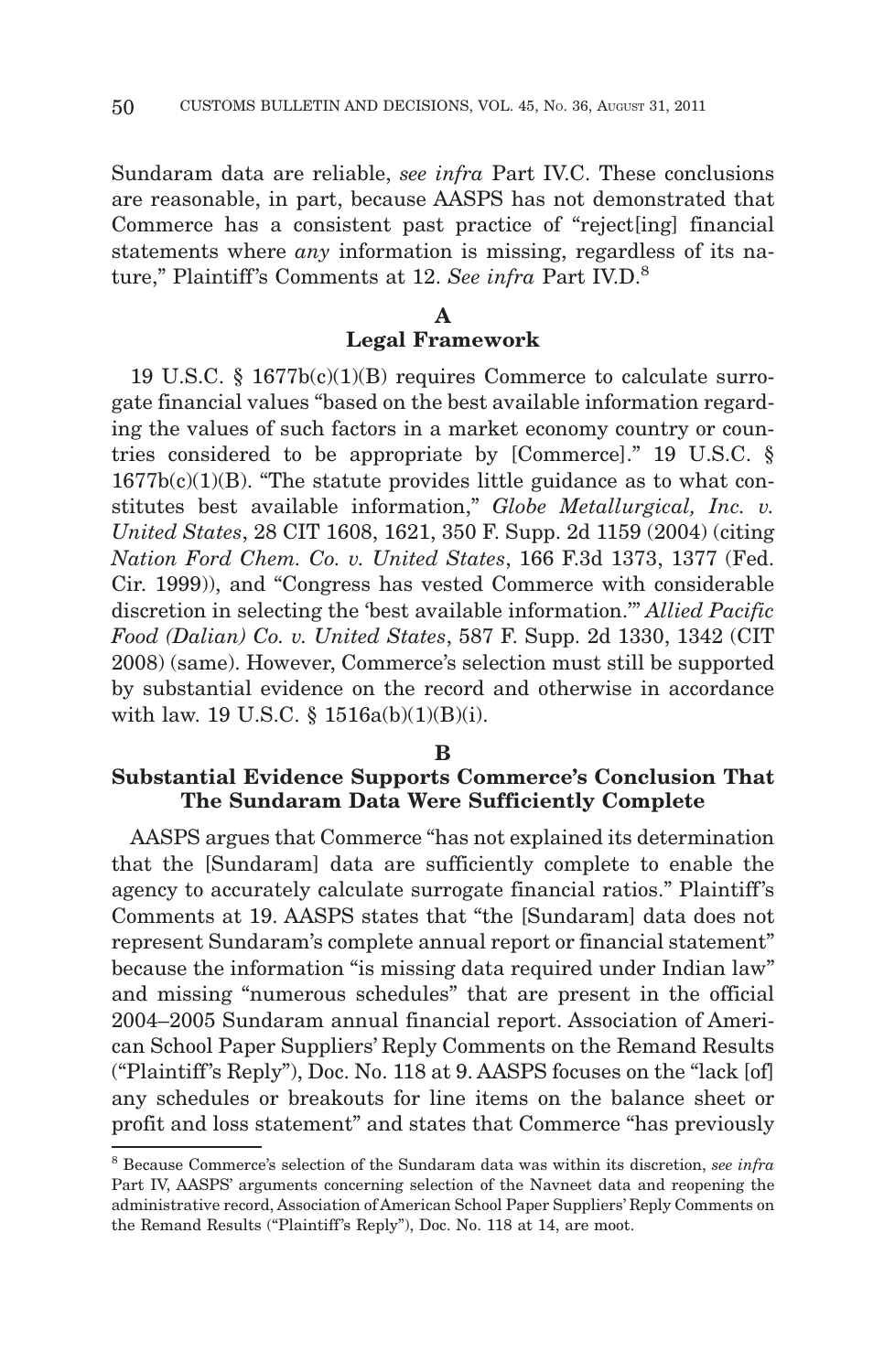Sundaram data are reliable, *see infra* Part IV.C. These conclusions are reasonable, in part, because AASPS has not demonstrated that Commerce has a consistent past practice of "reject[ing] financial statements where *any* information is missing, regardless of its nature," Plaintiff's Comments at 12. See infra Part IV.D.<sup>8</sup>

# **A Legal Framework**

19 U.S.C. § 1677b(c)(1)(B) requires Commerce to calculate surrogate financial values "based on the best available information regarding the values of such factors in a market economy country or countries considered to be appropriate by [Commerce]." 19 U.S.C. §  $1677b(c)(1)(B)$ . "The statute provides little guidance as to what constitutes best available information," *Globe Metallurgical, Inc. v. United States*, 28 CIT 1608, 1621, 350 F. Supp. 2d 1159 (2004) (citing *Nation Ford Chem. Co. v. United States*, 166 F.3d 1373, 1377 (Fed. Cir. 1999)), and "Congress has vested Commerce with considerable discretion in selecting the 'best available information.'" *Allied Pacific Food (Dalian) Co. v. United States*, 587 F. Supp. 2d 1330, 1342 (CIT 2008) (same). However, Commerce's selection must still be supported by substantial evidence on the record and otherwise in accordance with law. 19 U.S.C.  $\S$  1516a(b)(1)(B)(i).

#### **B**

# **Substantial Evidence Supports Commerce's Conclusion That The Sundaram Data Were Sufficiently Complete**

AASPS argues that Commerce "has not explained its determination that the [Sundaram] data are sufficiently complete to enable the agency to accurately calculate surrogate financial ratios." Plaintiff's Comments at 19. AASPS states that "the [Sundaram] data does not represent Sundaram's complete annual report or financial statement" because the information "is missing data required under Indian law" and missing "numerous schedules" that are present in the official 2004–2005 Sundaram annual financial report. Association of American School Paper Suppliers' Reply Comments on the Remand Results ("Plaintiff 's Reply"), Doc. No. 118 at 9. AASPS focuses on the "lack [of] any schedules or breakouts for line items on the balance sheet or profit and loss statement" and states that Commerce "has previously

<sup>8</sup> Because Commerce's selection of the Sundaram data was within its discretion, *see infra* Part IV, AASPS' arguments concerning selection of the Navneet data and reopening the administrative record, Association of American School Paper Suppliers' Reply Comments on the Remand Results ("Plaintiff's Reply"), Doc. No. 118 at 14, are moot.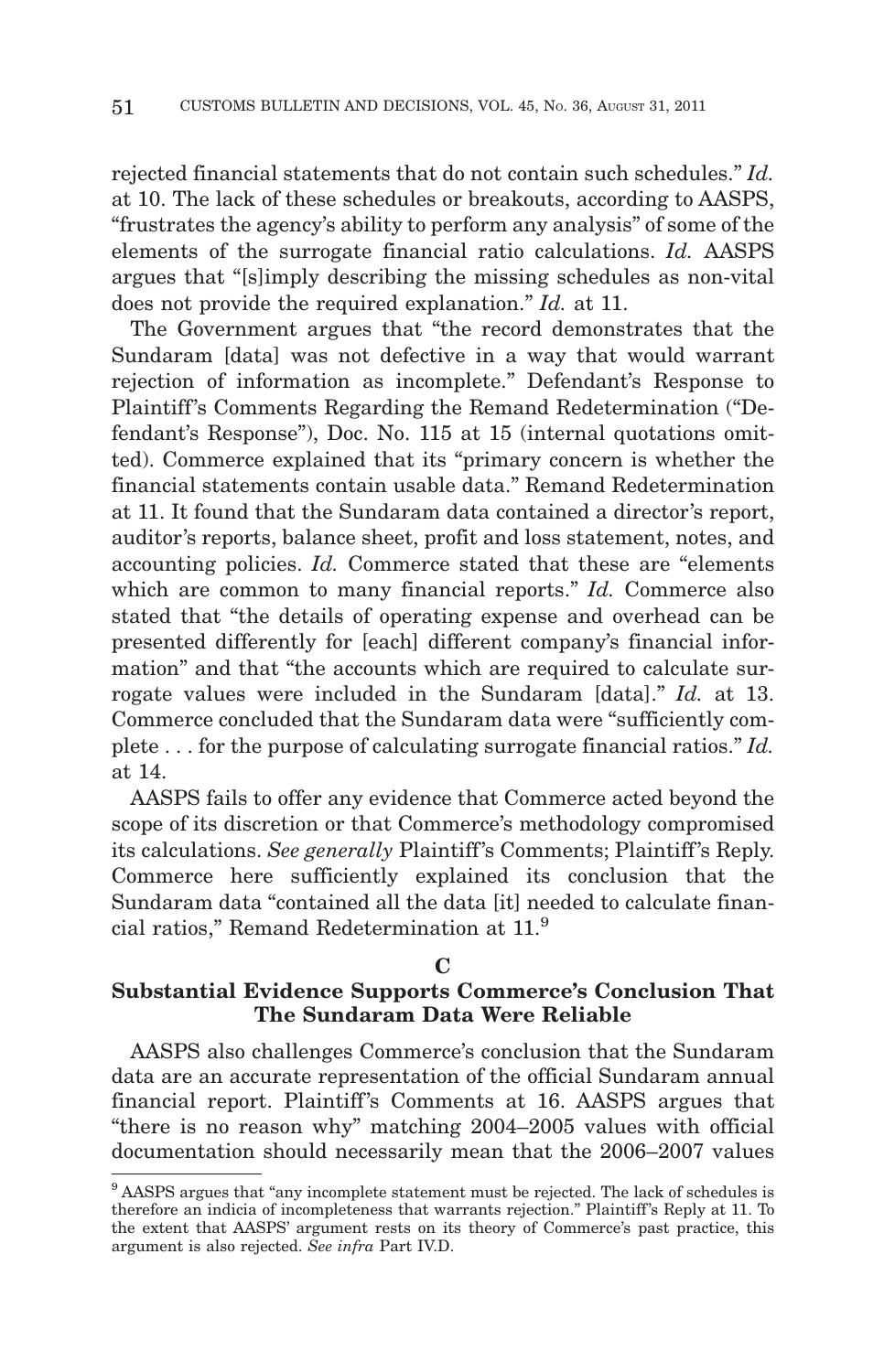rejected financial statements that do not contain such schedules." *Id.* at 10. The lack of these schedules or breakouts, according to AASPS, "frustrates the agency's ability to perform any analysis" of some of the elements of the surrogate financial ratio calculations. *Id.* AASPS argues that "[s]imply describing the missing schedules as non-vital does not provide the required explanation." *Id.* at 11.

The Government argues that "the record demonstrates that the Sundaram [data] was not defective in a way that would warrant rejection of information as incomplete." Defendant's Response to Plaintiff's Comments Regarding the Remand Redetermination ("Defendant's Response"), Doc. No. 115 at 15 (internal quotations omitted). Commerce explained that its "primary concern is whether the financial statements contain usable data." Remand Redetermination at 11. It found that the Sundaram data contained a director's report, auditor's reports, balance sheet, profit and loss statement, notes, and accounting policies. *Id.* Commerce stated that these are "elements which are common to many financial reports." *Id.* Commerce also stated that "the details of operating expense and overhead can be presented differently for [each] different company's financial information" and that "the accounts which are required to calculate surrogate values were included in the Sundaram [data]." *Id.* at 13. Commerce concluded that the Sundaram data were "sufficiently complete . . . for the purpose of calculating surrogate financial ratios." *Id.* at 14.

AASPS fails to offer any evidence that Commerce acted beyond the scope of its discretion or that Commerce's methodology compromised its calculations. *See generally* Plaintiff 's Comments; Plaintiff 's Reply. Commerce here sufficiently explained its conclusion that the Sundaram data "contained all the data [it] needed to calculate financial ratios," Remand Redetermination at 11.9

## **C**

# **Substantial Evidence Supports Commerce's Conclusion That The Sundaram Data Were Reliable**

AASPS also challenges Commerce's conclusion that the Sundaram data are an accurate representation of the official Sundaram annual financial report. Plaintiff's Comments at 16. AASPS argues that "there is no reason why" matching 2004–2005 values with official documentation should necessarily mean that the 2006–2007 values

<sup>9</sup> AASPS argues that "any incomplete statement must be rejected. The lack of schedules is therefore an indicia of incompleteness that warrants rejection." Plaintiff's Reply at 11. To the extent that AASPS' argument rests on its theory of Commerce's past practice, this argument is also rejected. *See infra* Part IV.D.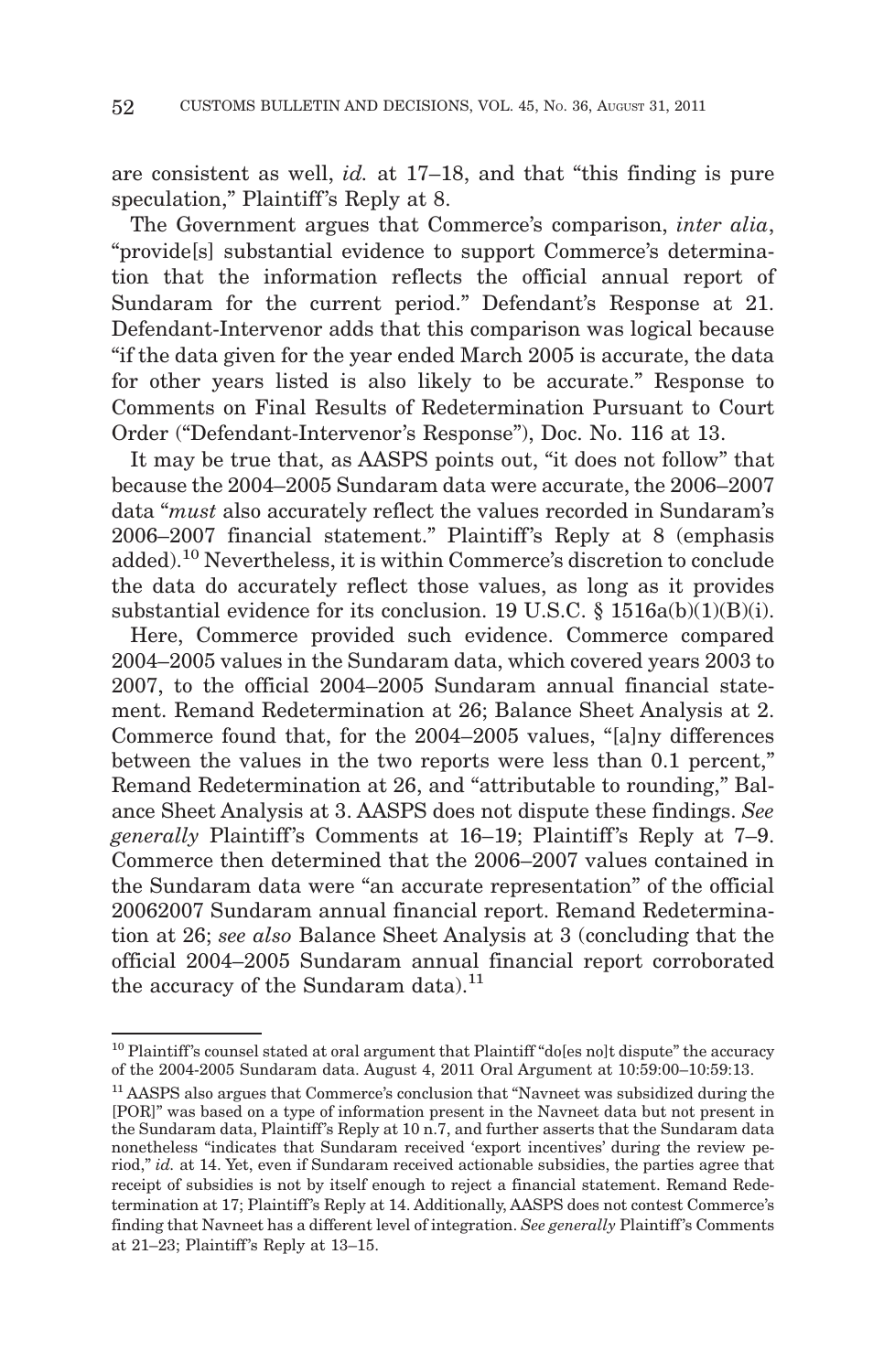are consistent as well, *id.* at 17–18, and that "this finding is pure speculation," Plaintiff's Reply at 8.

The Government argues that Commerce's comparison, *inter alia*, "provide[s] substantial evidence to support Commerce's determination that the information reflects the official annual report of Sundaram for the current period." Defendant's Response at 21. Defendant-Intervenor adds that this comparison was logical because "if the data given for the year ended March 2005 is accurate, the data for other years listed is also likely to be accurate." Response to Comments on Final Results of Redetermination Pursuant to Court Order ("Defendant-Intervenor's Response"), Doc. No. 116 at 13.

It may be true that, as AASPS points out, "it does not follow" that because the 2004–2005 Sundaram data were accurate, the 2006–2007 data "*must* also accurately reflect the values recorded in Sundaram's 2006–2007 financial statement." Plaintiff's Reply at 8 (emphasis added).10 Nevertheless, it is within Commerce's discretion to conclude the data do accurately reflect those values, as long as it provides substantial evidence for its conclusion. 19 U.S.C. § 1516a(b)(1)(B)(i).

Here, Commerce provided such evidence. Commerce compared 2004–2005 values in the Sundaram data, which covered years 2003 to 2007, to the official 2004–2005 Sundaram annual financial statement. Remand Redetermination at 26; Balance Sheet Analysis at 2. Commerce found that, for the 2004–2005 values, "[a]ny differences between the values in the two reports were less than 0.1 percent," Remand Redetermination at 26, and "attributable to rounding," Balance Sheet Analysis at 3. AASPS does not dispute these findings. *See generally* Plaintiff's Comments at 16–19; Plaintiff's Reply at 7–9. Commerce then determined that the 2006–2007 values contained in the Sundaram data were "an accurate representation" of the official 20062007 Sundaram annual financial report. Remand Redetermination at 26; *see also* Balance Sheet Analysis at 3 (concluding that the official 2004–2005 Sundaram annual financial report corroborated the accuracy of the Sundaram data). $^{11}$ 

 $10$  Plaintiff's counsel stated at oral argument that Plaintiff "do[es no]t dispute" the accuracy of the 2004-2005 Sundaram data. August 4, 2011 Oral Argument at 10:59:00–10:59:13.

<sup>&</sup>lt;sup>11</sup> AASPS also argues that Commerce's conclusion that "Navneet was subsidized during the [POR]" was based on a type of information present in the Navneet data but not present in the Sundaram data, Plaintiff 's Reply at 10 n.7, and further asserts that the Sundaram data nonetheless "indicates that Sundaram received 'export incentives' during the review period," *id.* at 14. Yet, even if Sundaram received actionable subsidies, the parties agree that receipt of subsidies is not by itself enough to reject a financial statement. Remand Redetermination at 17; Plaintiff 's Reply at 14. Additionally, AASPS does not contest Commerce's finding that Navneet has a different level of integration. *See generally* Plaintiff's Comments at 21-23; Plaintiff's Reply at 13-15.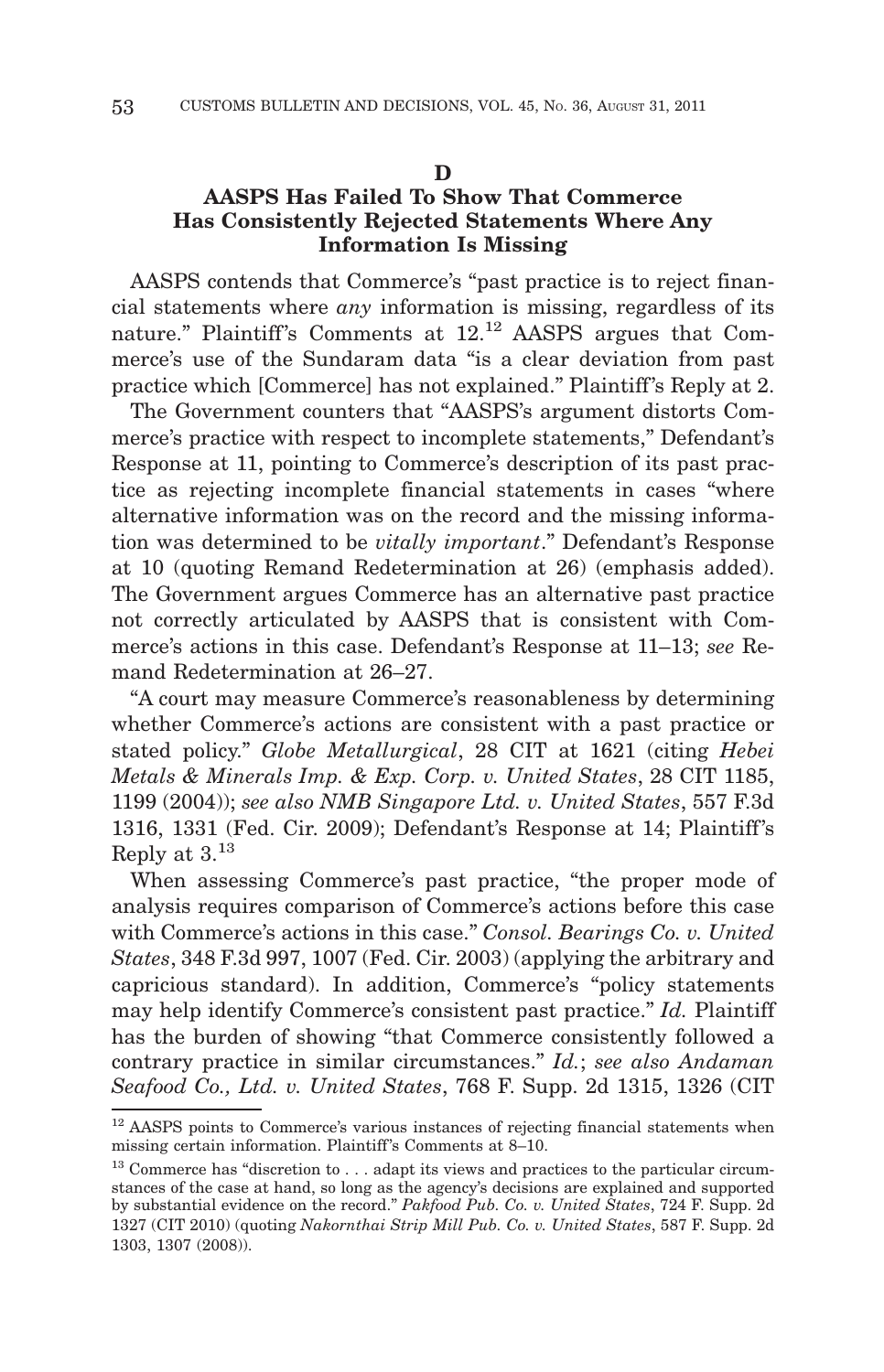#### **D**

# **AASPS Has Failed To Show That Commerce Has Consistently Rejected Statements Where Any Information Is Missing**

AASPS contends that Commerce's "past practice is to reject financial statements where *any* information is missing, regardless of its nature." Plaintiff's Comments at  $12$ .<sup>12</sup> AASPS argues that Commerce's use of the Sundaram data "is a clear deviation from past practice which [Commerce] has not explained." Plaintiff's Reply at 2.

The Government counters that "AASPS's argument distorts Commerce's practice with respect to incomplete statements," Defendant's Response at 11, pointing to Commerce's description of its past practice as rejecting incomplete financial statements in cases "where alternative information was on the record and the missing information was determined to be *vitally important*." Defendant's Response at 10 (quoting Remand Redetermination at 26) (emphasis added). The Government argues Commerce has an alternative past practice not correctly articulated by AASPS that is consistent with Commerce's actions in this case. Defendant's Response at 11–13; *see* Remand Redetermination at 26–27.

"A court may measure Commerce's reasonableness by determining whether Commerce's actions are consistent with a past practice or stated policy." *Globe Metallurgical*, 28 CIT at 1621 (citing *Hebei Metals & Minerals Imp. & Exp. Corp. v. United States*, 28 CIT 1185, 1199 (2004)); *see also NMB Singapore Ltd. v. United States*, 557 F.3d 1316, 1331 (Fed. Cir. 2009); Defendant's Response at 14; Plaintiff 's Reply at 3.13

When assessing Commerce's past practice, "the proper mode of analysis requires comparison of Commerce's actions before this case with Commerce's actions in this case." *Consol. Bearings Co. v. United States*, 348 F.3d 997, 1007 (Fed. Cir. 2003) (applying the arbitrary and capricious standard). In addition, Commerce's "policy statements may help identify Commerce's consistent past practice." *Id.* Plaintiff has the burden of showing "that Commerce consistently followed a contrary practice in similar circumstances." *Id.*; *see also Andaman Seafood Co., Ltd. v. United States*, 768 F. Supp. 2d 1315, 1326 (CIT

 $12$  AASPS points to Commerce's various instances of rejecting financial statements when missing certain information. Plaintiff 's Comments at 8–10.

 $13$  Commerce has "discretion to ... adapt its views and practices to the particular circumstances of the case at hand, so long as the agency's decisions are explained and supported by substantial evidence on the record." *Pakfood Pub. Co. v. United States*, 724 F. Supp. 2d 1327 (CIT 2010) (quoting *Nakornthai Strip Mill Pub. Co. v. United States*, 587 F. Supp. 2d 1303, 1307 (2008)).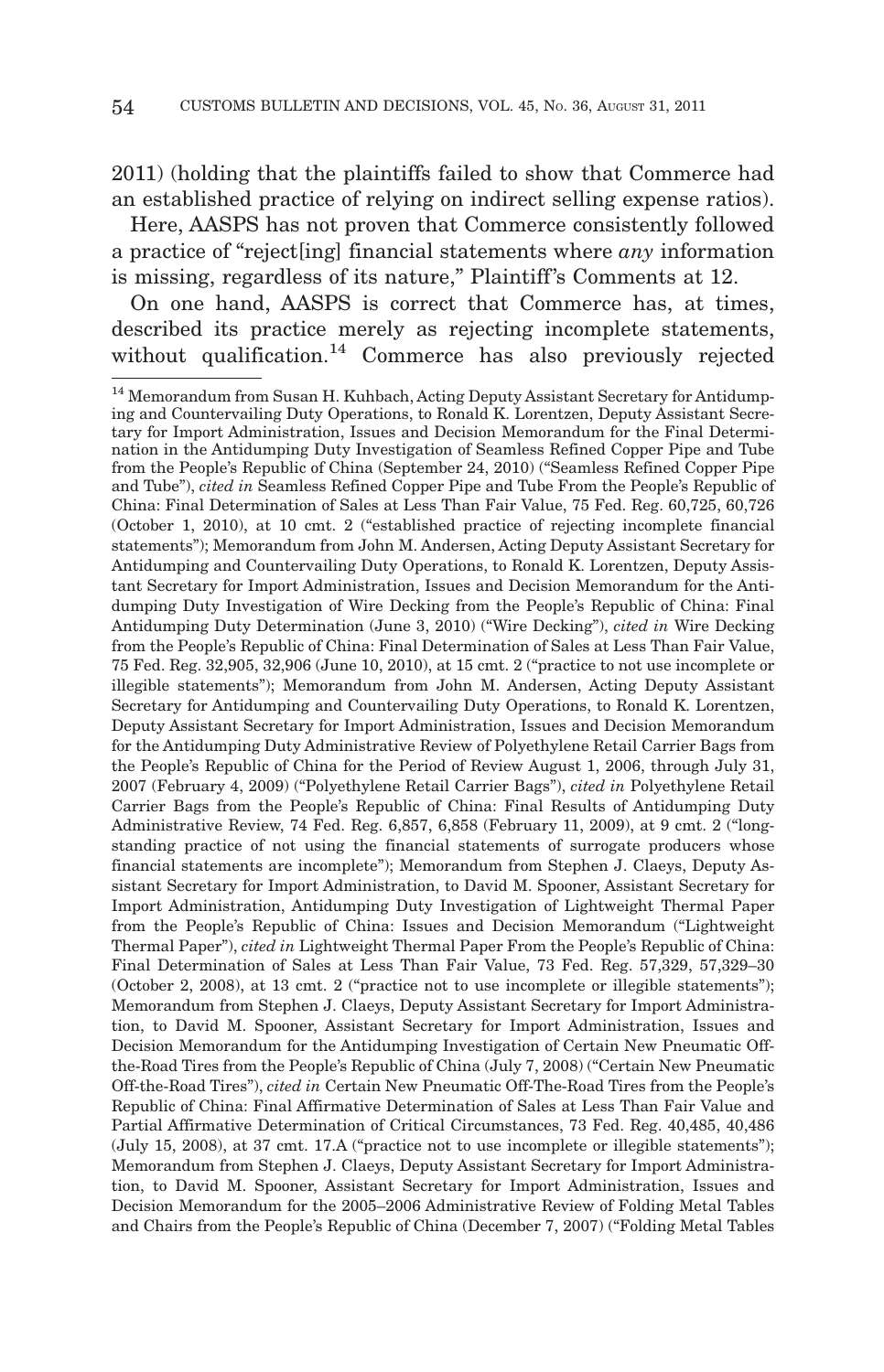2011) (holding that the plaintiffs failed to show that Commerce had an established practice of relying on indirect selling expense ratios).

Here, AASPS has not proven that Commerce consistently followed a practice of "reject[ing] financial statements where *any* information is missing, regardless of its nature," Plaintiff's Comments at 12.

On one hand, AASPS is correct that Commerce has, at times, described its practice merely as rejecting incomplete statements, without qualification.<sup>14</sup> Commerce has also previously rejected

<sup>&</sup>lt;sup>14</sup> Memorandum from Susan H. Kuhbach, Acting Deputy Assistant Secretary for Antidumping and Countervailing Duty Operations, to Ronald K. Lorentzen, Deputy Assistant Secretary for Import Administration, Issues and Decision Memorandum for the Final Determination in the Antidumping Duty Investigation of Seamless Refined Copper Pipe and Tube from the People's Republic of China (September 24, 2010) ("Seamless Refined Copper Pipe and Tube"), *cited in* Seamless Refined Copper Pipe and Tube From the People's Republic of China: Final Determination of Sales at Less Than Fair Value, 75 Fed. Reg. 60,725, 60,726 (October 1, 2010), at 10 cmt. 2 ("established practice of rejecting incomplete financial statements"); Memorandum from John M. Andersen, Acting Deputy Assistant Secretary for Antidumping and Countervailing Duty Operations, to Ronald K. Lorentzen, Deputy Assistant Secretary for Import Administration, Issues and Decision Memorandum for the Antidumping Duty Investigation of Wire Decking from the People's Republic of China: Final Antidumping Duty Determination (June 3, 2010) ("Wire Decking"), *cited in* Wire Decking from the People's Republic of China: Final Determination of Sales at Less Than Fair Value, 75 Fed. Reg. 32,905, 32,906 (June 10, 2010), at 15 cmt. 2 ("practice to not use incomplete or illegible statements"); Memorandum from John M. Andersen, Acting Deputy Assistant Secretary for Antidumping and Countervailing Duty Operations, to Ronald K. Lorentzen, Deputy Assistant Secretary for Import Administration, Issues and Decision Memorandum for the Antidumping Duty Administrative Review of Polyethylene Retail Carrier Bags from the People's Republic of China for the Period of Review August 1, 2006, through July 31, 2007 (February 4, 2009) ("Polyethylene Retail Carrier Bags"), *cited in* Polyethylene Retail Carrier Bags from the People's Republic of China: Final Results of Antidumping Duty Administrative Review, 74 Fed. Reg. 6,857, 6,858 (February 11, 2009), at 9 cmt. 2 ("longstanding practice of not using the financial statements of surrogate producers whose financial statements are incomplete"); Memorandum from Stephen J. Claeys, Deputy Assistant Secretary for Import Administration, to David M. Spooner, Assistant Secretary for Import Administration, Antidumping Duty Investigation of Lightweight Thermal Paper from the People's Republic of China: Issues and Decision Memorandum ("Lightweight Thermal Paper"), *cited in* Lightweight Thermal Paper From the People's Republic of China: Final Determination of Sales at Less Than Fair Value, 73 Fed. Reg. 57,329, 57,329–30 (October 2, 2008), at 13 cmt. 2 ("practice not to use incomplete or illegible statements"); Memorandum from Stephen J. Claeys, Deputy Assistant Secretary for Import Administration, to David M. Spooner, Assistant Secretary for Import Administration, Issues and Decision Memorandum for the Antidumping Investigation of Certain New Pneumatic Offthe-Road Tires from the People's Republic of China (July 7, 2008) ("Certain New Pneumatic Off-the-Road Tires"), *cited in* Certain New Pneumatic Off-The-Road Tires from the People's Republic of China: Final Affirmative Determination of Sales at Less Than Fair Value and Partial Affirmative Determination of Critical Circumstances, 73 Fed. Reg. 40,485, 40,486 (July 15, 2008), at 37 cmt. 17.A ("practice not to use incomplete or illegible statements"); Memorandum from Stephen J. Claeys, Deputy Assistant Secretary for Import Administration, to David M. Spooner, Assistant Secretary for Import Administration, Issues and Decision Memorandum for the 2005–2006 Administrative Review of Folding Metal Tables and Chairs from the People's Republic of China (December 7, 2007) ("Folding Metal Tables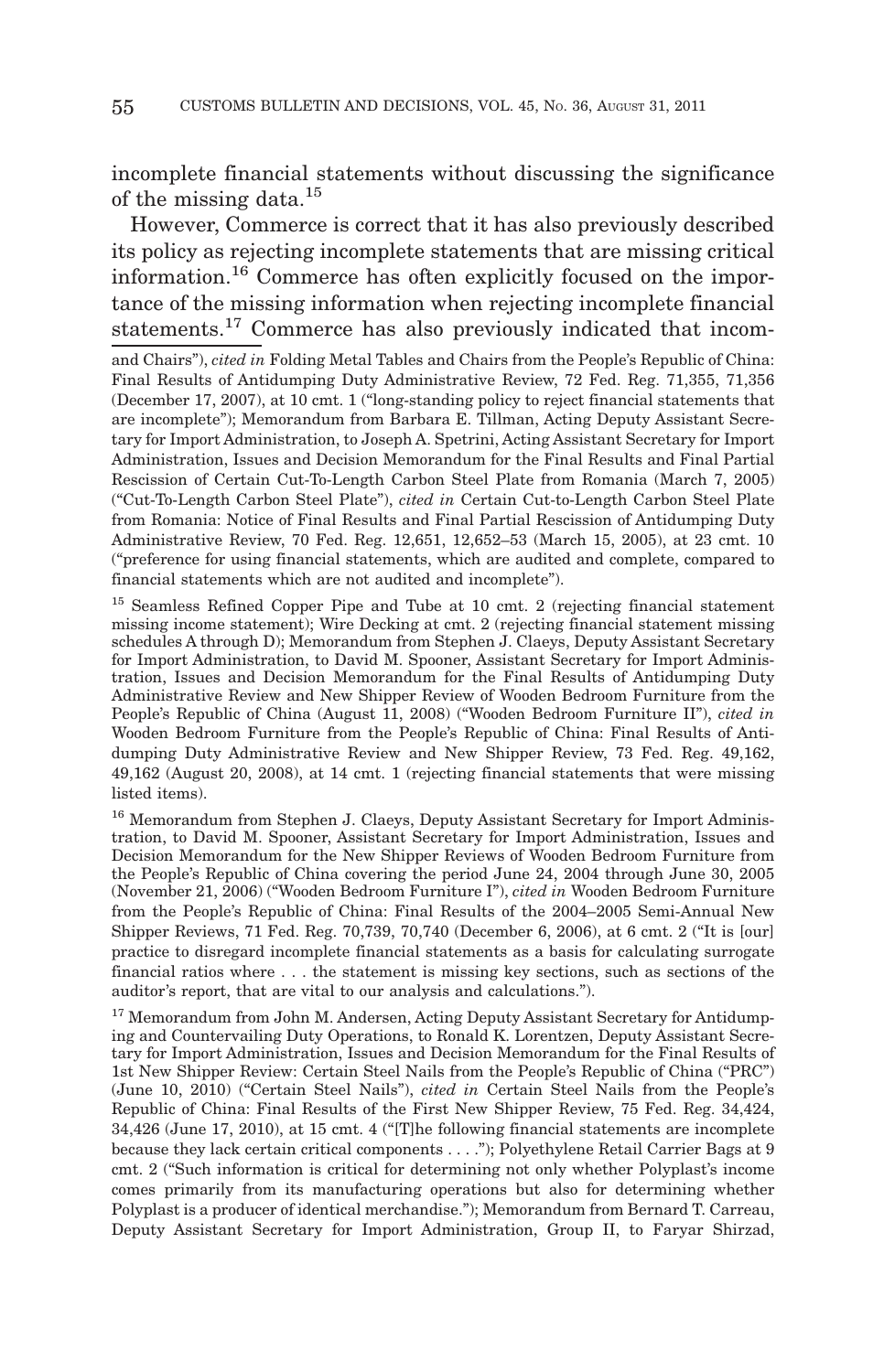incomplete financial statements without discussing the significance of the missing data.<sup>15</sup>

However, Commerce is correct that it has also previously described its policy as rejecting incomplete statements that are missing critical information.<sup>16</sup> Commerce has often explicitly focused on the importance of the missing information when rejecting incomplete financial statements.<sup>17</sup> Commerce has also previously indicated that incom-

and Chairs"), *cited in* Folding Metal Tables and Chairs from the People's Republic of China: Final Results of Antidumping Duty Administrative Review, 72 Fed. Reg. 71,355, 71,356 (December 17, 2007), at 10 cmt. 1 ("long-standing policy to reject financial statements that are incomplete"); Memorandum from Barbara E. Tillman, Acting Deputy Assistant Secretary for Import Administration, to Joseph A. Spetrini, Acting Assistant Secretary for Import Administration, Issues and Decision Memorandum for the Final Results and Final Partial Rescission of Certain Cut-To-Length Carbon Steel Plate from Romania (March 7, 2005) ("Cut-To-Length Carbon Steel Plate"), *cited in* Certain Cut-to-Length Carbon Steel Plate from Romania: Notice of Final Results and Final Partial Rescission of Antidumping Duty Administrative Review, 70 Fed. Reg. 12,651, 12,652–53 (March 15, 2005), at 23 cmt. 10 ("preference for using financial statements, which are audited and complete, compared to financial statements which are not audited and incomplete").

<sup>15</sup> Seamless Refined Copper Pipe and Tube at 10 cmt. 2 (rejecting financial statement missing income statement); Wire Decking at cmt. 2 (rejecting financial statement missing schedules A through D); Memorandum from Stephen J. Claeys, Deputy Assistant Secretary for Import Administration, to David M. Spooner, Assistant Secretary for Import Administration, Issues and Decision Memorandum for the Final Results of Antidumping Duty Administrative Review and New Shipper Review of Wooden Bedroom Furniture from the People's Republic of China (August 11, 2008) ("Wooden Bedroom Furniture II"), *cited in* Wooden Bedroom Furniture from the People's Republic of China: Final Results of Antidumping Duty Administrative Review and New Shipper Review, 73 Fed. Reg. 49,162, 49,162 (August 20, 2008), at 14 cmt. 1 (rejecting financial statements that were missing listed items).

<sup>16</sup> Memorandum from Stephen J. Claeys, Deputy Assistant Secretary for Import Administration, to David M. Spooner, Assistant Secretary for Import Administration, Issues and Decision Memorandum for the New Shipper Reviews of Wooden Bedroom Furniture from the People's Republic of China covering the period June 24, 2004 through June 30, 2005 (November 21, 2006) ("Wooden Bedroom Furniture I"), *cited in* Wooden Bedroom Furniture from the People's Republic of China: Final Results of the 2004–2005 Semi-Annual New Shipper Reviews, 71 Fed. Reg. 70,739, 70,740 (December 6, 2006), at 6 cmt. 2 ("It is [our] practice to disregard incomplete financial statements as a basis for calculating surrogate financial ratios where . . . the statement is missing key sections, such as sections of the auditor's report, that are vital to our analysis and calculations.").

<sup>17</sup> Memorandum from John M. Andersen, Acting Deputy Assistant Secretary for Antidumping and Countervailing Duty Operations, to Ronald K. Lorentzen, Deputy Assistant Secretary for Import Administration, Issues and Decision Memorandum for the Final Results of 1st New Shipper Review: Certain Steel Nails from the People's Republic of China ("PRC") (June 10, 2010) ("Certain Steel Nails"), *cited in* Certain Steel Nails from the People's Republic of China: Final Results of the First New Shipper Review, 75 Fed. Reg. 34,424, 34,426 (June 17, 2010), at 15 cmt. 4 ("[T]he following financial statements are incomplete because they lack certain critical components... ."); Polyethylene Retail Carrier Bags at 9 cmt. 2 ("Such information is critical for determining not only whether Polyplast's income comes primarily from its manufacturing operations but also for determining whether Polyplast is a producer of identical merchandise."); Memorandum from Bernard T. Carreau, Deputy Assistant Secretary for Import Administration, Group II, to Faryar Shirzad,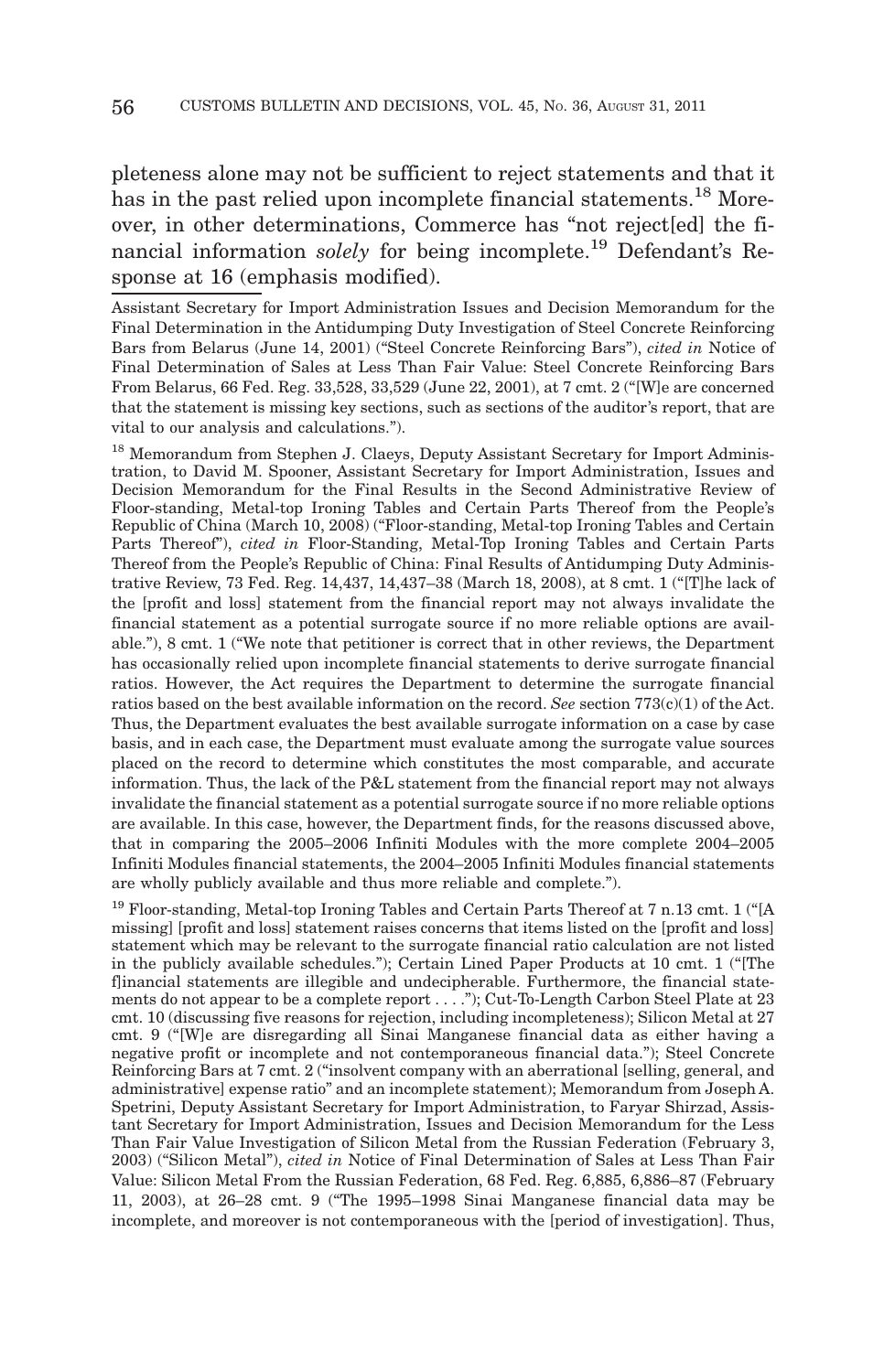pleteness alone may not be sufficient to reject statements and that it has in the past relied upon incomplete financial statements.<sup>18</sup> Moreover, in other determinations, Commerce has "not reject[ed] the financial information *solely* for being incomplete.19 Defendant's Response at 16 (emphasis modified).

Assistant Secretary for Import Administration Issues and Decision Memorandum for the Final Determination in the Antidumping Duty Investigation of Steel Concrete Reinforcing Bars from Belarus (June 14, 2001) ("Steel Concrete Reinforcing Bars"), *cited in* Notice of Final Determination of Sales at Less Than Fair Value: Steel Concrete Reinforcing Bars From Belarus, 66 Fed. Reg. 33,528, 33,529 (June 22, 2001), at 7 cmt. 2 ("[W]e are concerned that the statement is missing key sections, such as sections of the auditor's report, that are vital to our analysis and calculations.").

<sup>18</sup> Memorandum from Stephen J. Claeys, Deputy Assistant Secretary for Import Administration, to David M. Spooner, Assistant Secretary for Import Administration, Issues and Decision Memorandum for the Final Results in the Second Administrative Review of Floor-standing, Metal-top Ironing Tables and Certain Parts Thereof from the People's Republic of China (March 10, 2008) ("Floor-standing, Metal-top Ironing Tables and Certain Parts Thereof"), *cited in* Floor-Standing, Metal-Top Ironing Tables and Certain Parts Thereof from the People's Republic of China: Final Results of Antidumping Duty Administrative Review, 73 Fed. Reg. 14,437, 14,437–38 (March 18, 2008), at 8 cmt. 1 ("[T]he lack of the [profit and loss] statement from the financial report may not always invalidate the financial statement as a potential surrogate source if no more reliable options are available."), 8 cmt. 1 ("We note that petitioner is correct that in other reviews, the Department has occasionally relied upon incomplete financial statements to derive surrogate financial ratios. However, the Act requires the Department to determine the surrogate financial ratios based on the best available information on the record. *See* section 773(c)(1) of the Act. Thus, the Department evaluates the best available surrogate information on a case by case basis, and in each case, the Department must evaluate among the surrogate value sources placed on the record to determine which constitutes the most comparable, and accurate information. Thus, the lack of the P&L statement from the financial report may not always invalidate the financial statement as a potential surrogate source if no more reliable options are available. In this case, however, the Department finds, for the reasons discussed above, that in comparing the 2005–2006 Infiniti Modules with the more complete 2004–2005 Infiniti Modules financial statements, the 2004–2005 Infiniti Modules financial statements are wholly publicly available and thus more reliable and complete.").

<sup>19</sup> Floor-standing, Metal-top Ironing Tables and Certain Parts Thereof at 7 n.13 cmt. 1 ("[A missing] [profit and loss] statement raises concerns that items listed on the [profit and loss] statement which may be relevant to the surrogate financial ratio calculation are not listed in the publicly available schedules."); Certain Lined Paper Products at 10 cmt. 1 ("[The flinancial statements are illegible and undecipherable. Furthermore, the financial statements do not appear to be a complete report... ."); Cut-To-Length Carbon Steel Plate at 23 cmt. 10 (discussing five reasons for rejection, including incompleteness); Silicon Metal at 27 cmt. 9 ("[W]e are disregarding all Sinai Manganese financial data as either having a negative profit or incomplete and not contemporaneous financial data."); Steel Concrete Reinforcing Bars at 7 cmt. 2 ("insolvent company with an aberrational [selling, general, and administrative] expense ratio" and an incomplete statement); Memorandum from Joseph A. Spetrini, Deputy Assistant Secretary for Import Administration, to Faryar Shirzad, Assistant Secretary for Import Administration, Issues and Decision Memorandum for the Less Than Fair Value Investigation of Silicon Metal from the Russian Federation (February 3, 2003) ("Silicon Metal"), *cited in* Notice of Final Determination of Sales at Less Than Fair Value: Silicon Metal From the Russian Federation, 68 Fed. Reg. 6,885, 6,886–87 (February 11, 2003), at 26–28 cmt. 9 ("The 1995–1998 Sinai Manganese financial data may be incomplete, and moreover is not contemporaneous with the [period of investigation]. Thus,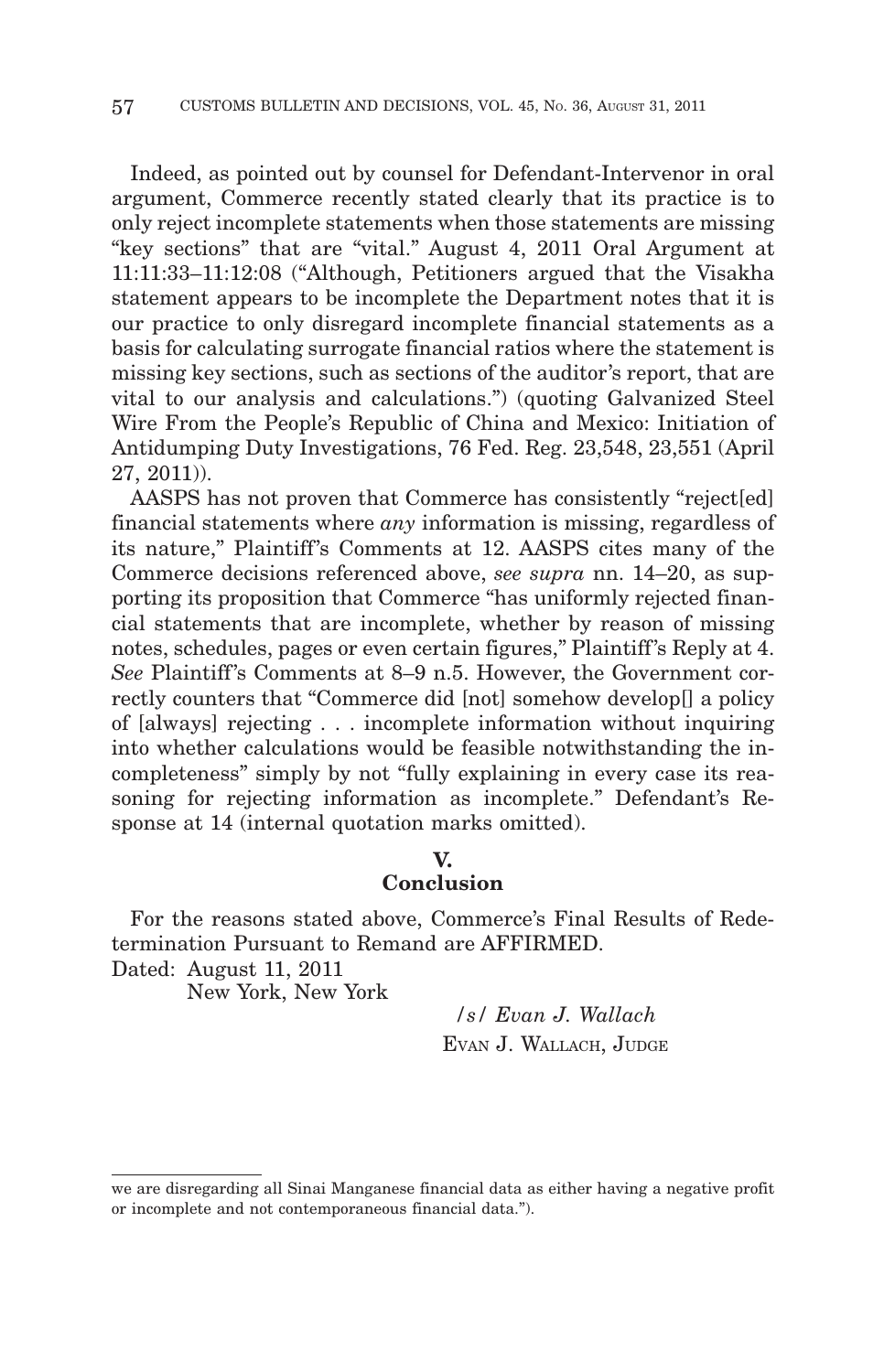Indeed, as pointed out by counsel for Defendant-Intervenor in oral argument, Commerce recently stated clearly that its practice is to only reject incomplete statements when those statements are missing "key sections" that are "vital." August 4, 2011 Oral Argument at 11:11:33–11:12:08 ("Although, Petitioners argued that the Visakha statement appears to be incomplete the Department notes that it is our practice to only disregard incomplete financial statements as a basis for calculating surrogate financial ratios where the statement is missing key sections, such as sections of the auditor's report, that are vital to our analysis and calculations.") (quoting Galvanized Steel Wire From the People's Republic of China and Mexico: Initiation of Antidumping Duty Investigations, 76 Fed. Reg. 23,548, 23,551 (April 27, 2011)).

AASPS has not proven that Commerce has consistently "reject[ed] financial statements where *any* information is missing, regardless of its nature," Plaintiff's Comments at 12. AASPS cites many of the Commerce decisions referenced above, *see supra* nn. 14–20, as supporting its proposition that Commerce "has uniformly rejected financial statements that are incomplete, whether by reason of missing notes, schedules, pages or even certain figures," Plaintiff's Reply at 4. *See* Plaintiff's Comments at 8–9 n.5. However, the Government correctly counters that "Commerce did [not] somehow develop[] a policy of [always] rejecting... incomplete information without inquiring into whether calculations would be feasible notwithstanding the incompleteness" simply by not "fully explaining in every case its reasoning for rejecting information as incomplete." Defendant's Response at 14 (internal quotation marks omitted).

# **V.**

# **Conclusion**

For the reasons stated above, Commerce's Final Results of Redetermination Pursuant to Remand are AFFIRMED.

Dated: August 11, 2011

New York, New York

*/s/ Evan J. Wallach* EVAN J. WALLACH, JUDGE

we are disregarding all Sinai Manganese financial data as either having a negative profit or incomplete and not contemporaneous financial data.").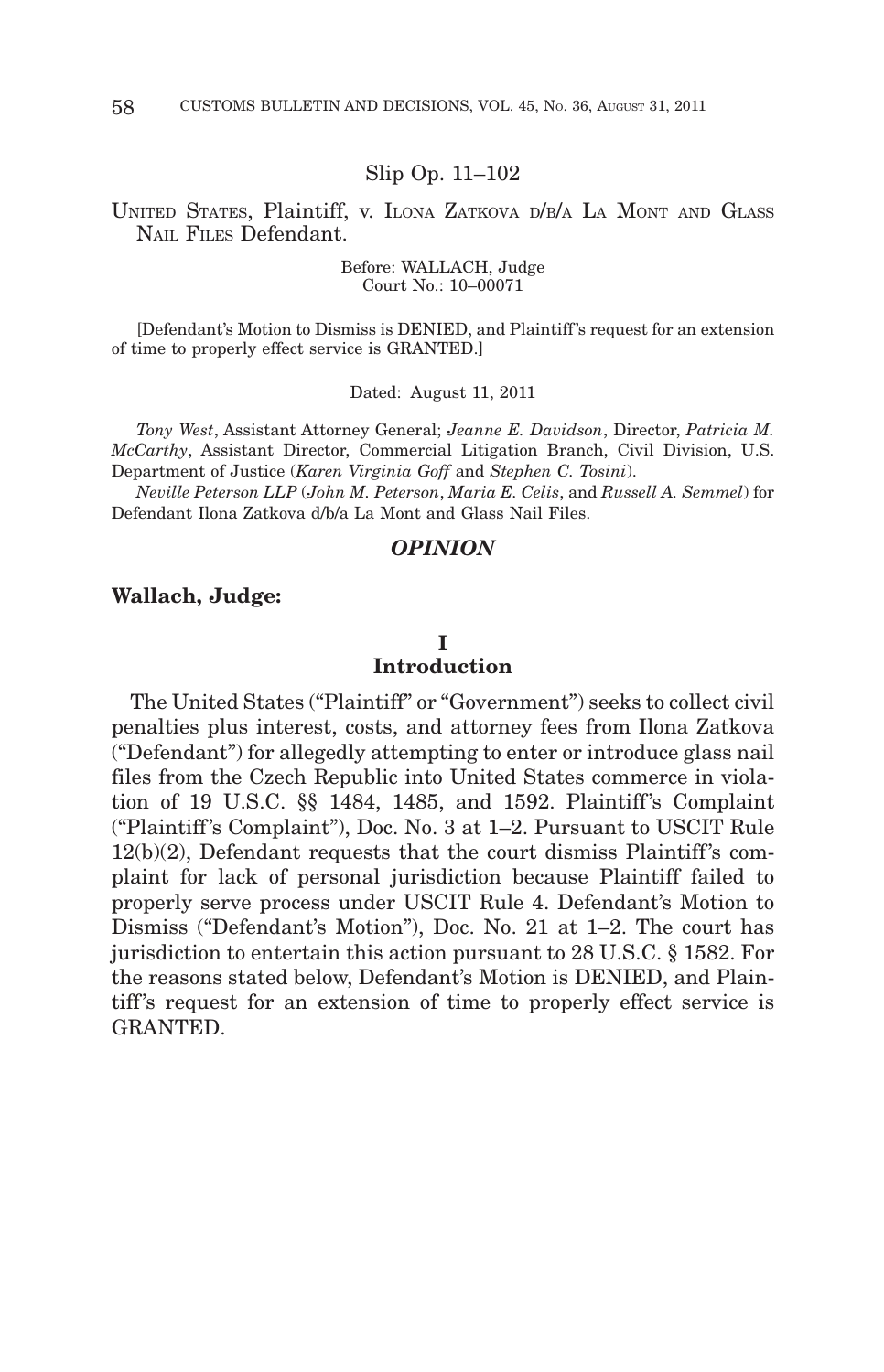#### Slip Op. 11–102

## UNITED STATES, Plaintiff, v. ILONA ZATKOVA D/B/A LA MONT AND GLASS NAIL FILES Defendant.

Before: WALLACH, Judge Court No.: 10–00071

[Defendant's Motion to Dismiss is DENIED, and Plaintiff 's request for an extension of time to properly effect service is GRANTED.]

Dated: August 11, 2011

*Tony West*, Assistant Attorney General; *Jeanne E. Davidson*, Director, *Patricia M. McCarthy*, Assistant Director, Commercial Litigation Branch, Civil Division, U.S. Department of Justice (*Karen Virginia Goff* and *Stephen C. Tosini*).

*Neville Peterson LLP* (*John M. Peterson*, *Maria E. Celis*, and *Russell A. Semmel*) for Defendant Ilona Zatkova d/b/a La Mont and Glass Nail Files.

#### *OPINION*

#### **Wallach, Judge:**

#### **I**

## **Introduction**

The United States ("Plaintiff" or "Government") seeks to collect civil penalties plus interest, costs, and attorney fees from Ilona Zatkova ("Defendant") for allegedly attempting to enter or introduce glass nail files from the Czech Republic into United States commerce in violation of 19 U.S.C. §§ 1484, 1485, and 1592. Plaintiff's Complaint ("Plaintiff 's Complaint"), Doc. No. 3 at 1–2. Pursuant to USCIT Rule  $12(b)(2)$ , Defendant requests that the court dismiss Plaintiff's complaint for lack of personal jurisdiction because Plaintiff failed to properly serve process under USCIT Rule 4. Defendant's Motion to Dismiss ("Defendant's Motion"), Doc. No. 21 at 1–2. The court has jurisdiction to entertain this action pursuant to 28 U.S.C. § 1582. For the reasons stated below, Defendant's Motion is DENIED, and Plaintiff's request for an extension of time to properly effect service is GRANTED.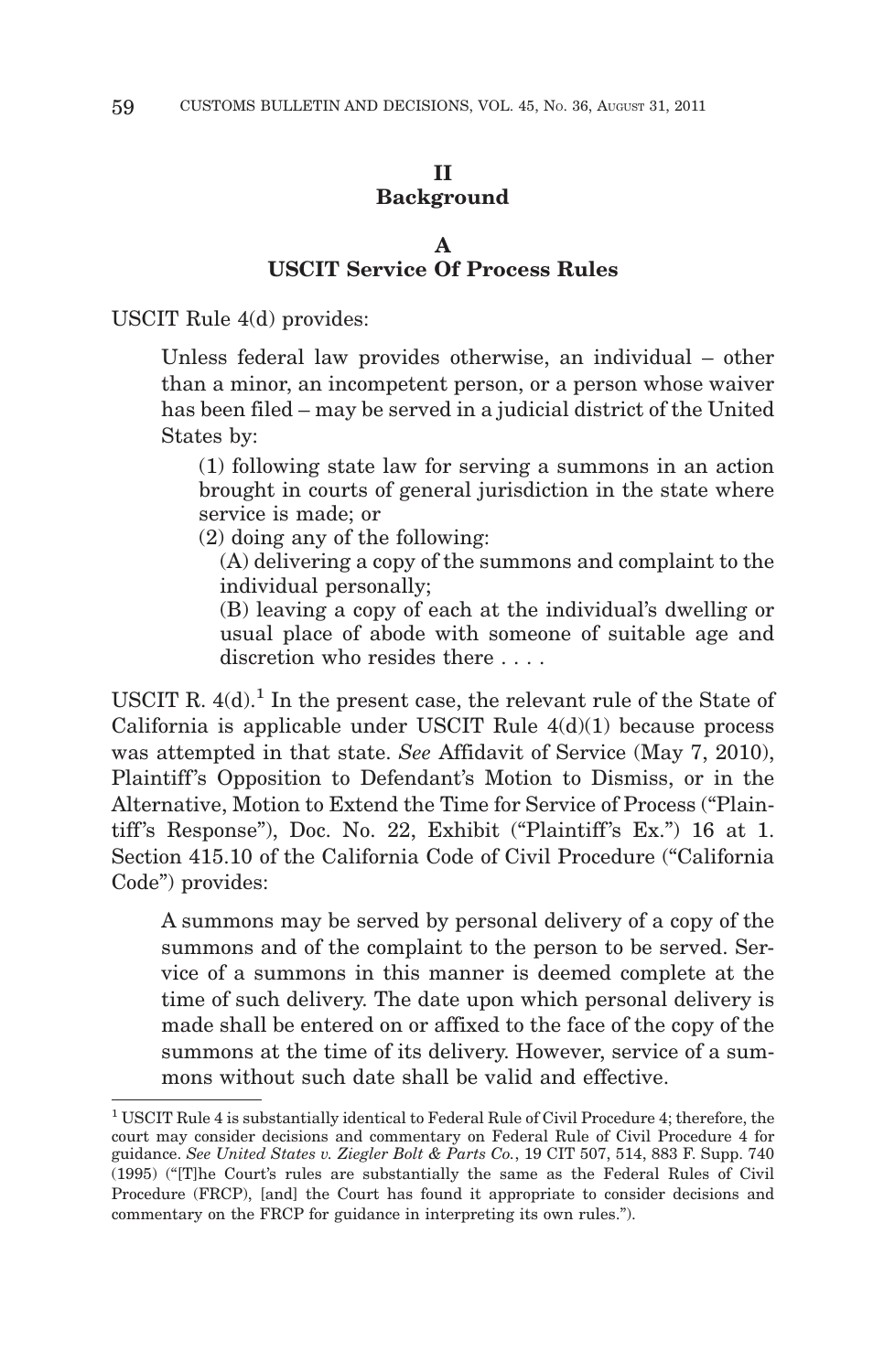# **II Background**

#### **A USCIT Service Of Process Rules**

USCIT Rule 4(d) provides:

Unless federal law provides otherwise, an individual – other than a minor, an incompetent person, or a person whose waiver has been filed – may be served in a judicial district of the United States by:

(1) following state law for serving a summons in an action brought in courts of general jurisdiction in the state where service is made; or

(2) doing any of the following:

(A) delivering a copy of the summons and complaint to the individual personally;

(B) leaving a copy of each at the individual's dwelling or usual place of abode with someone of suitable age and discretion who resides there ....

USCIT R.  $4(d)$ .<sup>1</sup> In the present case, the relevant rule of the State of California is applicable under USCIT Rule  $4(d)(1)$  because process was attempted in that state. *See* Affidavit of Service (May 7, 2010), Plaintiff's Opposition to Defendant's Motion to Dismiss, or in the Alternative, Motion to Extend the Time for Service of Process ("Plaintiff's Response"), Doc. No. 22, Exhibit ("Plaintiff's Ex.")  $16$  at 1. Section 415.10 of the California Code of Civil Procedure ("California Code") provides:

A summons may be served by personal delivery of a copy of the summons and of the complaint to the person to be served. Service of a summons in this manner is deemed complete at the time of such delivery. The date upon which personal delivery is made shall be entered on or affixed to the face of the copy of the summons at the time of its delivery. However, service of a summons without such date shall be valid and effective.

<sup>1</sup> USCIT Rule 4 is substantially identical to Federal Rule of Civil Procedure 4; therefore, the court may consider decisions and commentary on Federal Rule of Civil Procedure 4 for guidance. *See United States v. Ziegler Bolt & Parts Co.*, 19 CIT 507, 514, 883 F. Supp. 740 (1995) ("[T]he Court's rules are substantially the same as the Federal Rules of Civil Procedure (FRCP), [and] the Court has found it appropriate to consider decisions and commentary on the FRCP for guidance in interpreting its own rules.").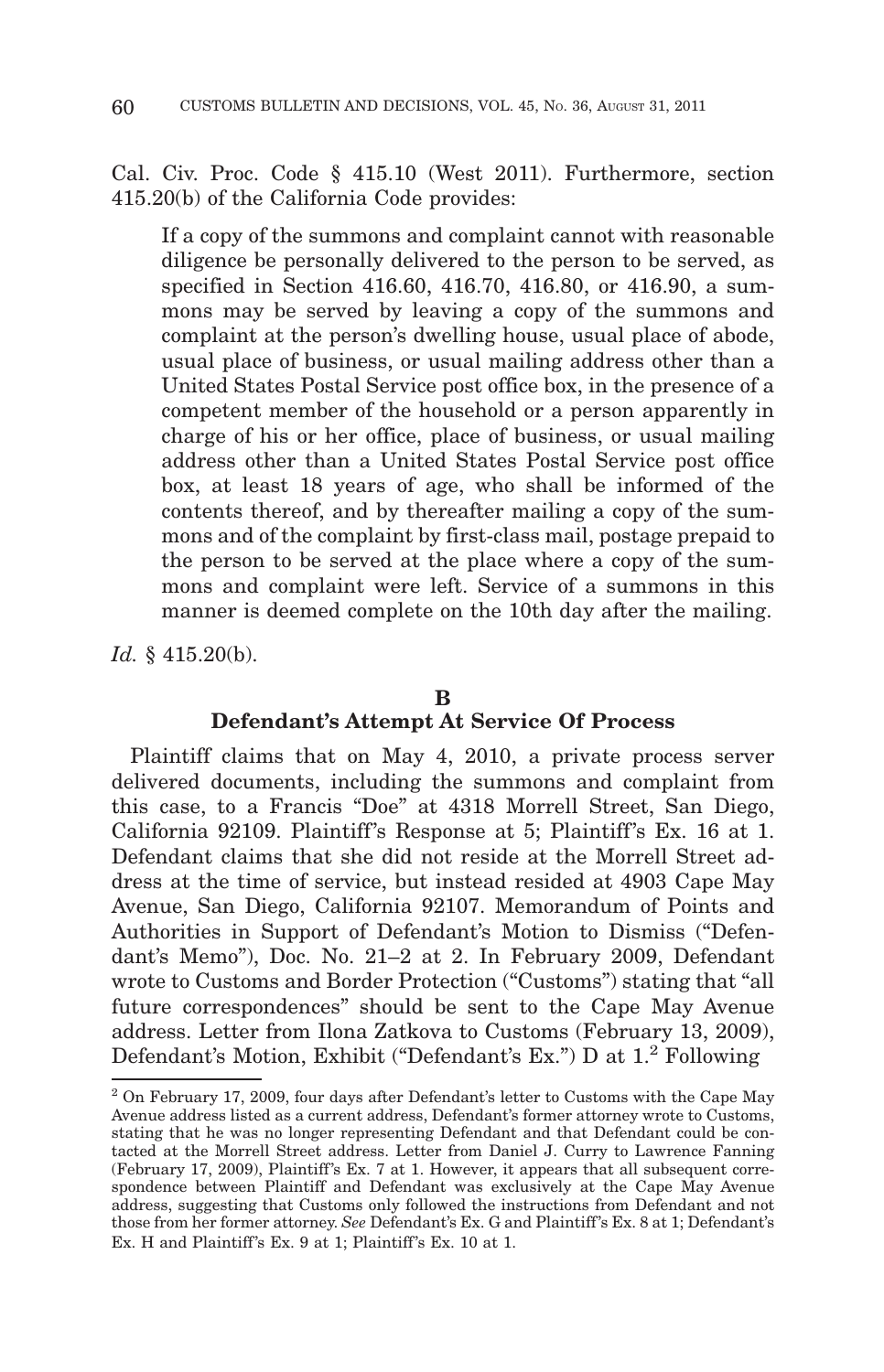Cal. Civ. Proc. Code § 415.10 (West 2011). Furthermore, section 415.20(b) of the California Code provides:

If a copy of the summons and complaint cannot with reasonable diligence be personally delivered to the person to be served, as specified in Section 416.60, 416.70, 416.80, or 416.90, a summons may be served by leaving a copy of the summons and complaint at the person's dwelling house, usual place of abode, usual place of business, or usual mailing address other than a United States Postal Service post office box, in the presence of a competent member of the household or a person apparently in charge of his or her office, place of business, or usual mailing address other than a United States Postal Service post office box, at least 18 years of age, who shall be informed of the contents thereof, and by thereafter mailing a copy of the summons and of the complaint by first-class mail, postage prepaid to the person to be served at the place where a copy of the summons and complaint were left. Service of a summons in this manner is deemed complete on the 10th day after the mailing.

*Id.* § 415.20(b).

## **B**

# **Defendant's Attempt At Service Of Process**

Plaintiff claims that on May 4, 2010, a private process server delivered documents, including the summons and complaint from this case, to a Francis "Doe" at 4318 Morrell Street, San Diego, California 92109. Plaintiff's Response at 5; Plaintiff's Ex. 16 at 1. Defendant claims that she did not reside at the Morrell Street address at the time of service, but instead resided at 4903 Cape May Avenue, San Diego, California 92107. Memorandum of Points and Authorities in Support of Defendant's Motion to Dismiss ("Defendant's Memo"), Doc. No. 21–2 at 2. In February 2009, Defendant wrote to Customs and Border Protection ("Customs") stating that "all future correspondences" should be sent to the Cape May Avenue address. Letter from Ilona Zatkova to Customs (February 13, 2009), Defendant's Motion, Exhibit ("Defendant's Ex.") D at 1.2 Following

 $2$  On February 17, 2009, four days after Defendant's letter to Customs with the Cape May Avenue address listed as a current address, Defendant's former attorney wrote to Customs, stating that he was no longer representing Defendant and that Defendant could be contacted at the Morrell Street address. Letter from Daniel J. Curry to Lawrence Fanning (February 17, 2009), Plaintiff's Ex. 7 at 1. However, it appears that all subsequent correspondence between Plaintiff and Defendant was exclusively at the Cape May Avenue address, suggesting that Customs only followed the instructions from Defendant and not those from her former attorney. *See* Defendant's Ex. G and Plaintiff 's Ex. 8 at 1; Defendant's Ex. H and Plaintiff's Ex. 9 at 1; Plaintiff's Ex. 10 at 1.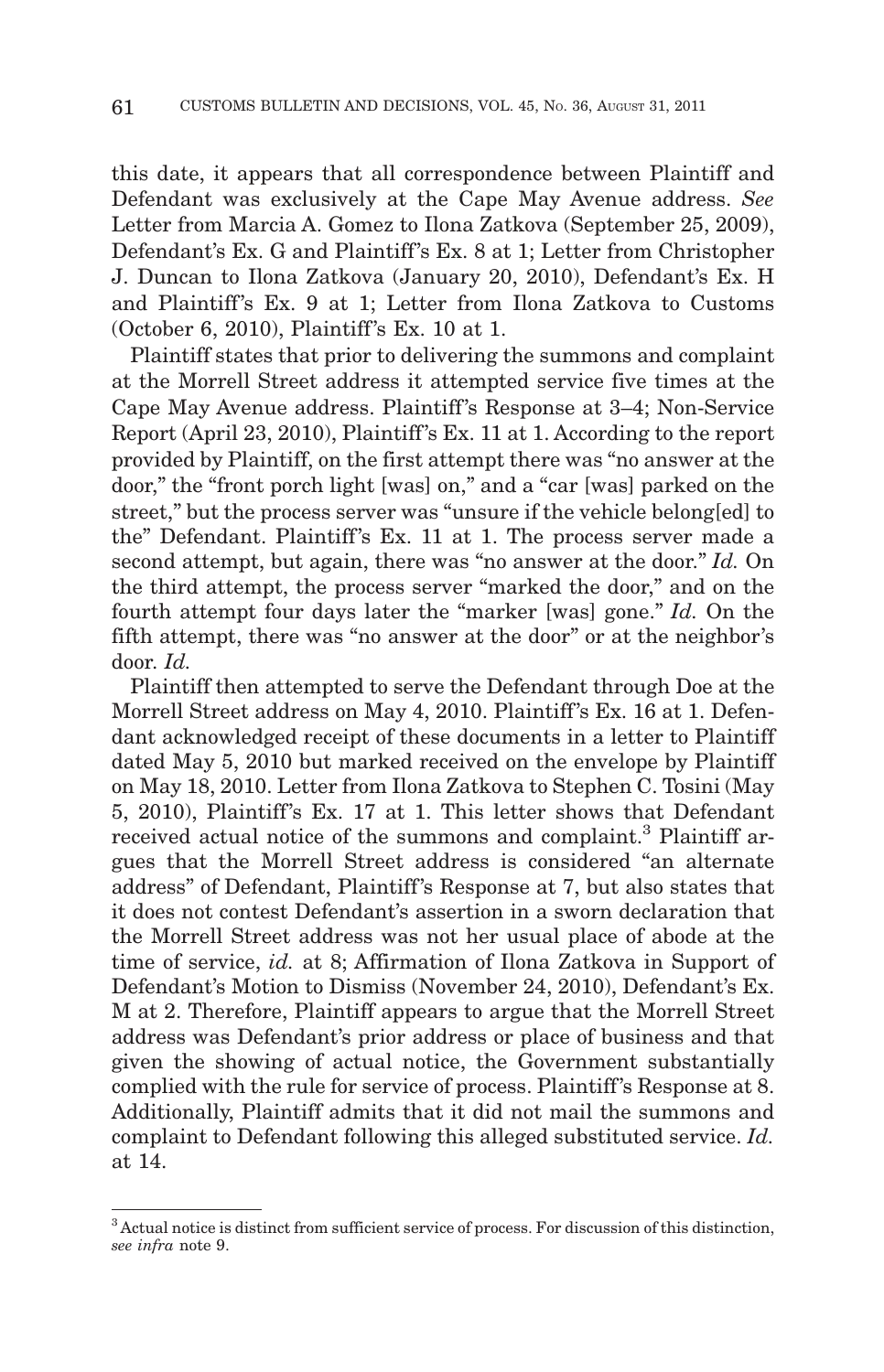this date, it appears that all correspondence between Plaintiff and Defendant was exclusively at the Cape May Avenue address. *See* Letter from Marcia A. Gomez to Ilona Zatkova (September 25, 2009), Defendant's Ex. G and Plaintiff's Ex. 8 at 1; Letter from Christopher J. Duncan to Ilona Zatkova (January 20, 2010), Defendant's Ex. H and Plaintiff's Ex. 9 at 1; Letter from Ilona Zatkova to Customs (October 6, 2010), Plaintiff 's Ex. 10 at 1.

Plaintiff states that prior to delivering the summons and complaint at the Morrell Street address it attempted service five times at the Cape May Avenue address. Plaintiff 's Response at 3–4; Non-Service Report (April 23, 2010), Plaintiff 's Ex. 11 at 1. According to the report provided by Plaintiff, on the first attempt there was "no answer at the door," the "front porch light [was] on," and a "car [was] parked on the street," but the process server was "unsure if the vehicle belong[ed] to the" Defendant. Plaintiff's Ex. 11 at 1. The process server made a second attempt, but again, there was "no answer at the door." *Id.* On the third attempt, the process server "marked the door," and on the fourth attempt four days later the "marker [was] gone." *Id.* On the fifth attempt, there was "no answer at the door" or at the neighbor's door. *Id.*

Plaintiff then attempted to serve the Defendant through Doe at the Morrell Street address on May 4, 2010. Plaintiff's Ex. 16 at 1. Defendant acknowledged receipt of these documents in a letter to Plaintiff dated May 5, 2010 but marked received on the envelope by Plaintiff on May 18, 2010. Letter from Ilona Zatkova to Stephen C. Tosini (May 5, 2010), Plaintiff's Ex. 17 at 1. This letter shows that Defendant received actual notice of the summons and complaint.<sup>3</sup> Plaintiff argues that the Morrell Street address is considered "an alternate address" of Defendant, Plaintiff 's Response at 7, but also states that it does not contest Defendant's assertion in a sworn declaration that the Morrell Street address was not her usual place of abode at the time of service, *id.* at 8; Affirmation of Ilona Zatkova in Support of Defendant's Motion to Dismiss (November 24, 2010), Defendant's Ex. M at 2. Therefore, Plaintiff appears to argue that the Morrell Street address was Defendant's prior address or place of business and that given the showing of actual notice, the Government substantially complied with the rule for service of process. Plaintiff 's Response at 8. Additionally, Plaintiff admits that it did not mail the summons and complaint to Defendant following this alleged substituted service. *Id.* at 14.

 $3$  Actual notice is distinct from sufficient service of process. For discussion of this distinction, *see infra* note 9.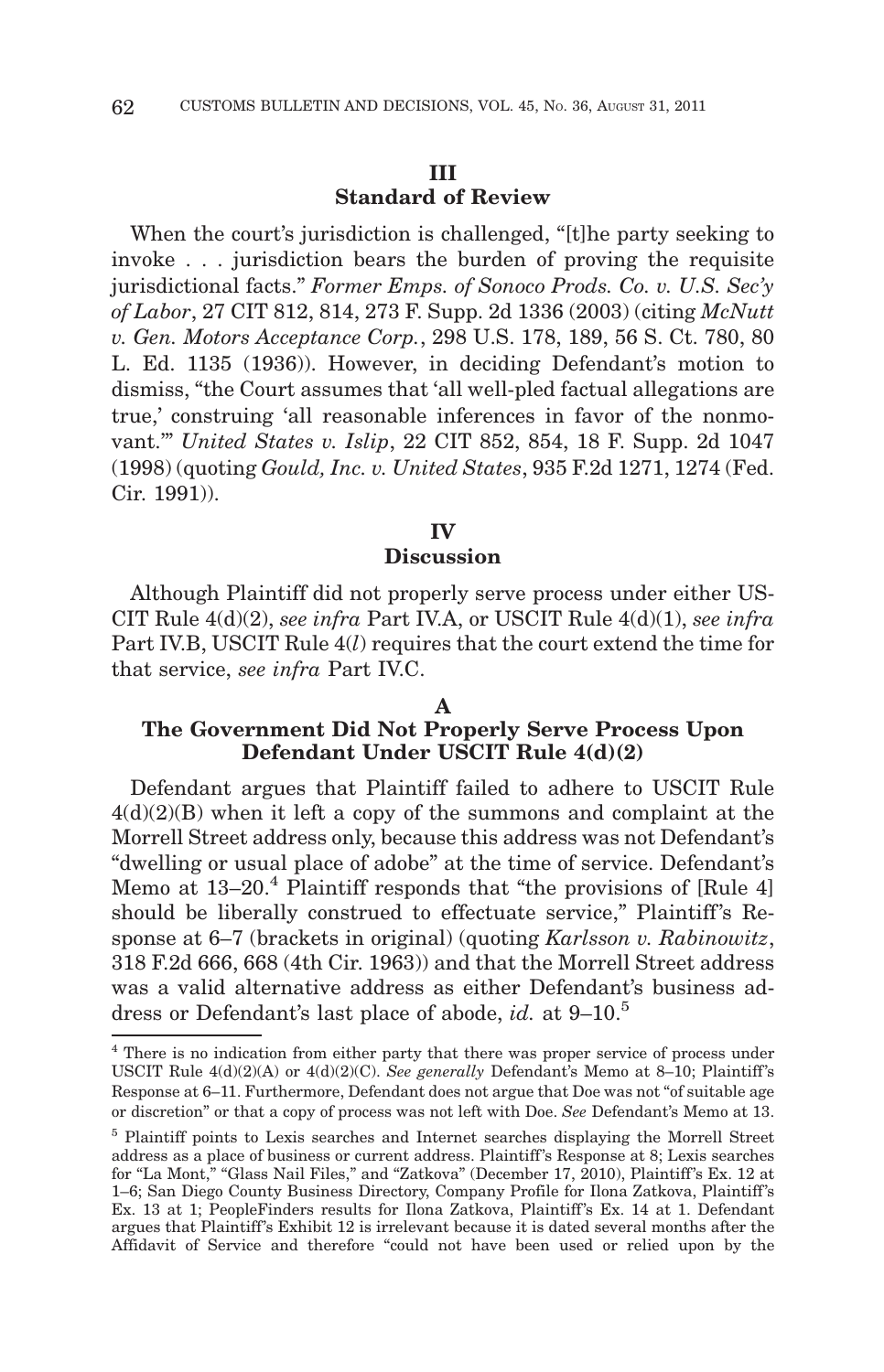# **III Standard of Review**

When the court's jurisdiction is challenged, "[t]he party seeking to invoke... jurisdiction bears the burden of proving the requisite jurisdictional facts." *Former Emps. of Sonoco Prods. Co. v. U.S. Sec'y of Labor*, 27 CIT 812, 814, 273 F. Supp. 2d 1336 (2003) (citing *McNutt v. Gen. Motors Acceptance Corp.*, 298 U.S. 178, 189, 56 S. Ct. 780, 80 L. Ed. 1135 (1936)). However, in deciding Defendant's motion to dismiss, "the Court assumes that 'all well-pled factual allegations are true,' construing 'all reasonable inferences in favor of the nonmovant.'" *United States v. Islip*, 22 CIT 852, 854, 18 F. Supp. 2d 1047 (1998) (quoting *Gould, Inc. v. United States*, 935 F.2d 1271, 1274 (Fed. Cir. 1991)).

# **IV Discussion**

Although Plaintiff did not properly serve process under either US-CIT Rule 4(d)(2), *see infra* Part IV.A, or USCIT Rule 4(d)(1), *see infra* Part IV.B, USCIT Rule 4(*l*) requires that the court extend the time for that service, *see infra* Part IV.C.

## **A**

# **The Government Did Not Properly Serve Process Upon Defendant Under USCIT Rule 4(d)(2)**

Defendant argues that Plaintiff failed to adhere to USCIT Rule  $4(d)(2)(B)$  when it left a copy of the summons and complaint at the Morrell Street address only, because this address was not Defendant's "dwelling or usual place of adobe" at the time of service. Defendant's Memo at  $13-20$ .<sup>4</sup> Plaintiff responds that "the provisions of [Rule 4] should be liberally construed to effectuate service," Plaintiff's Response at 6–7 (brackets in original) (quoting *Karlsson v. Rabinowitz*, 318 F.2d 666, 668 (4th Cir. 1963)) and that the Morrell Street address was a valid alternative address as either Defendant's business address or Defendant's last place of abode, *id.* at 9–10.5

<sup>&</sup>lt;sup>4</sup> There is no indication from either party that there was proper service of process under USCIT Rule  $4(d)(2)(A)$  or  $4(d)(2)(C)$ . *See generally* Defendant's Memo at 8-10; Plaintiff's Response at 6–11. Furthermore, Defendant does not argue that Doe was not "of suitable age or discretion" or that a copy of process was not left with Doe. *See* Defendant's Memo at 13.

<sup>&</sup>lt;sup>5</sup> Plaintiff points to Lexis searches and Internet searches displaying the Morrell Street address as a place of business or current address. Plaintiff's Response at 8; Lexis searches for "La Mont," "Glass Nail Files," and "Zatkova" (December 17, 2010), Plaintiff's Ex. 12 at 1–6; San Diego County Business Directory, Company Profile for Ilona Zatkova, Plaintiff 's Ex. 13 at 1; PeopleFinders results for Ilona Zatkova, Plaintiff's Ex. 14 at 1. Defendant argues that Plaintiff's Exhibit 12 is irrelevant because it is dated several months after the Affidavit of Service and therefore "could not have been used or relied upon by the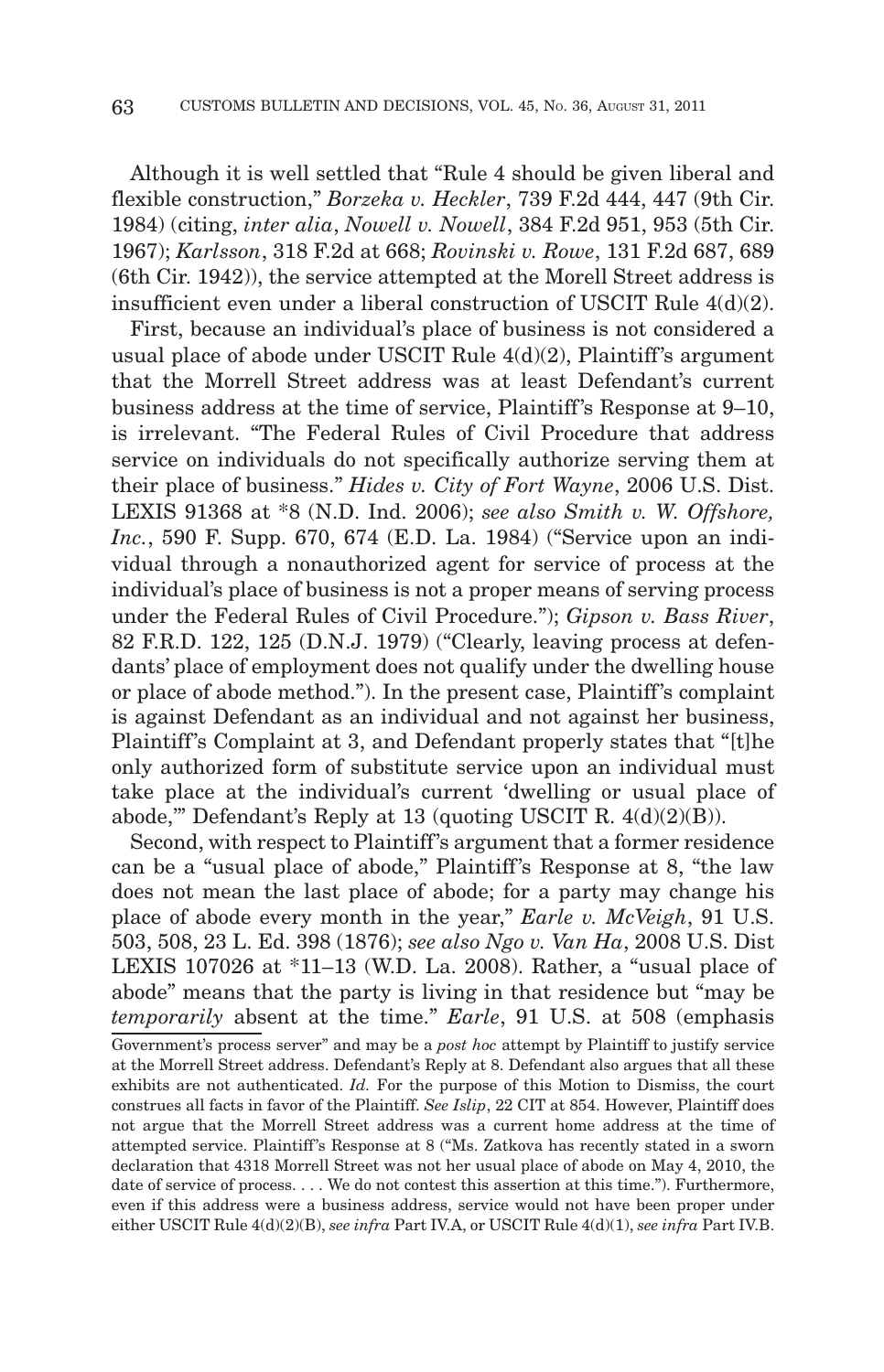Although it is well settled that "Rule 4 should be given liberal and flexible construction," *Borzeka v. Heckler*, 739 F.2d 444, 447 (9th Cir. 1984) (citing, *inter alia*, *Nowell v. Nowell*, 384 F.2d 951, 953 (5th Cir. 1967); *Karlsson*, 318 F.2d at 668; *Rovinski v. Rowe*, 131 F.2d 687, 689 (6th Cir. 1942)), the service attempted at the Morell Street address is insufficient even under a liberal construction of USCIT Rule 4(d)(2).

First, because an individual's place of business is not considered a usual place of abode under USCIT Rule  $4(d)(2)$ , Plaintiff's argument that the Morrell Street address was at least Defendant's current business address at the time of service, Plaintiff 's Response at 9–10, is irrelevant. "The Federal Rules of Civil Procedure that address service on individuals do not specifically authorize serving them at their place of business." *Hides v. City of Fort Wayne*, 2006 U.S. Dist. LEXIS 91368 at \*8 (N.D. Ind. 2006); *see also Smith v. W. Offshore, Inc.*, 590 F. Supp. 670, 674 (E.D. La. 1984) ("Service upon an individual through a nonauthorized agent for service of process at the individual's place of business is not a proper means of serving process under the Federal Rules of Civil Procedure."); *Gipson v. Bass River*, 82 F.R.D. 122, 125 (D.N.J. 1979) ("Clearly, leaving process at defendants' place of employment does not qualify under the dwelling house or place of abode method."). In the present case, Plaintiff 's complaint is against Defendant as an individual and not against her business, Plaintiff's Complaint at 3, and Defendant properly states that "[t]he only authorized form of substitute service upon an individual must take place at the individual's current 'dwelling or usual place of abode," Defendant's Reply at 13 (quoting USCIT R.  $4(d)(2)(B)$ ).

Second, with respect to Plaintiff's argument that a former residence can be a "usual place of abode," Plaintiff's Response at 8, "the law does not mean the last place of abode; for a party may change his place of abode every month in the year," *Earle v. McVeigh*, 91 U.S. 503, 508, 23 L. Ed. 398 (1876); *see also Ngo v. Van Ha*, 2008 U.S. Dist LEXIS 107026 at \*11–13 (W.D. La. 2008). Rather, a "usual place of abode" means that the party is living in that residence but "may be *temporarily* absent at the time." *Earle*, 91 U.S. at 508 (emphasis

Government's process server" and may be a *post hoc* attempt by Plaintiff to justify service at the Morrell Street address. Defendant's Reply at 8. Defendant also argues that all these exhibits are not authenticated. *Id.* For the purpose of this Motion to Dismiss, the court construes all facts in favor of the Plaintiff. *See Islip*, 22 CIT at 854. However, Plaintiff does not argue that the Morrell Street address was a current home address at the time of attempted service. Plaintiff's Response at 8 ("Ms. Zatkova has recently stated in a sworn declaration that 4318 Morrell Street was not her usual place of abode on May 4, 2010, the date of service of process. . . . We do not contest this assertion at this time."). Furthermore, even if this address were a business address, service would not have been proper under either USCIT Rule 4(d)(2)(B), *see infra* Part IV.A, or USCIT Rule 4(d)(1), *see infra* Part IV.B.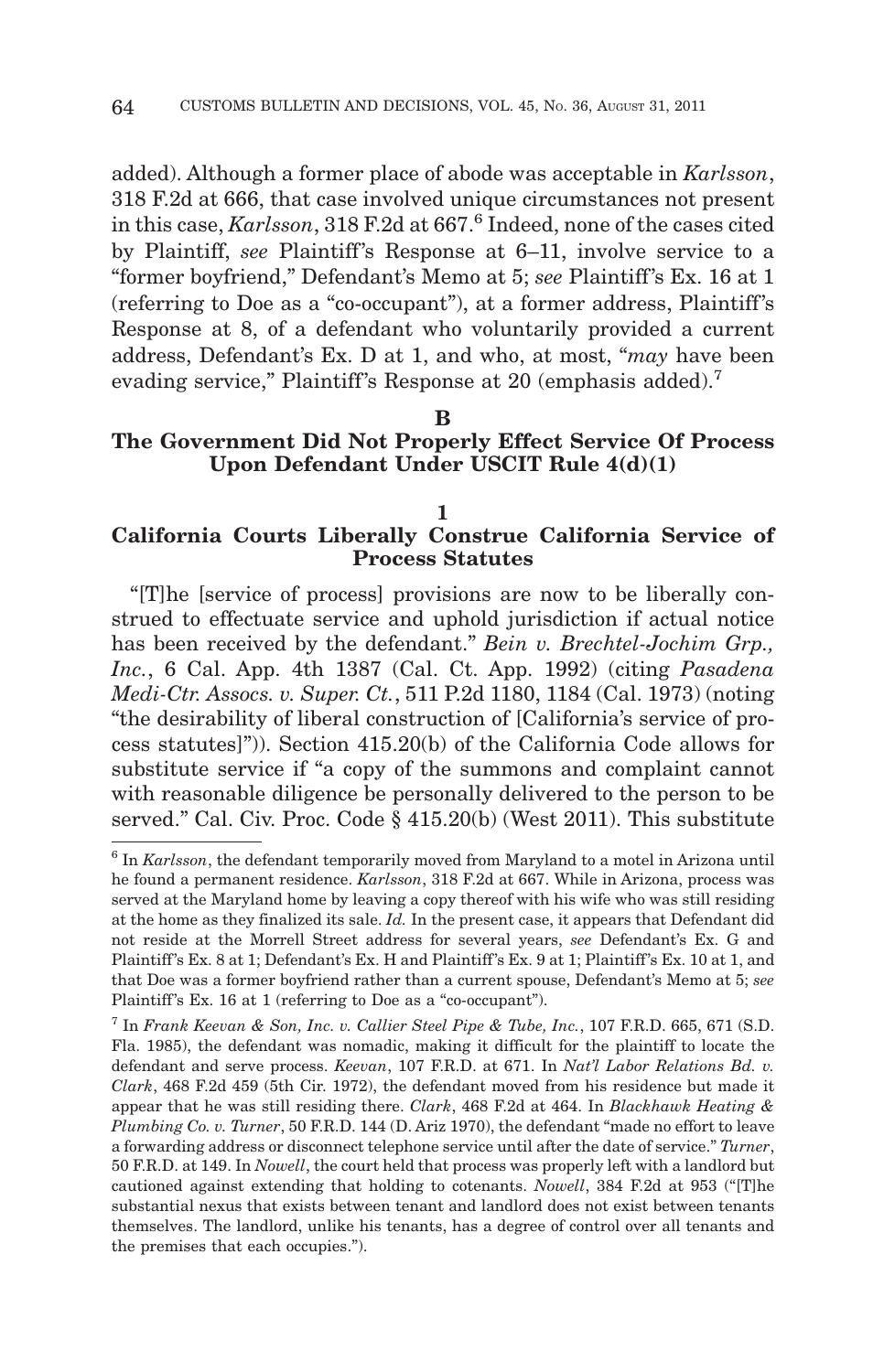added). Although a former place of abode was acceptable in *Karlsson*, 318 F.2d at 666, that case involved unique circumstances not present in this case, *Karlsson*, 318 F.2d at 667.<sup>6</sup> Indeed, none of the cases cited by Plaintiff, *see* Plaintiff's Response at 6–11, involve service to a "former boyfriend," Defendant's Memo at 5; *see* Plaintiff 's Ex. 16 at 1 (referring to Doe as a "co-occupant"), at a former address, Plaintiff 's Response at 8, of a defendant who voluntarily provided a current address, Defendant's Ex. D at 1, and who, at most, "*may* have been evading service," Plaintiff's Response at 20 (emphasis added).<sup>7</sup>

#### **B**

# **The Government Did Not Properly Effect Service Of Process Upon Defendant Under USCIT Rule 4(d)(1)**

**1**

# **California Courts Liberally Construe California Service of Process Statutes**

"[T]he [service of process] provisions are now to be liberally construed to effectuate service and uphold jurisdiction if actual notice has been received by the defendant." *Bein v. Brechtel-Jochim Grp., Inc.*, 6 Cal. App. 4th 1387 (Cal. Ct. App. 1992) (citing *Pasadena Medi-Ctr. Assocs. v. Super. Ct.*, 511 P.2d 1180, 1184 (Cal. 1973) (noting "the desirability of liberal construction of [California's service of process statutes]")). Section 415.20(b) of the California Code allows for substitute service if "a copy of the summons and complaint cannot with reasonable diligence be personally delivered to the person to be served." Cal. Civ. Proc. Code § 415.20(b) (West 2011). This substitute

<sup>6</sup> In *Karlsson*, the defendant temporarily moved from Maryland to a motel in Arizona until he found a permanent residence. *Karlsson*, 318 F.2d at 667. While in Arizona, process was served at the Maryland home by leaving a copy thereof with his wife who was still residing at the home as they finalized its sale. *Id.* In the present case, it appears that Defendant did not reside at the Morrell Street address for several years, *see* Defendant's Ex. G and Plaintiff 's Ex. 8 at 1; Defendant's Ex. H and Plaintiff 's Ex. 9 at 1; Plaintiff 's Ex. 10 at 1, and that Doe was a former boyfriend rather than a current spouse, Defendant's Memo at 5; *see* Plaintiff's Ex. 16 at 1 (referring to Doe as a "co-occupant").

<sup>7</sup> In *Frank Keevan & Son, Inc. v. Callier Steel Pipe & Tube, Inc.*, 107 F.R.D. 665, 671 (S.D. Fla. 1985), the defendant was nomadic, making it difficult for the plaintiff to locate the defendant and serve process. *Keevan*, 107 F.R.D. at 671. In *Nat'l Labor Relations Bd. v. Clark*, 468 F.2d 459 (5th Cir. 1972), the defendant moved from his residence but made it appear that he was still residing there. *Clark*, 468 F.2d at 464. In *Blackhawk Heating & Plumbing Co. v. Turner*, 50 F.R.D. 144 (D. Ariz 1970), the defendant "made no effort to leave a forwarding address or disconnect telephone service until after the date of service." *Turner*, 50 F.R.D. at 149. In *Nowell*, the court held that process was properly left with a landlord but cautioned against extending that holding to cotenants. *Nowell*, 384 F.2d at 953 ("[T]he substantial nexus that exists between tenant and landlord does not exist between tenants themselves. The landlord, unlike his tenants, has a degree of control over all tenants and the premises that each occupies.").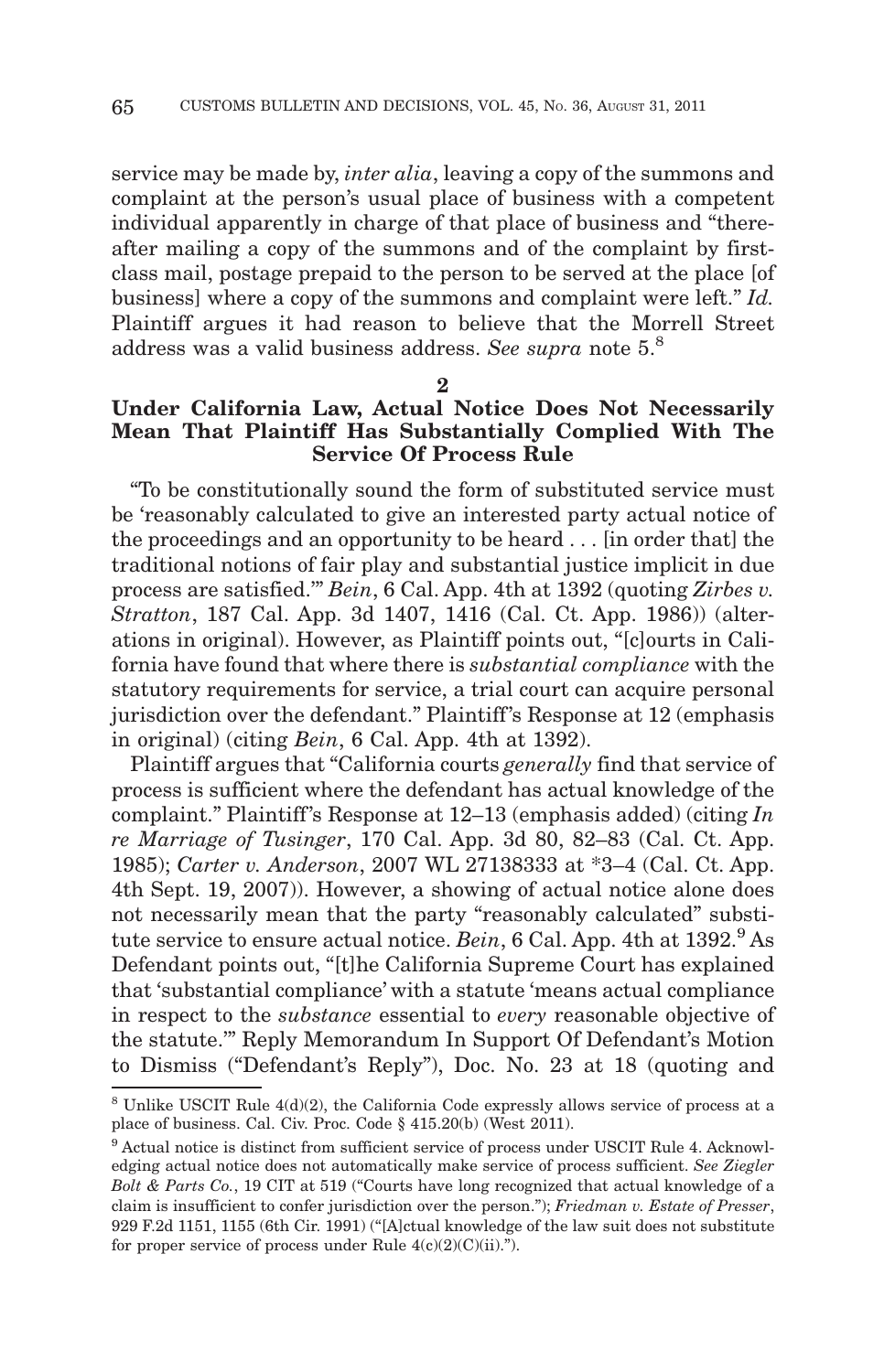service may be made by, *inter alia*, leaving a copy of the summons and complaint at the person's usual place of business with a competent individual apparently in charge of that place of business and "thereafter mailing a copy of the summons and of the complaint by firstclass mail, postage prepaid to the person to be served at the place [of business] where a copy of the summons and complaint were left." *Id.* Plaintiff argues it had reason to believe that the Morrell Street address was a valid business address. *See supra* note 5.8

#### **2**

# **Under California Law, Actual Notice Does Not Necessarily Mean That Plaintiff Has Substantially Complied With The Service Of Process Rule**

"To be constitutionally sound the form of substituted service must be 'reasonably calculated to give an interested party actual notice of the proceedings and an opportunity to be heard . . . [in order that] the traditional notions of fair play and substantial justice implicit in due process are satisfied.'" *Bein*, 6 Cal. App. 4th at 1392 (quoting *Zirbes v. Stratton*, 187 Cal. App. 3d 1407, 1416 (Cal. Ct. App. 1986)) (alterations in original). However, as Plaintiff points out, "[c]ourts in California have found that where there is *substantial compliance* with the statutory requirements for service, a trial court can acquire personal jurisdiction over the defendant." Plaintiff 's Response at 12 (emphasis in original) (citing *Bein*, 6 Cal. App. 4th at 1392).

Plaintiff argues that "California courts *generally* find that service of process is sufficient where the defendant has actual knowledge of the complaint." Plaintiff's Response at 12–13 (emphasis added) (citing *In re Marriage of Tusinger*, 170 Cal. App. 3d 80, 82–83 (Cal. Ct. App. 1985); *Carter v. Anderson*, 2007 WL 27138333 at \*3–4 (Cal. Ct. App. 4th Sept. 19, 2007)). However, a showing of actual notice alone does not necessarily mean that the party "reasonably calculated" substitute service to ensure actual notice. *Bein*, 6 Cal. App. 4th at 1392.<sup>9</sup> As Defendant points out, "[t]he California Supreme Court has explained that 'substantial compliance' with a statute 'means actual compliance in respect to the *substance* essential to *every* reasonable objective of the statute.'" Reply Memorandum In Support Of Defendant's Motion to Dismiss ("Defendant's Reply"), Doc. No. 23 at 18 (quoting and

 $8$  Unlike USCIT Rule 4(d)(2), the California Code expressly allows service of process at a place of business. Cal. Civ. Proc. Code § 415.20(b) (West 2011).

<sup>9</sup> Actual notice is distinct from sufficient service of process under USCIT Rule 4. Acknowledging actual notice does not automatically make service of process sufficient. *See Ziegler Bolt & Parts Co.*, 19 CIT at 519 ("Courts have long recognized that actual knowledge of a claim is insufficient to confer jurisdiction over the person."); *Friedman v. Estate of Presser*, 929 F.2d 1151, 1155 (6th Cir. 1991) ("[A]ctual knowledge of the law suit does not substitute for proper service of process under Rule  $4(c)(2)(C)(ii)$ .").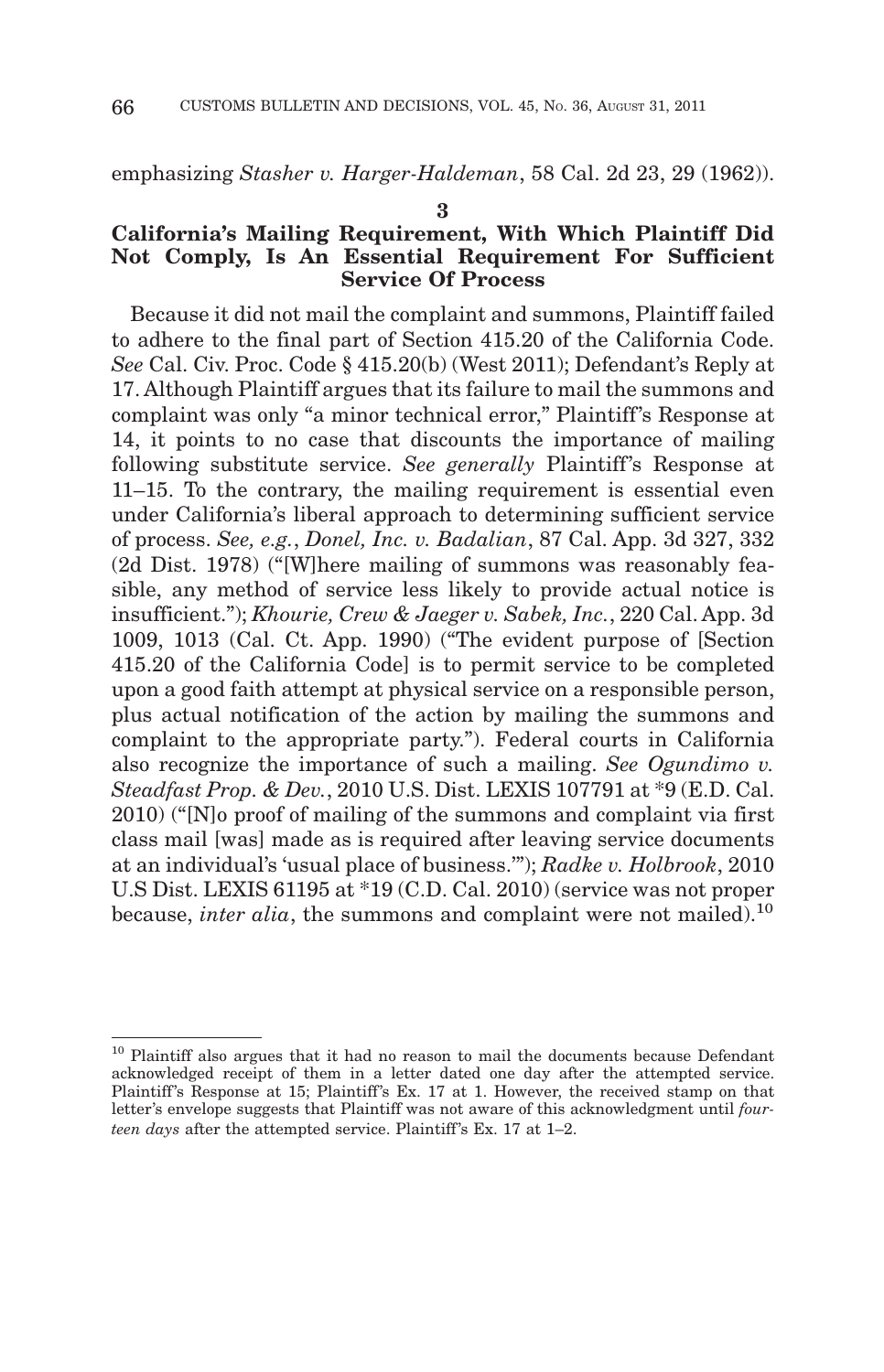emphasizing *Stasher v. Harger-Haldeman*, 58 Cal. 2d 23, 29 (1962)).

#### **3**

# **California's Mailing Requirement, With Which Plaintiff Did Not Comply, Is An Essential Requirement For Sufficient Service Of Process**

Because it did not mail the complaint and summons, Plaintiff failed to adhere to the final part of Section 415.20 of the California Code. *See* Cal. Civ. Proc. Code § 415.20(b) (West 2011); Defendant's Reply at 17. Although Plaintiff argues that its failure to mail the summons and complaint was only "a minor technical error," Plaintiff's Response at 14, it points to no case that discounts the importance of mailing following substitute service. *See generally* Plaintiff's Response at 11–15. To the contrary, the mailing requirement is essential even under California's liberal approach to determining sufficient service of process. *See, e.g.*, *Donel, Inc. v. Badalian*, 87 Cal. App. 3d 327, 332 (2d Dist. 1978) ("[W]here mailing of summons was reasonably feasible, any method of service less likely to provide actual notice is insufficient."); *Khourie, Crew & Jaeger v. Sabek, Inc.*, 220 Cal. App. 3d 1009, 1013 (Cal. Ct. App. 1990) ("The evident purpose of [Section 415.20 of the California Code] is to permit service to be completed upon a good faith attempt at physical service on a responsible person, plus actual notification of the action by mailing the summons and complaint to the appropriate party."). Federal courts in California also recognize the importance of such a mailing. *See Ogundimo v. Steadfast Prop. & Dev.*, 2010 U.S. Dist. LEXIS 107791 at \*9 (E.D. Cal. 2010) ("[N]o proof of mailing of the summons and complaint via first class mail [was] made as is required after leaving service documents at an individual's 'usual place of business.'"); *Radke v. Holbrook*, 2010 U.S Dist. LEXIS 61195 at \*19 (C.D. Cal. 2010) (service was not proper because, *inter alia*, the summons and complaint were not mailed).<sup>10</sup>

<sup>&</sup>lt;sup>10</sup> Plaintiff also argues that it had no reason to mail the documents because Defendant acknowledged receipt of them in a letter dated one day after the attempted service. Plaintiff's Response at 15; Plaintiff's Ex. 17 at 1. However, the received stamp on that letter's envelope suggests that Plaintiff was not aware of this acknowledgment until *fourteen days* after the attempted service. Plaintiff 's Ex. 17 at 1–2.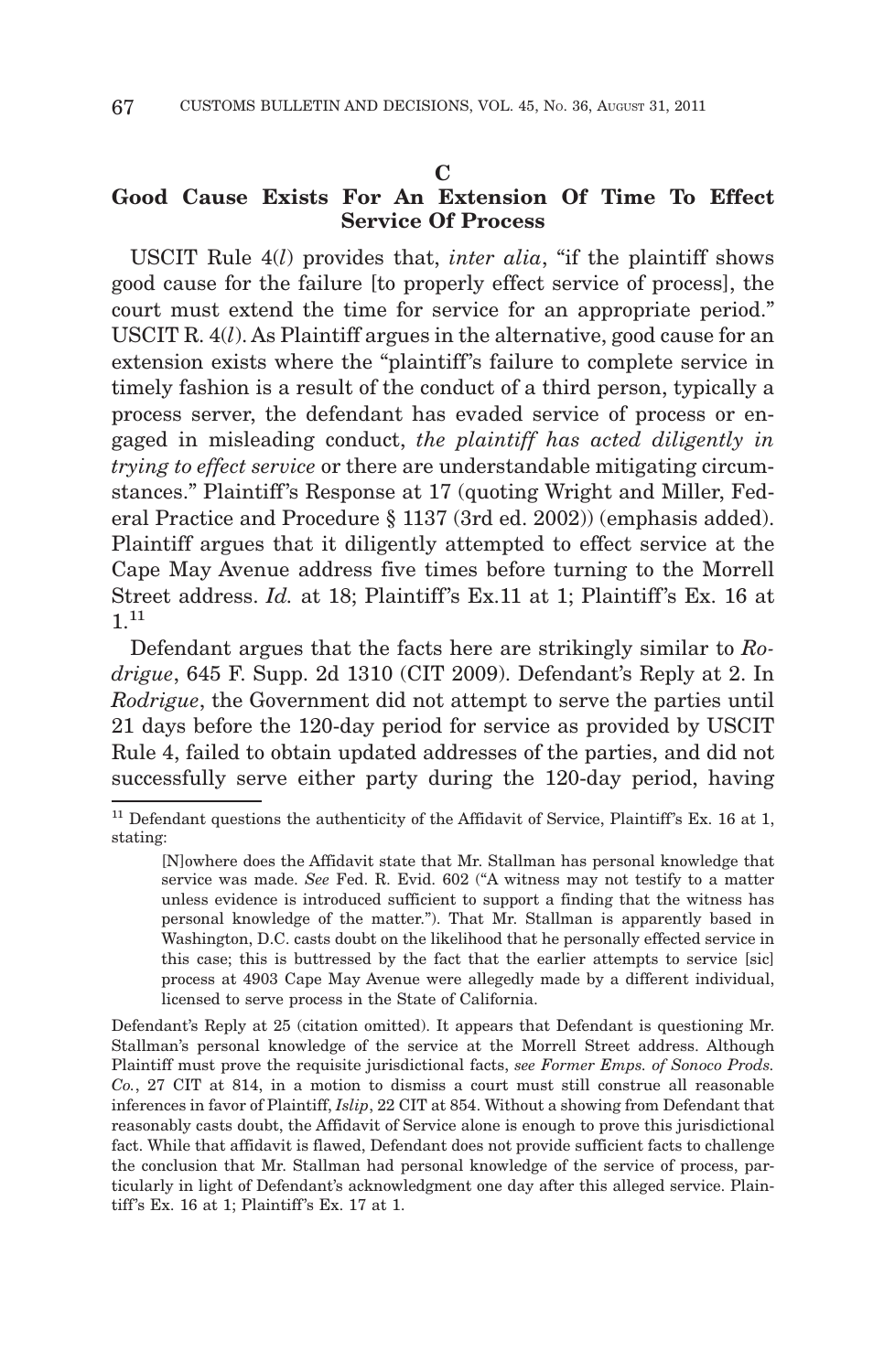#### **C**

# **Good Cause Exists For An Extension Of Time To Effect Service Of Process**

USCIT Rule 4(*l*) provides that, *inter alia*, "if the plaintiff shows good cause for the failure [to properly effect service of process], the court must extend the time for service for an appropriate period." USCIT R. 4(*l*). As Plaintiff argues in the alternative, good cause for an extension exists where the "plaintiff's failure to complete service in timely fashion is a result of the conduct of a third person, typically a process server, the defendant has evaded service of process or engaged in misleading conduct, *the plaintiff has acted diligently in trying to effect service* or there are understandable mitigating circumstances." Plaintiff's Response at 17 (quoting Wright and Miller, Federal Practice and Procedure § 1137 (3rd ed. 2002)) (emphasis added). Plaintiff argues that it diligently attempted to effect service at the Cape May Avenue address five times before turning to the Morrell Street address. *Id.* at 18; Plaintiff's Ex.11 at 1; Plaintiff's Ex. 16 at 1.<sup>11</sup>

Defendant argues that the facts here are strikingly similar to *Rodrigue*, 645 F. Supp. 2d 1310 (CIT 2009). Defendant's Reply at 2. In *Rodrigue*, the Government did not attempt to serve the parties until 21 days before the 120-day period for service as provided by USCIT Rule 4, failed to obtain updated addresses of the parties, and did not successfully serve either party during the 120-day period, having

Defendant's Reply at 25 (citation omitted). It appears that Defendant is questioning Mr. Stallman's personal knowledge of the service at the Morrell Street address. Although Plaintiff must prove the requisite jurisdictional facts, *see Former Emps. of Sonoco Prods. Co.*, 27 CIT at 814, in a motion to dismiss a court must still construe all reasonable inferences in favor of Plaintiff, *Islip*, 22 CIT at 854. Without a showing from Defendant that reasonably casts doubt, the Affidavit of Service alone is enough to prove this jurisdictional fact. While that affidavit is flawed, Defendant does not provide sufficient facts to challenge the conclusion that Mr. Stallman had personal knowledge of the service of process, particularly in light of Defendant's acknowledgment one day after this alleged service. Plaintiff 's Ex. 16 at 1; Plaintiff 's Ex. 17 at 1.

 $11$  Defendant questions the authenticity of the Affidavit of Service, Plaintiff's Ex. 16 at 1, stating:

<sup>[</sup>N]owhere does the Affidavit state that Mr. Stallman has personal knowledge that service was made. *See* Fed. R. Evid. 602 ("A witness may not testify to a matter unless evidence is introduced sufficient to support a finding that the witness has personal knowledge of the matter."). That Mr. Stallman is apparently based in Washington, D.C. casts doubt on the likelihood that he personally effected service in this case; this is buttressed by the fact that the earlier attempts to service [sic] process at 4903 Cape May Avenue were allegedly made by a different individual, licensed to serve process in the State of California.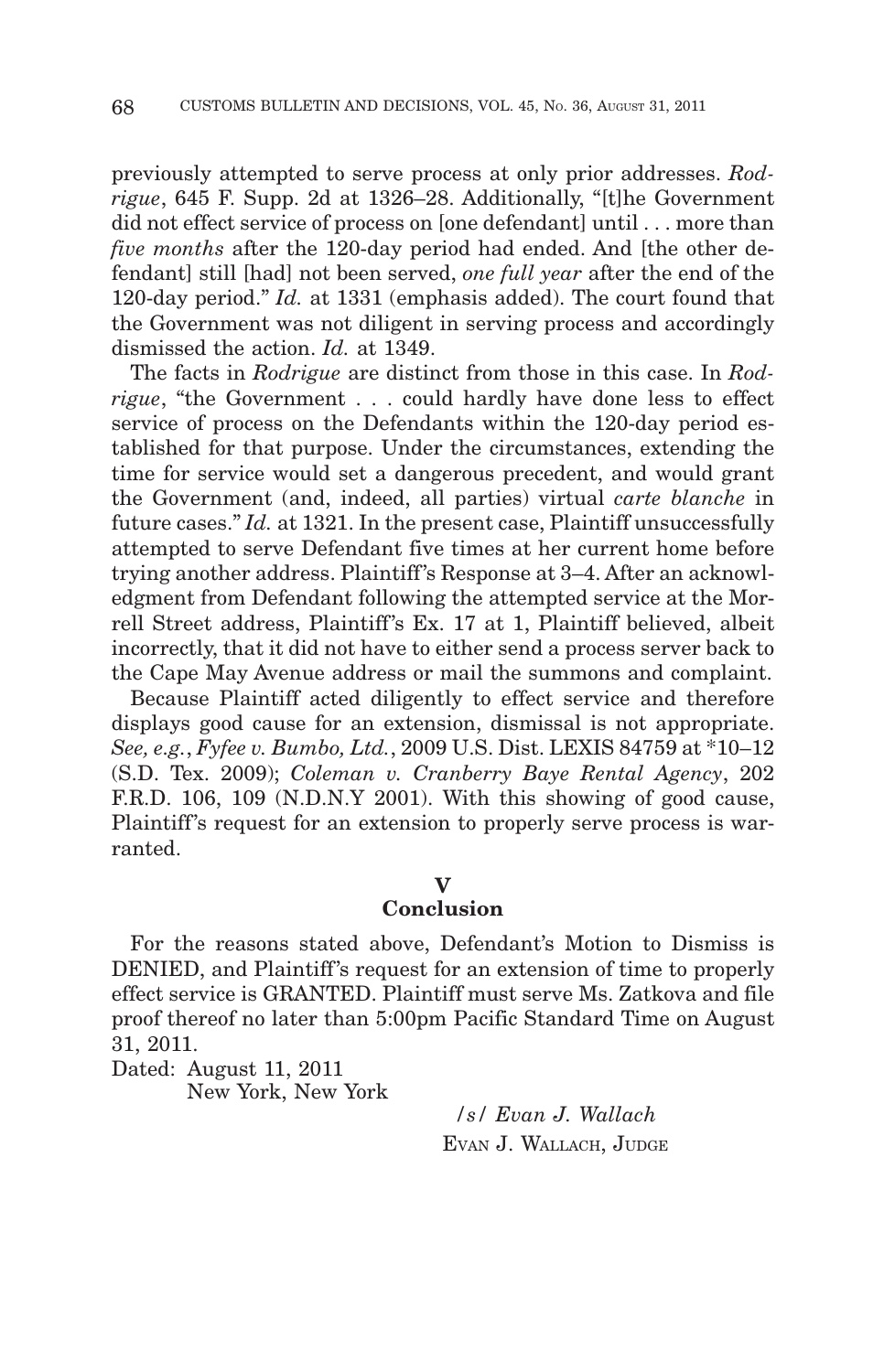previously attempted to serve process at only prior addresses. *Rodrigue*, 645 F. Supp. 2d at 1326–28. Additionally, "[t]he Government did not effect service of process on [one defendant] until... more than *five months* after the 120-day period had ended. And [the other defendant] still [had] not been served, *one full year* after the end of the 120-day period." *Id.* at 1331 (emphasis added). The court found that the Government was not diligent in serving process and accordingly dismissed the action. *Id.* at 1349.

The facts in *Rodrigue* are distinct from those in this case. In *Rodrigue*, "the Government... could hardly have done less to effect service of process on the Defendants within the 120-day period established for that purpose. Under the circumstances, extending the time for service would set a dangerous precedent, and would grant the Government (and, indeed, all parties) virtual *carte blanche* in future cases." *Id.* at 1321. In the present case, Plaintiff unsuccessfully attempted to serve Defendant five times at her current home before trying another address. Plaintiff's Response at 3–4. After an acknowledgment from Defendant following the attempted service at the Morrell Street address, Plaintiff 's Ex. 17 at 1, Plaintiff believed, albeit incorrectly, that it did not have to either send a process server back to the Cape May Avenue address or mail the summons and complaint.

Because Plaintiff acted diligently to effect service and therefore displays good cause for an extension, dismissal is not appropriate. *See, e.g.*, *Fyfee v. Bumbo, Ltd.*, 2009 U.S. Dist. LEXIS 84759 at \*10–12 (S.D. Tex. 2009); *Coleman v. Cranberry Baye Rental Agency*, 202 F.R.D. 106, 109 (N.D.N.Y 2001). With this showing of good cause, Plaintiff's request for an extension to properly serve process is warranted.

# **V**

# **Conclusion**

For the reasons stated above, Defendant's Motion to Dismiss is DENIED, and Plaintiff's request for an extension of time to properly effect service is GRANTED. Plaintiff must serve Ms. Zatkova and file proof thereof no later than 5:00pm Pacific Standard Time on August 31, 2011.

Dated: August 11, 2011

New York, New York

*/s/ Evan J. Wallach* EVAN J. WALLACH, JUDGE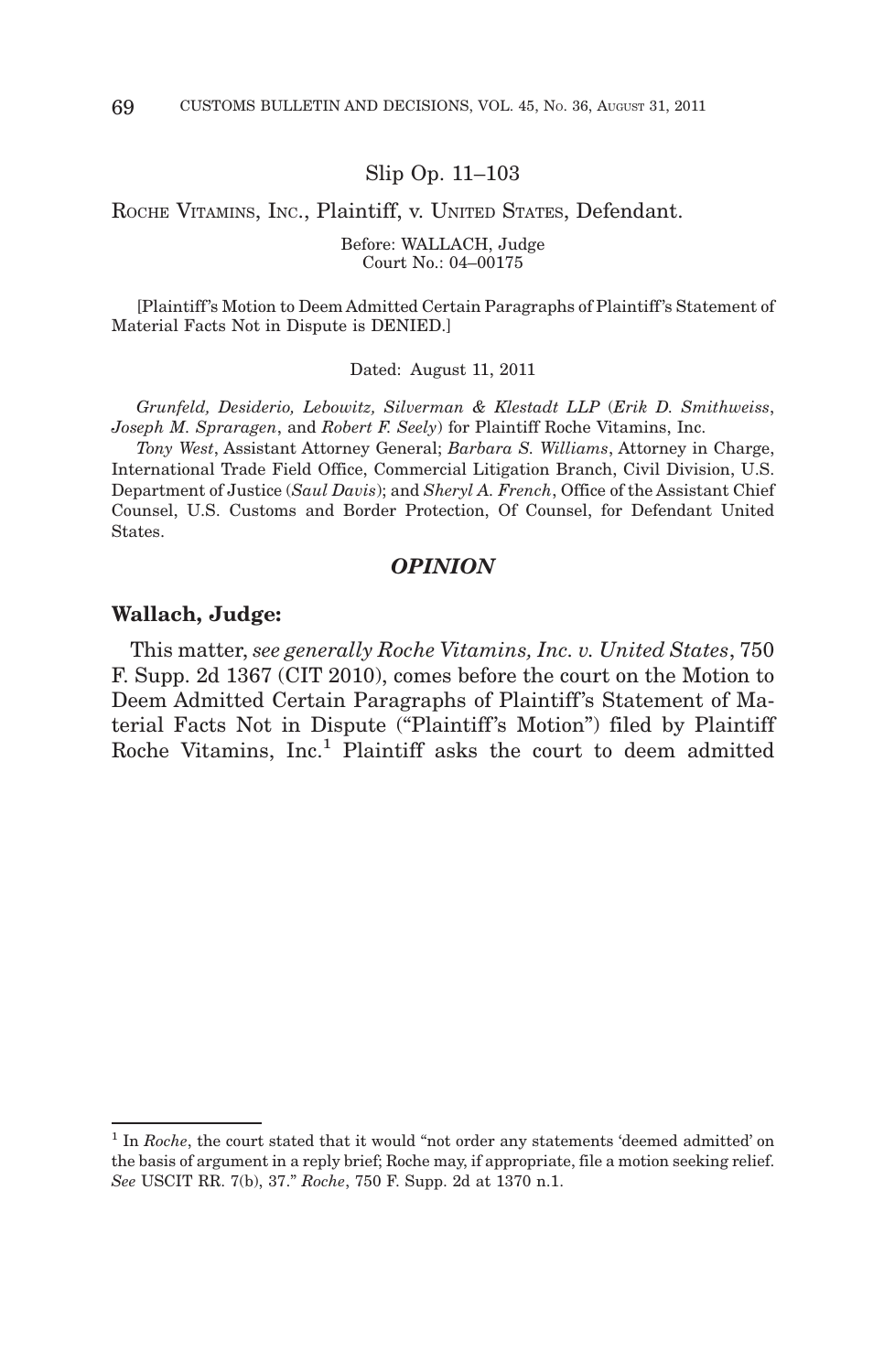Slip Op. 11–103

ROCHE VITAMINS, INC., Plaintiff, v. UNITED STATES, Defendant.

Before: WALLACH, Judge Court No.: 04–00175

[Plaintiff 's Motion to Deem Admitted Certain Paragraphs of Plaintiff 's Statement of Material Facts Not in Dispute is DENIED.]

Dated: August 11, 2011

*Grunfeld, Desiderio, Lebowitz, Silverman & Klestadt LLP* (*Erik D. Smithweiss*, *Joseph M. Spraragen*, and *Robert F. Seely*) for Plaintiff Roche Vitamins, Inc.

*Tony West*, Assistant Attorney General; *Barbara S. Williams*, Attorney in Charge, International Trade Field Office, Commercial Litigation Branch, Civil Division, U.S. Department of Justice (*Saul Davis*); and *Sheryl A. French*, Office of the Assistant Chief Counsel, U.S. Customs and Border Protection, Of Counsel, for Defendant United States.

# *OPINION*

#### **Wallach, Judge:**

This matter, *see generally Roche Vitamins, Inc. v. United States*, 750 F. Supp. 2d 1367 (CIT 2010), comes before the court on the Motion to Deem Admitted Certain Paragraphs of Plaintiff's Statement of Material Facts Not in Dispute ("Plaintiff's Motion") filed by Plaintiff Roche Vitamins,  $Inc<sup>1</sup>$  Plaintiff asks the court to deem admitted

<sup>1</sup> In *Roche*, the court stated that it would "not order any statements 'deemed admitted' on the basis of argument in a reply brief; Roche may, if appropriate, file a motion seeking relief. *See* USCIT RR. 7(b), 37." *Roche*, 750 F. Supp. 2d at 1370 n.1.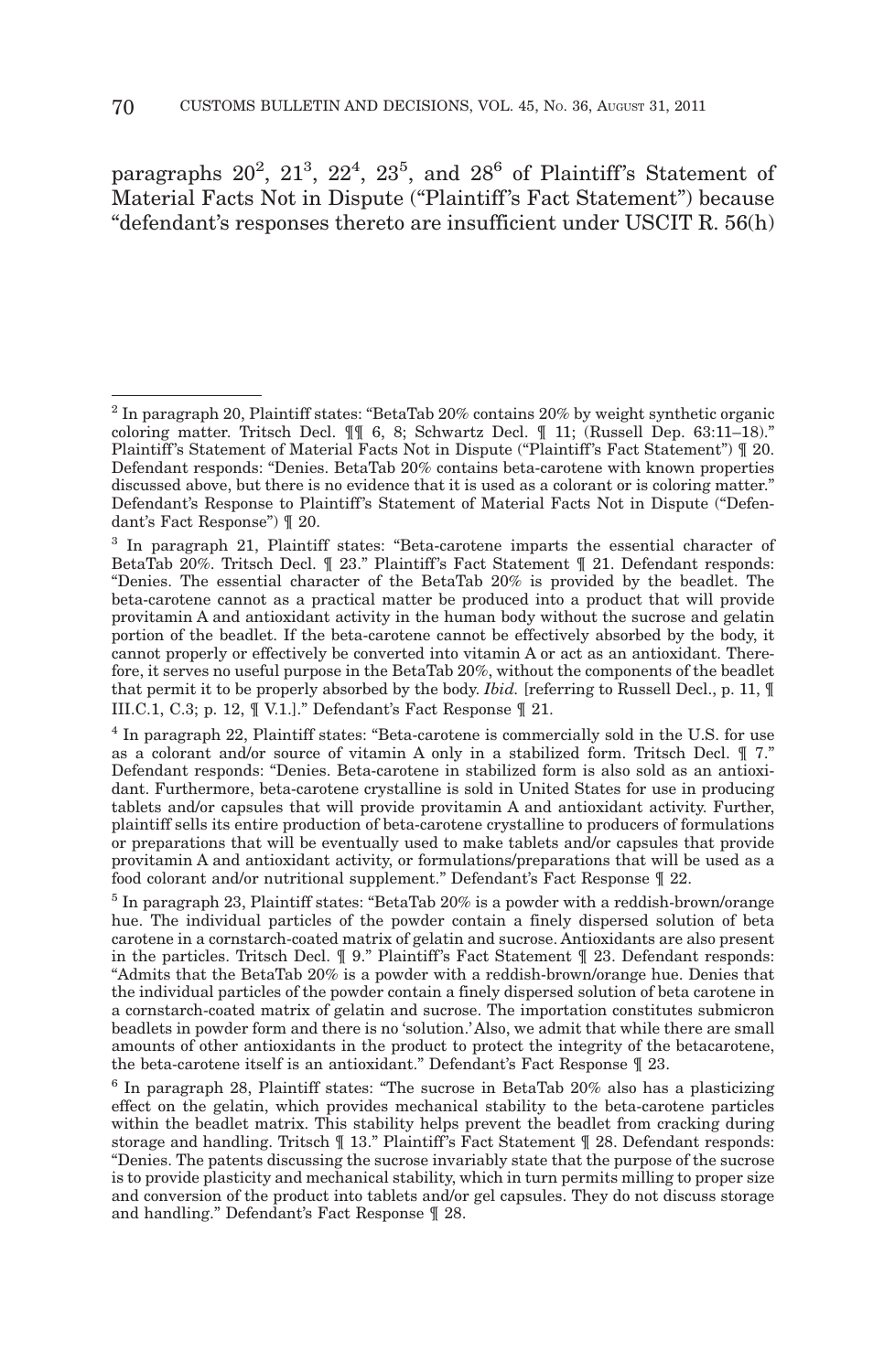paragraphs  $20^2$ ,  $21^3$ ,  $22^4$ ,  $23^5$ , and  $28^6$  of Plaintiff's Statement of Material Facts Not in Dispute ("Plaintiff's Fact Statement") because "defendant's responses thereto are insufficient under USCIT R. 56(h)

<sup>2</sup> In paragraph 20, Plaintiff states: "BetaTab 20% contains 20% by weight synthetic organic coloring matter. Tritsch Decl. ¶¶ 6, 8; Schwartz Decl. ¶ 11; (Russell Dep. 63:11–18)." Plaintiff's Statement of Material Facts Not in Dispute ("Plaintiff's Fact Statement")  $\parallel$  20. Defendant responds: "Denies. BetaTab 20% contains beta-carotene with known properties discussed above, but there is no evidence that it is used as a colorant or is coloring matter." Defendant's Response to Plaintiff's Statement of Material Facts Not in Dispute ("Defendant's Fact Response") ¶ 20.

<sup>3</sup> In paragraph 21, Plaintiff states: "Beta-carotene imparts the essential character of BetaTab 20%. Tritsch Decl. ¶ 23." Plaintiff's Fact Statement ¶ 21. Defendant responds: "Denies. The essential character of the BetaTab 20% is provided by the beadlet. The beta-carotene cannot as a practical matter be produced into a product that will provide provitamin A and antioxidant activity in the human body without the sucrose and gelatin portion of the beadlet. If the beta-carotene cannot be effectively absorbed by the body, it cannot properly or effectively be converted into vitamin A or act as an antioxidant. Therefore, it serves no useful purpose in the BetaTab 20%, without the components of the beadlet that permit it to be properly absorbed by the body. *Ibid.* [referring to Russell Decl., p. 11, ¶ III.C.1, C.3; p. 12, ¶ V.1.]." Defendant's Fact Response ¶ 21.

<sup>4</sup> In paragraph 22, Plaintiff states: "Beta-carotene is commercially sold in the U.S. for use as a colorant and/or source of vitamin A only in a stabilized form. Tritsch Decl. ¶ 7." Defendant responds: "Denies. Beta-carotene in stabilized form is also sold as an antioxidant. Furthermore, beta-carotene crystalline is sold in United States for use in producing tablets and/or capsules that will provide provitamin A and antioxidant activity. Further, plaintiff sells its entire production of beta-carotene crystalline to producers of formulations or preparations that will be eventually used to make tablets and/or capsules that provide provitamin A and antioxidant activity, or formulations/preparations that will be used as a food colorant and/or nutritional supplement." Defendant's Fact Response ¶ 22.

<sup>&</sup>lt;sup>5</sup> In paragraph 23, Plaintiff states: "BetaTab 20% is a powder with a reddish-brown/orange hue. The individual particles of the powder contain a finely dispersed solution of beta carotene in a cornstarch-coated matrix of gelatin and sucrose. Antioxidants are also present in the particles. Tritsch Decl.  $\mathbb I$  9." Plaintiff's Fact Statement  $\mathbb I$  23. Defendant responds: "Admits that the BetaTab 20% is a powder with a reddish-brown/orange hue. Denies that the individual particles of the powder contain a finely dispersed solution of beta carotene in a cornstarch-coated matrix of gelatin and sucrose. The importation constitutes submicron beadlets in powder form and there is no 'solution.' Also, we admit that while there are small amounts of other antioxidants in the product to protect the integrity of the betacarotene, the beta-carotene itself is an antioxidant." Defendant's Fact Response ¶ 23.

 $6$  In paragraph 28, Plaintiff states: "The sucrose in BetaTab 20% also has a plasticizing effect on the gelatin, which provides mechanical stability to the beta-carotene particles within the beadlet matrix. This stability helps prevent the beadlet from cracking during storage and handling. Tritsch  $\P$  13." Plaintiff's Fact Statement  $\P$  28. Defendant responds: "Denies. The patents discussing the sucrose invariably state that the purpose of the sucrose is to provide plasticity and mechanical stability, which in turn permits milling to proper size and conversion of the product into tablets and/or gel capsules. They do not discuss storage and handling." Defendant's Fact Response ¶ 28.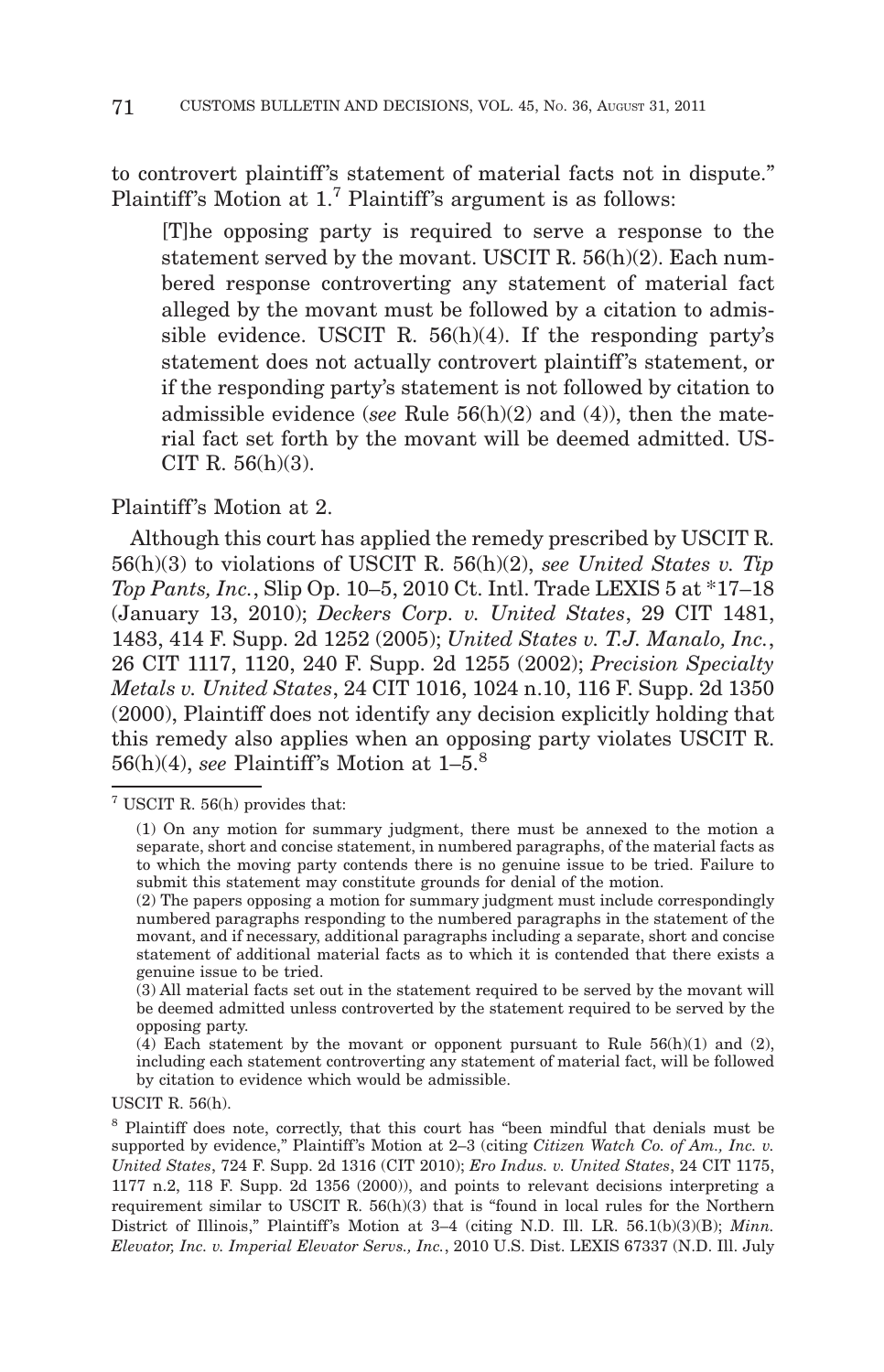to controvert plaintiff's statement of material facts not in dispute." Plaintiff's Motion at 1.<sup>7</sup> Plaintiff's argument is as follows:

[T]he opposing party is required to serve a response to the statement served by the movant. USCIT R. 56(h)(2). Each numbered response controverting any statement of material fact alleged by the movant must be followed by a citation to admissible evidence. USCIT R. 56(h)(4). If the responding party's statement does not actually controvert plaintiff's statement, or if the responding party's statement is not followed by citation to admissible evidence (*see* Rule 56(h)(2) and (4)), then the material fact set forth by the movant will be deemed admitted. US-CIT R.  $56(h)(3)$ .

## Plaintiff's Motion at 2.

Although this court has applied the remedy prescribed by USCIT R. 56(h)(3) to violations of USCIT R. 56(h)(2), *see United States v. Tip Top Pants, Inc.*, Slip Op. 10–5, 2010 Ct. Intl. Trade LEXIS 5 at \*17–18 (January 13, 2010); *Deckers Corp. v. United States*, 29 CIT 1481, 1483, 414 F. Supp. 2d 1252 (2005); *United States v. T.J. Manalo, Inc.*, 26 CIT 1117, 1120, 240 F. Supp. 2d 1255 (2002); *Precision Specialty Metals v. United States*, 24 CIT 1016, 1024 n.10, 116 F. Supp. 2d 1350 (2000), Plaintiff does not identify any decision explicitly holding that this remedy also applies when an opposing party violates USCIT R. 56(h)(4), *see* Plaintiff's Motion at  $1-5$ <sup>8</sup>

USCIT R. 56(h).

<sup>7</sup> USCIT R. 56(h) provides that:

<sup>(1)</sup> On any motion for summary judgment, there must be annexed to the motion a separate, short and concise statement, in numbered paragraphs, of the material facts as to which the moving party contends there is no genuine issue to be tried. Failure to submit this statement may constitute grounds for denial of the motion.

<sup>(2)</sup> The papers opposing a motion for summary judgment must include correspondingly numbered paragraphs responding to the numbered paragraphs in the statement of the movant, and if necessary, additional paragraphs including a separate, short and concise statement of additional material facts as to which it is contended that there exists a genuine issue to be tried.

<sup>(3)</sup> All material facts set out in the statement required to be served by the movant will be deemed admitted unless controverted by the statement required to be served by the opposing party.

<sup>(4)</sup> Each statement by the movant or opponent pursuant to Rule 56(h)(1) and (2), including each statement controverting any statement of material fact, will be followed by citation to evidence which would be admissible.

<sup>8</sup> Plaintiff does note, correctly, that this court has "been mindful that denials must be supported by evidence," Plaintiff's Motion at 2-3 (citing *Citizen Watch Co. of Am., Inc. v. United States*, 724 F. Supp. 2d 1316 (CIT 2010); *Ero Indus. v. United States*, 24 CIT 1175, 1177 n.2, 118 F. Supp. 2d 1356 (2000)), and points to relevant decisions interpreting a requirement similar to USCIT R. 56(h)(3) that is "found in local rules for the Northern District of Illinois," Plaintiff's Motion at 3–4 (citing N.D. Ill. LR. 56.1(b)(3)(B); *Minn. Elevator, Inc. v. Imperial Elevator Servs., Inc.*, 2010 U.S. Dist. LEXIS 67337 (N.D. Ill. July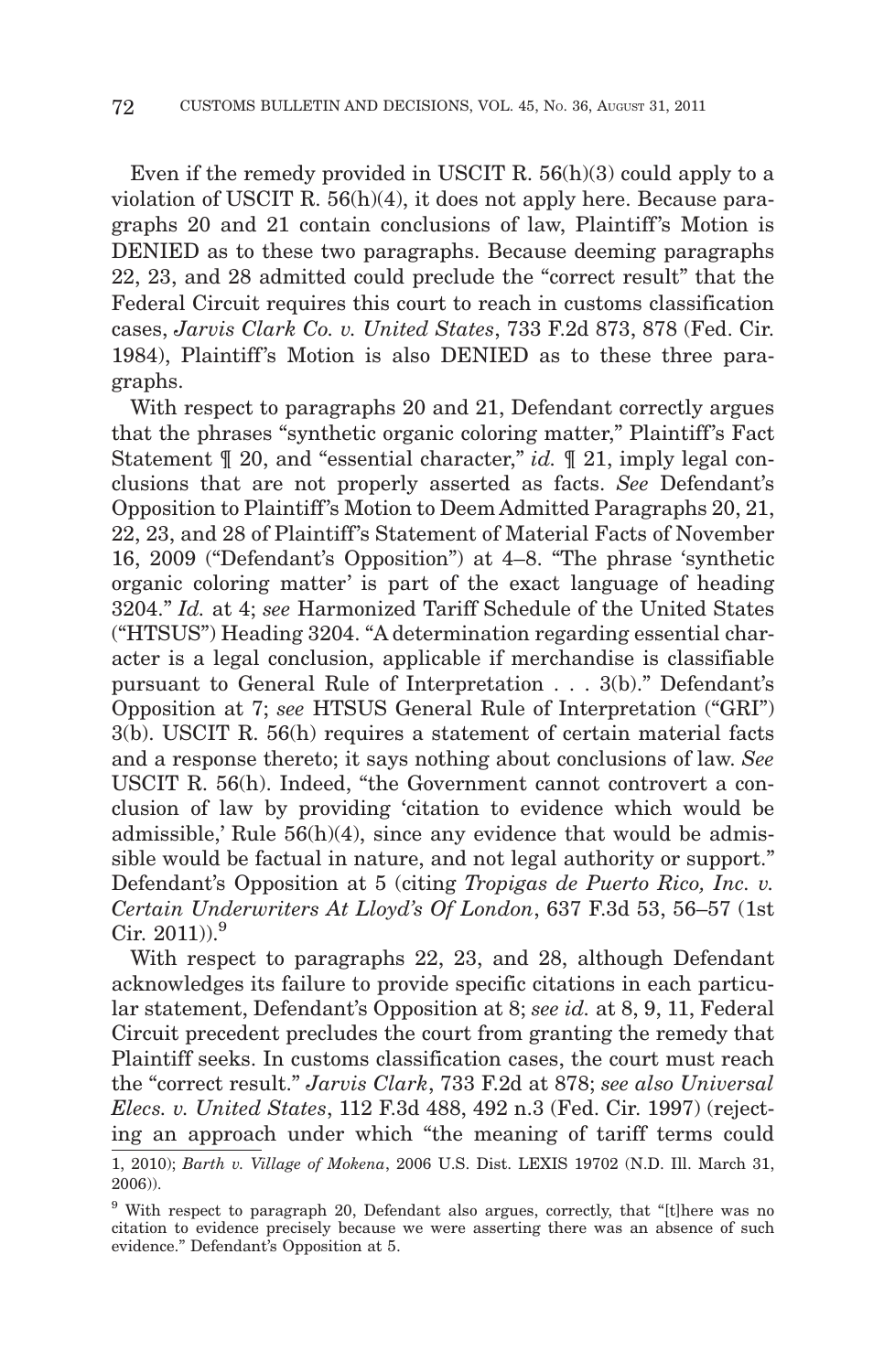Even if the remedy provided in USCIT R. 56(h)(3) could apply to a violation of USCIT R. 56(h)(4), it does not apply here. Because paragraphs 20 and 21 contain conclusions of law, Plaintiff's Motion is DENIED as to these two paragraphs. Because deeming paragraphs 22, 23, and 28 admitted could preclude the "correct result" that the Federal Circuit requires this court to reach in customs classification cases, *Jarvis Clark Co. v. United States*, 733 F.2d 873, 878 (Fed. Cir. 1984), Plaintiff's Motion is also DENIED as to these three paragraphs.

With respect to paragraphs 20 and 21, Defendant correctly argues that the phrases "synthetic organic coloring matter," Plaintiff 's Fact Statement  $\mathbb{I}$  20, and "essential character," *id.*  $\mathbb{I}$  21, imply legal conclusions that are not properly asserted as facts. *See* Defendant's Opposition to Plaintiff 's Motion to Deem Admitted Paragraphs 20, 21, 22, 23, and 28 of Plaintiff 's Statement of Material Facts of November 16, 2009 ("Defendant's Opposition") at 4–8. "The phrase 'synthetic organic coloring matter' is part of the exact language of heading 3204." *Id.* at 4; *see* Harmonized Tariff Schedule of the United States ("HTSUS") Heading 3204. "A determination regarding essential character is a legal conclusion, applicable if merchandise is classifiable pursuant to General Rule of Interpretation... 3(b)." Defendant's Opposition at 7; *see* HTSUS General Rule of Interpretation ("GRI") 3(b). USCIT R. 56(h) requires a statement of certain material facts and a response thereto; it says nothing about conclusions of law. *See* USCIT R. 56(h). Indeed, "the Government cannot controvert a conclusion of law by providing 'citation to evidence which would be admissible,' Rule  $56(h)(4)$ , since any evidence that would be admissible would be factual in nature, and not legal authority or support." Defendant's Opposition at 5 (citing *Tropigas de Puerto Rico, Inc. v. Certain Underwriters At Lloyd's Of London*, 637 F.3d 53, 56–57 (1st Cir.  $2011$ )).<sup>9</sup>

With respect to paragraphs 22, 23, and 28, although Defendant acknowledges its failure to provide specific citations in each particular statement, Defendant's Opposition at 8; *see id.* at 8, 9, 11, Federal Circuit precedent precludes the court from granting the remedy that Plaintiff seeks. In customs classification cases, the court must reach the "correct result." *Jarvis Clark*, 733 F.2d at 878; *see also Universal Elecs. v. United States*, 112 F.3d 488, 492 n.3 (Fed. Cir. 1997) (rejecting an approach under which "the meaning of tariff terms could

<sup>1, 2010);</sup> *Barth v. Village of Mokena*, 2006 U.S. Dist. LEXIS 19702 (N.D. Ill. March 31, 2006)).

<sup>&</sup>lt;sup>9</sup> With respect to paragraph 20, Defendant also argues, correctly, that "[t]here was no citation to evidence precisely because we were asserting there was an absence of such evidence." Defendant's Opposition at 5.